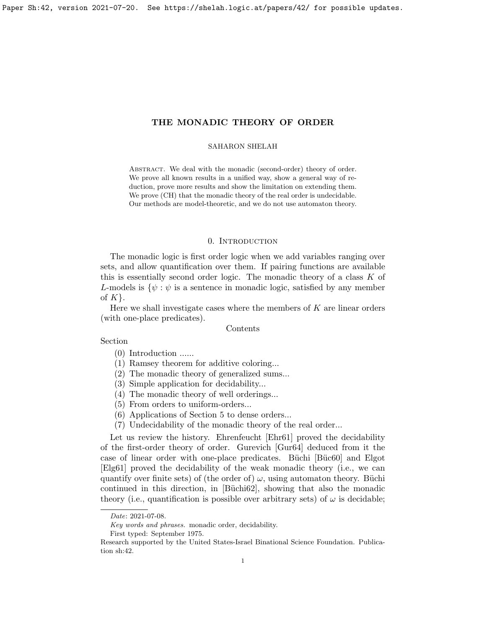<span id="page-0-0"></span>Paper Sh:42, version 2021-07-20. See https://shelah.logic.at/papers/42/ for possible updates.

# THE MONADIC THEORY OF ORDER

#### SAHARON SHELAH

ABSTRACT. We deal with the monadic (second-order) theory of order. We prove all known results in a unified way, show a general way of reduction, prove more results and show the limitation on extending them. We prove (CH) that the monadic theory of the real order is undecidable. Our methods are model-theoretic, and we do not use automaton theory.

### 0. INTRODUCTION

The monadic logic is first order logic when we add variables ranging over sets, and allow quantification over them. If pairing functions are available this is essentially second order logic. The monadic theory of a class  $K$  of L-models is  $\{\psi : \psi \text{ is a sentence in monadic logic, satisfied by any member }\}$ of  $K$ .

Here we shall investigate cases where the members of  $K$  are linear orders (with one-place predicates).

# Contents

#### Section

(0) Introduction ......

- (1) Ramsey theorem for additive coloring...
- (2) The monadic theory of generalized sums...
- (3) Simple application for decidability...
- (4) The monadic theory of well orderings...
- (5) From orders to uniform-orders...
- (6) Applications of Section 5 to dense orders...
- (7) Undecidability of the monadic theory of the real order...

Let us review the history. Ehrenfeucht [\[Ehr61\]](#page-38-0) proved the decidability of the first-order theory of order. Gurevich [\[Gur64\]](#page-38-1) deduced from it the case of linear order with one-place predicates. Büchi [Büc60] and Elgot [\[Elg61\]](#page-38-2) proved the decidability of the weak monadic theory (i.e., we can quantify over finite sets) of (the order of)  $\omega$ , using automaton theory. Büchi continued in this direction, in [Büchi62], showing that also the monadic theory (i.e., quantification is possible over arbitrary sets) of  $\omega$  is decidable;

Date: 2021-07-08.

Key words and phrases. monadic order, decidability.

First typed: September 1975.

Research supported by the United States-Israel Binational Science Foundation. Publication sh:42.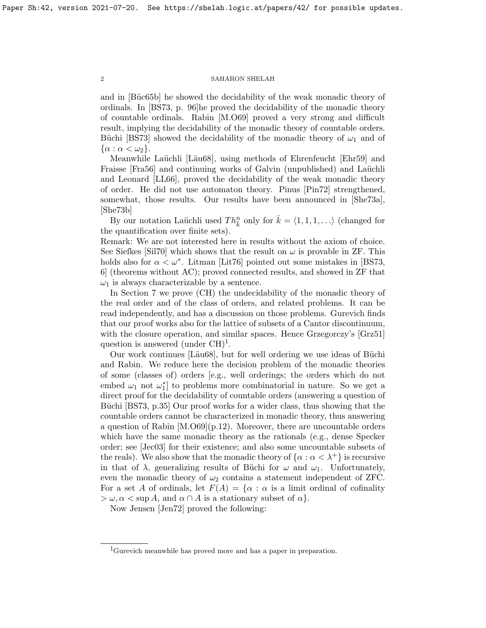and in [Büc65b] he showed the decidability of the weak monadic theory of ordinals. In [\[BS73,](#page-37-3) p. 96]he proved the decidability of the monadic theory of countable ordinals. Rabin [\[M.O69\]](#page-38-3) proved a very strong and difficult result, implying the decidability of the monadic theory of countable orders. Büchi [\[BS73\]](#page-37-3) showed the decidability of the monadic theory of  $\omega_1$  and of  $\{\alpha : \alpha < \omega_2\}.$ 

Meanwhile Laüchli [Läu68], using methods of Ehrenfeucht [\[Ehr59\]](#page-37-4) and Fraisse [\[Fra56\]](#page-38-5) and continuing works of Galvin (unpublished) and Laüchli and Leonard [\[LL66\]](#page-38-6), proved the decidability of the weak monadic theory of order. He did not use automaton theory. Pinus [\[Pin72\]](#page-38-7) strengthened, somewhat, those results. Our results have been announced in [\[She73a\]](#page-39-0), [\[She73b\]](#page-39-1)

By our notation Laüchli used  $Th_{\bar{k}}^n$  only for  $\bar{k} = \langle 1, 1, 1, \ldots \rangle$  (changed for the quantification over finite sets).

Remark: We are not interested here in results without the axiom of choice. See Siefkes [\[Sil70\]](#page-39-2) which shows that the result on  $\omega$  is provable in ZF. This holds also for  $\alpha < \omega^*$ . Litman [\[Lit76\]](#page-38-8) pointed out some mistakes in [\[BS73,](#page-37-3) 6] (theorems without AC); proved connected results, and showed in ZF that  $\omega_1$  is always characterizable by a sentence.

In Section 7 we prove (CH) the undecidability of the monadic theory of the real order and of the class of orders, and related problems. It can be read independently, and has a discussion on those problems. Gurevich finds that our proof works also for the lattice of subsets of a Cantor discontinuum, with the closure operation, and similar spaces. Hence Grzegorczy's [\[Grz51\]](#page-38-9) question is answered (under  $CH)^1$  $CH)^1$ .

Our work continues [Läu68], but for well ordering we use ideas of Büchi and Rabin. We reduce here the decision problem of the monadic theories of some (classes of) orders [e.g., well orderings; the orders which do not embed  $\omega_1$  not  $\omega_1^*$  to problems more combinatorial in nature. So we get a direct proof for the decidability of countable orders (answering a question of Büchi [\[BS73,](#page-37-3) p.35] Our proof works for a wider class, thus showing that the countable orders cannot be characterized in monadic theory, thus answering a question of Rabin [\[M.O69\]](#page-38-3)(p.12). Moreover, there are uncountable orders which have the same monadic theory as the rationals (e.g., dense Specker order; see [\[Jec03\]](#page-38-10) for their existence; and also some uncountable subsets of the reals). We also show that the monadic theory of  $\{\alpha : \alpha < \lambda^+\}$  is recursive in that of  $\lambda$ , generalizing results of Büchi for  $\omega$  and  $\omega_1$ . Unfortunately, even the monadic theory of  $\omega_2$  contains a statement independent of ZFC. For a set A of ordinals, let  $F(A) = \{ \alpha : \alpha$  is a limit ordinal of cofinality  $> \omega, \alpha < \sup A$ , and  $\alpha \cap A$  is a stationary subset of  $\alpha$ .

Now Jensen [\[Jen72\]](#page-38-11) proved the following:

<span id="page-1-0"></span><sup>&</sup>lt;sup>1</sup>Gurevich meanwhile has proved more and has a paper in preparation.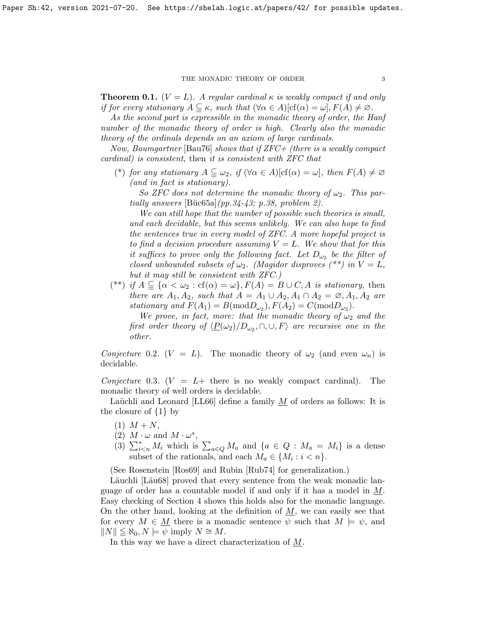<span id="page-2-0"></span>**Theorem 0.1.** ( $V = L$ ). A regular cardinal  $\kappa$  is weakly compact if and only if for every stationary  $A \subseteq \kappa$ , such that  $(\forall \alpha \in A)[cf(\alpha) = \omega]$ ,  $F(A) \neq \emptyset$ .

As the second part is expressible in the monadic theory of order, the Hanf number of the monadic theory of order is high. Clearly also the monadic theory of the ordinals depends on an axiom of large cardinals.

Now, Baumgartner [\[Bau76\]](#page-37-5) shows that if  $ZFC+$  (there is a weakly compact cardinal) is consistent, then it is consistent with ZFC that

(\*) for any stationary  $A \subseteq \omega_2$ , if  $(\forall \alpha \in A)[cf(\alpha) = \omega]$ , then  $F(A) \neq \varnothing$ (and in fact is stationary).

So ZFC does not determine the monadic theory of  $\omega_2$ . This partially answers  $[\text{Büc65a}](pp.34-43; p.38, problem 2).$ 

We can still hope that the number of possible such theories is small, and each decidable, but this seems unlikely. We can also hope to find the sentences true in every model of ZFC. A more hopeful project is to find a decision procedure assuming  $V = L$ . We show that for this it suffices to prove only the following fact. Let  $D_{\omega_2}$  be the filter of closed unbounded subsets of  $\omega_2$ . (Magidor disproves (\*\*) in  $V = L$ , but it may still be consistent with ZFC.)

(\*\*) if  $A \subseteq {\alpha < \omega_2 : cf(\alpha) = \omega}, F(A) = B \cup C$ , A is stationary, then there are  $A_1, A_2$ , such that  $A = A_1 \cup A_2, A_1 \cap A_2 = \emptyset, A_1, A_2$  are stationary and  $F(A_1) = B(\text{mod}D_{\omega_2}), F(A_2) = C(\text{mod}D_{\omega_2}).$ 

We prove, in fact, more: that the monadic theory of  $\omega_2$  and the first order theory of  $\langle \underline{P}(\omega_2)/D_{\omega_2}, \cap, \cup, F \rangle$  are recursive one in the other.

Conjecture 0.2.  $(V = L)$ . The monadic theory of  $\omega_2$  (and even  $\omega_n$ ) is decidable.

Conjecture 0.3. ( $V = L+$  there is no weakly compact cardinal). The monadic theory of well orders is decidable.

Laüchli and Leonard [\[LL66\]](#page-38-6) define a family  $M$  of orders as follows: It is the closure of  $\{1\}$  by

- $(1)$   $M + N$ ,
- (2)  $M \cdot \omega$  and  $M \cdot \omega^*$ ,
- (3)  $\sum_{i\leq n}^* M_i$  which is  $\sum_{a\in Q} M_a$  and  $\{a \in Q : M_a = M_i\}$  is a dense subset of the rationals, and each  $M_a \in \{M_i : i < n\}.$

(See Rosenstein [\[Ros69\]](#page-38-12) and Rubin [\[Rub74\]](#page-38-13) for generalization.)

Läuchli [Läu68] proved that every sentence from the weak monadic language of order has a countable model if and only if it has a model in  $M$ . Easy checking of Section 4 shows this holds also for the monadic language. On the other hand, looking at the definition of  $M$ , we can easily see that for every  $M \in \underline{M}$  there is a monadic sentence  $\psi$  such that  $M \models \psi$ , and  $||N|| \leq \aleph_0, N \models \psi$  imply  $N \cong M$ .

In this way we have a direct characterization of M.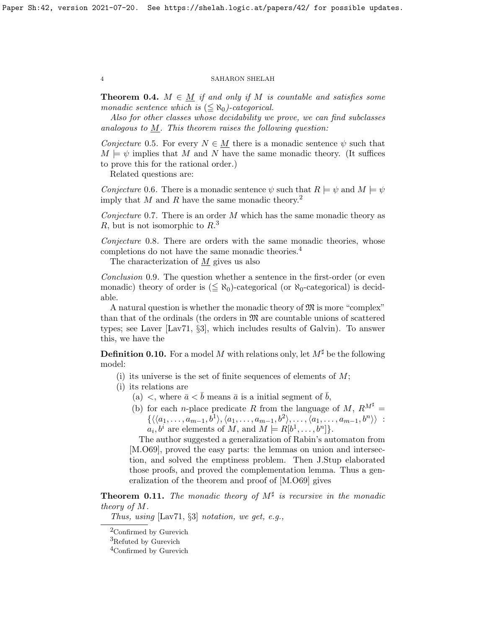**Theorem 0.4.**  $M \in M$  if and only if M is countable and satisfies some monadic sentence which is  $(\leq \aleph_0)$ -categorical.

Also for other classes whose decidability we prove, we can find subclasses analogous to  $M$ . This theorem raises the following question:

Conjecture 0.5. For every  $N \in M$  there is a monadic sentence  $\psi$  such that  $M \models \psi$  implies that M and N have the same monadic theory. (It suffices to prove this for the rational order.)

Related questions are:

<span id="page-3-3"></span>Conjecture 0.6. There is a monadic sentence  $\psi$  such that  $R \models \psi$  and  $M \models \psi$ imply that M and R have the same monadic theory.<sup>[2](#page-3-0)</sup>

<span id="page-3-4"></span>Conjecture 0.7. There is an order  $M$  which has the same monadic theory as R, but is not isomorphic to  $R<sup>3</sup>$  $R<sup>3</sup>$  $R<sup>3</sup>$ 

Conjecture 0.8. There are orders with the same monadic theories, whose completions do not have the same monadic theories.[4](#page-3-2)

The characterization of  $M$  gives us also

Conclusion 0.9. The question whether a sentence in the first-order (or even monadic) theory of order is  $(\leq \aleph_0)$ -categorical (or  $\aleph_0$ -categorical) is decidable.

A natural question is whether the monadic theory of  $\mathfrak{M}$  is more "complex" than that of the ordinals (the orders in  $\mathfrak{M}$  are countable unions of scattered types; see Laver  $[Lav71, \S3]$  $[Lav71, \S3]$ , which includes results of Galvin). To answer this, we have the

**Definition 0.10.** For a model M with relations only, let  $M^{\sharp}$  be the following model:

(i) its universe is the set of finite sequences of elements of  $M$ ;

- (i) its relations are
	- (a)  $\langle$ , where  $\bar{a} \langle \bar{b} \rangle$  means  $\bar{a}$  is a initial segment of  $\bar{b}$ ,
	- (b) for each *n*-place predicate R from the language of M,  $R^{M^{\sharp}} =$  $\{\langle \langle a_1,\ldots,a_{m-1},b^1\rangle, \langle a_1,\ldots,a_{m-1},b^2\rangle, \ldots, \langle a_1,\ldots,a_{m-1},b^n\rangle \rangle :$  $a_i, b^i$  are elements of M, and  $M \models R[b^1, \ldots, b^n]$ .

The author suggested a generalization of Rabin's automaton from [\[M.O69\]](#page-38-3), proved the easy parts: the lemmas on union and intersection, and solved the emptiness problem. Then J.Stup elaborated those proofs, and proved the complementation lemma. Thus a generalization of the theorem and proof of [\[M.O69\]](#page-38-3) gives

**Theorem 0.11.** The monadic theory of  $M^{\sharp}$  is recursive in the monadic theory of M.

Thus, using  $\left[\text{Lav71}, \S3\right]$  notation, we get, e.g.,

<span id="page-3-0"></span><sup>&</sup>lt;sup>2</sup>Confirmed by Gurevich

<span id="page-3-1"></span><sup>3</sup>Refuted by Gurevich

<span id="page-3-2"></span><sup>&</sup>lt;sup>4</sup>Confirmed by Gurevich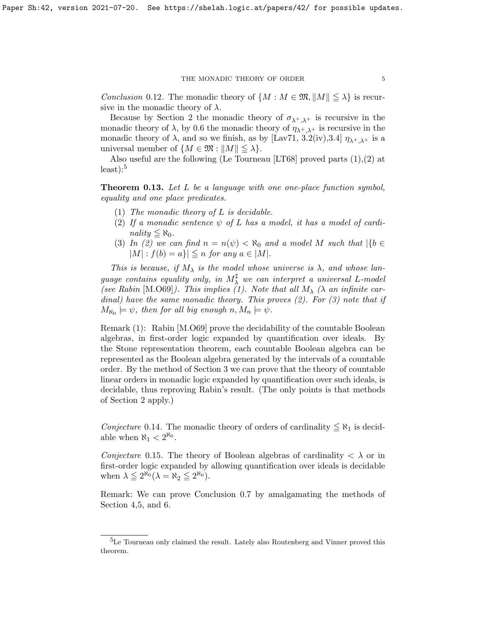Conclusion 0.12. The monadic theory of  $\{M : M \in \mathfrak{M}, ||M|| \leq \lambda\}$  is recursive in the monadic theory of  $\lambda$ .

Because by Section 2 the monadic theory of  $\sigma_{\lambda^+,\lambda^+}$  is recursive in the monadic theory of  $\lambda$ , by [0.6](#page-3-3) the monadic theory of  $\eta_{\lambda^+,\lambda^+}$  is recursive in the monadic theory of  $\lambda$ , and so we finish, as by [\[Lav71,](#page-38-14) 3.2(iv), 3.4]  $\eta_{\lambda^+,\lambda^+}$  is a universal member of  $\{M \in \mathfrak{M} : \|M\| \leq \lambda\}.$ 

Also useful are the following (Le Tourneau [\[LT68\]](#page-38-15) proved parts (1),(2) at  $least$ :<sup>[5](#page-4-0)</sup>

**Theorem 0.13.** Let L be a language with one one-place function symbol, equality and one place predicates.

- (1) The monadic theory of  $L$  is decidable.
- (2) If a monadic sentence  $\psi$  of L has a model, it has a model of cardinality  $\leq \aleph_0$ .
- (3) In (2) we can find  $n = n(\psi) < \aleph_0$  and a model M such that  $|\{b \in \mathcal{A}\}|$  $|M|$  :  $f(b) = a\}| \leq n$  for any  $a \in |M|$ .

This is because, if  $M_{\lambda}$  is the model whose universe is  $\lambda$ , and whose language contains equality only, in  $M^{\sharp}_{\lambda}$  we can interpret a universal L-model (see Rabin [\[M.O69\]](#page-38-3)). This implies (1). Note that all  $M_{\lambda}$  ( $\lambda$  an infinite cardinal) have the same monadic theory. This proves  $(2)$ . For  $(3)$  note that if  $M_{\aleph_0} \models \psi$ , then for all big enough  $n, M_n \models \psi$ .

Remark (1): Rabin [\[M.O69\]](#page-38-3) prove the decidability of the countable Boolean algebras, in first-order logic expanded by quantification over ideals. By the Stone representation theorem, each countable Boolean algebra can be represented as the Boolean algebra generated by the intervals of a countable order. By the method of Section 3 we can prove that the theory of countable linear orders in monadic logic expanded by quantification over such ideals, is decidable, thus reproving Rabin's result. (The only points is that methods of Section 2 apply.)

Conjecture 0.14. The monadic theory of orders of cardinality  $\leq \aleph_1$  is decidable when  $\aleph_1 < 2^{\aleph_0}$ .

Conjecture 0.15. The theory of Boolean algebras of cardinality  $\langle \lambda \rangle$  or in first-order logic expanded by allowing quantification over ideals is decidable when  $\lambda \leq 2^{\aleph_0} (\lambda = \aleph_2 \leq 2^{\aleph_0}).$ 

Remark: We can prove Conclusion [0.7](#page-3-4) by amalgamating the methods of Section 4,5, and 6.

<span id="page-4-0"></span> ${}^{5}$ Le Tourneau only claimed the result. Lately also Routenberg and Vinner proved this theorem.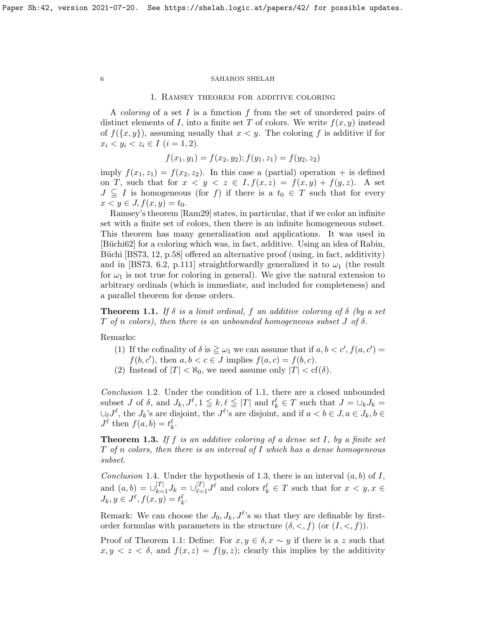### 1. Ramsey theorem for additive coloring

A *coloring* of a set  $I$  is a function  $f$  from the set of unordered pairs of distinct elements of I, into a finite set T of colors. We write  $f(x, y)$  instead of  $f({x, y})$ , assuming usually that  $x < y$ . The coloring f is additive if for  $x_i < y_i < z_i \in I \ (i = 1, 2).$ 

$$
f(x_1, y_1) = f(x_2, y_2); f(y_1, z_1) = f(y_2, z_2)
$$

imply  $f(x_1, z_1) = f(x_2, z_2)$ . In this case a (partial) operation + is defined on T, such that for  $x < y < z \in I$ ,  $f(x, z) = f(x, y) + f(y, z)$ . A set  $J \subseteq I$  is homogeneous (for f) if there is a  $t_0 \in T$  such that for every  $x < y \in J, f(x, y) = t_0.$ 

Ramsey's theorem [\[Ram29\]](#page-38-16) states, in particular, that if we color an infinite set with a finite set of colors, then there is an infinite homogeneous subset. This theorem has many generalization and applications. It was used in [Büchi62] for a coloring which was, in fact, additive. Using an idea of Rabin, Büchi  $[BS73, 12, p.58]$  $[BS73, 12, p.58]$  offered an alternative proof (using, in fact, additivity) and in [\[BS73,](#page-37-3) 6.2, p.111] straightforwardly generalized it to  $\omega_1$  (the result for  $\omega_1$  is not true for coloring in general). We give the natural extension to arbitrary ordinals (which is immediate, and included for completeness) and a parallel theorem for dense orders.

<span id="page-5-0"></span>**Theorem 1.1.** If  $\delta$  is a limit ordinal, f an additive coloring of  $\delta$  (by a set T of n colors), then there is an unbounded homogeneous subset  $J$  of  $\delta$ .

Remarks:

(1) If the cofinality of  $\delta$  is  $\geq \omega_1$  we can assume that if  $a, b < c', f(a, c') =$  $f(b, c')$ , then  $a, b < c \in J$  implies  $f(a, c) = f(b, c)$ .

(2) Instead of  $|T| < \aleph_0$ , we need assume only  $|T| < \text{cf}(\delta)$ .

<span id="page-5-2"></span>Conclusion 1.2. Under the condition of [1.1,](#page-5-0) there are a closed unbounded subset J of  $\delta$ , and  $J_k, J^{\ell}, 1 \leq k, \ell \leq |T|$  and  $t_k^{\ell} \in T$  such that  $J = \bigcup_k J_k =$  $\cup_{\ell} J^{\ell}$ , the  $J_k$ 's are disjoint, the  $J^{\ell}$ 's are disjoint, and if  $a < b \in J$ ,  $a \in J_k$ ,  $b \in$  $J^{\ell}$  then  $f(a, b) = t^{\ell}_k$ .

<span id="page-5-1"></span>**Theorem 1.3.** If f is an additive coloring of a dense set I, by a finite set  $T$  of n colors, then there is an interval of I which has a dense homogeneous subset.

<span id="page-5-3"></span>Conclusion 1.4. Under the hypothesis of [1.3,](#page-5-1) there is an interval  $(a, b)$  of I, and  $(a, b) = \bigcup_{k=1}^{|T|} J_k = \bigcup_{\ell=1}^{|T|} J^{\ell}$  and colors  $t_k^{\ell} \in T$  such that for  $x < y, x \in$  $J_k, y \in J^{\ell}, f(x, y) = t_k^{\ell}.$ 

Remark: We can choose the  $J_0, J_k, J^{\ell}$ 's so that they are definable by firstorder formulas with parameters in the structure  $(\delta, \langle , f \rangle)$  (or  $(I, \langle , f \rangle)$ ).

Proof of Theorem [1.1:](#page-5-0) Define: For  $x, y \in \delta, x \sim y$  if there is a z such that  $x, y \leq z \leq \delta$ , and  $f(x, z) = f(y, z)$ ; clearly this implies by the additivity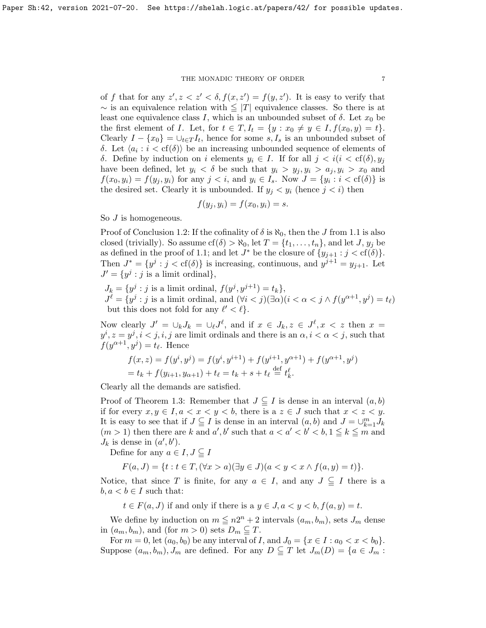of f that for any  $z', z < z' < \delta, f(x, z') = f(y, z')$ . It is easy to verify that  $\sim$  is an equivalence relation with  $\leq$  |T| equivalence classes. So there is at least one equivalence class I, which is an unbounded subset of  $\delta$ . Let  $x_0$  be the first element of I. Let, for  $t \in T$ ,  $I_t = \{y : x_0 \neq y \in I, f(x_0, y) = t\}.$ Clearly  $I - \{x_0\} = \bigcup_{t \in T} I_t$ , hence for some  $s, I_s$  is an unbounded subset of δ. Let  $\langle a_i : i < cf(\delta) \rangle$  be an increasing unbounded sequence of elements of δ. Define by induction on *i* elements  $y_i$  ∈ *I*. If for all  $j < i$  (*i* < cf(δ),  $y_j$ have been defined, let  $y_i < \delta$  be such that  $y_i > y_j, y_i > a_j, y_i > x_0$  and  $f(x_0, y_i) = f(y_j, y_i)$  for any  $j < i$ , and  $y_i \in I_s$ . Now  $J = \{y_i : i < \text{cf}(\delta)\}\$ is the desired set. Clearly it is unbounded. If  $y_j < y_i$  (hence  $j < i$ ) then

$$
f(y_j, y_i) = f(x_0, y_i) = s.
$$

So *J* is homogeneous.

Proof of Conclusion [1.2:](#page-5-2) If the cofinality of  $\delta$  is  $\aleph_0$ , then the J from [1.1](#page-5-0) is also closed (trivially). So assume  $cf(\delta) > \aleph_0$ , let  $T = \{t_1, \ldots, t_n\}$ , and let J,  $y_j$  be as defined in the proof of [1.1;](#page-5-0) and let  $J^*$  be the closure of  $\{y_{j+1} : j < \text{cf}(\delta)\}.$ Then  $J^* = \{y^j : j < \text{cf}(\delta)\}\$ is increasing, continuous, and  $y^{j+1} = y_{j+1}$ . Let  $J' = \{y^j : j \text{ is a limit ordinal}\},\$ 

 $J_k = \{y^j : j \text{ is a limit ordinal}, f(y^j, y^{j+1}) = t_k\},\$  $J^{\ell} = \{y^j : j \text{ is a limit ordinal, and } (\forall i < j)(\exists \alpha)(i < \alpha < j \land f(y^{\alpha+1}, y^j) = t_{\ell}\}\)$ but this does not fold for any  $\ell' < \ell$ .

Now clearly  $J' = \bigcup_k J_k = \bigcup_{\ell} J^{\ell}$ , and if  $x \in J_k, z \in J^{\ell}, x < z$  then  $x =$  $y^i, z = y^j, i < j, i, j$  are limit ordinals and there is an  $\alpha, i < \alpha < j$ , such that  $f(y^{\alpha+1}, y^j) = t_\ell$ . Hence

$$
f(x, z) = f(yi, yj) = f(yi, yi+1) + f(yi+1, yα+1) + f(yα+1, yj)
$$
  
= t<sub>k</sub> + f(y<sub>i+1</sub>, y<sub>α+1</sub>) + t<sub>ℓ</sub> = t<sub>k</sub> + s + t<sub>ℓ</sub>  $\stackrel{\text{def}}{=} tkℓ.$ 

Clearly all the demands are satisfied.

Proof of Theorem [1.3:](#page-5-1) Remember that  $J \subseteq I$  is dense in an interval  $(a, b)$ if for every  $x, y \in I, a < x < y < b$ , there is a  $z \in J$  such that  $x < z < y$ . It is easy to see that if  $J \subseteqq I$  is dense in an interval  $(a, b)$  and  $J = \cup_{k=1}^m J_k$  $(m > 1)$  then there are k and a', b' such that  $a < a' < b' < b, 1 \le k \le m$  and  $J_k$  is dense in  $(a', b')$ .

Define for any  $a \in I, J \subseteq I$ 

$$
F(a, J) = \{ t : t \in T, (\forall x > a)(\exists y \in J)(a < y < x \land f(a, y) = t) \}.
$$

Notice, that since T is finite, for any  $a \in I$ , and any  $J \subseteq I$  there is a  $b, a < b \in I$  such that:

 $t \in F(a, J)$  if and only if there is a  $y \in J$ ,  $a < y < b$ ,  $f(a, y) = t$ .

We define by induction on  $m \leq n2^n + 2$  intervals  $(a_m, b_m)$ , sets  $J_m$  dense in  $(a_m, b_m)$ , and (for  $m > 0$ ) sets  $D_m \subseteq T$ .

For  $m = 0$ , let  $(a_0, b_0)$  be any interval of I, and  $J_0 = \{x \in I : a_0 < x < b_0\}.$ Suppose  $(a_m, b_m)$ ,  $J_m$  are defined. For any  $D \subseteq T$  let  $J_m(D) = \{a \in J_m :$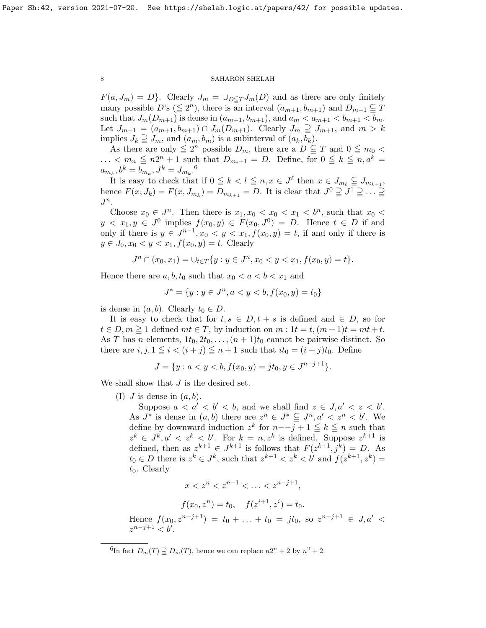$F(a, J_m) = D$ . Clearly  $J_m = \bigcup_{D \subseteq T} J_m(D)$  and as there are only finitely many possible  $D$ 's  $(\leq 2^n)$ , there is an interval  $(a_{m+1}, b_{m+1})$  and  $D_{m+1} \subseteq T$ such that  $J_m(D_{m+1})$  is dense in  $(a_{m+1}, b_{m+1})$ , and  $a_m < a_{m+1} < b_{m+1} < b_m$ . Let  $J_{m+1} = (a_{m+1}, b_{m+1}) \cap J_m(D_{m+1})$ . Clearly  $J_m \supseteq J_{m+1}$ , and  $m > k$ implies  $J_k \supseteq J_m$ , and  $(a_m, b_m)$  is a subinterval of  $(a_k, b_k)$ .

As there are only  $\leq 2^n$  possible  $D_m$ , there are a  $D \subseteq T$  and  $0 \leq m_0$  $\ldots < m_n \leq n2^n + 1$  such that  $D_{m_i+1} = D$ . Define, for  $0 \leq k \leq n, a^k =$  $a_{m_k}, b^k = b_{m_k}, J^k = J_{m_k}.^6$  $a_{m_k}, b^k = b_{m_k}, J^k = J_{m_k}.^6$ 

It is easy to check that if  $0 \leq k < l \leq n, x \in J^{\ell}$  then  $x \in J_{m_{\ell}} \subseteq J_{m_{k+1}}$ , hence  $F(x, J_k) = F(x, J_{m_k}) = D_{m_{k+1}} = D$ . It is clear that  $J^0 \supseteq J^1 \supseteq \dots \supseteq$  $J^n$ .

Choose  $x_0 \in J^n$ . Then there is  $x_1, x_0 < x_0 < x_1 < b^n$ , such that  $x_0 <$  $y < x_1, y \in J^0$  implies  $f(x_0, y) \in F(x_0, J^0) = D$ . Hence  $t \in D$  if and only if there is  $y \in J^{n-1}, x_0 < y < x_1, f(x_0, y) = t$ , if and only if there is  $y \in J_0, x_0 < y < x_1, f(x_0, y) = t$ . Clearly

$$
J^n \cap (x_0, x_1) = \cup_{t \in T} \{ y : y \in J^n, x_0 < y < x_1, f(x_0, y) = t \}.
$$

Hence there are  $a, b, t_0$  such that  $x_0 < a < b < x_1$  and

$$
J^* = \{ y : y \in J^n, a < y < b, f(x_0, y) = t_0 \}
$$

is dense in  $(a, b)$ . Clearly  $t_0 \in D$ .

It is easy to check that for  $t, s \in D, t + s$  is defined and  $\in D$ , so for  $t \in D, m \geq 1$  defined  $mt \in T$ , by induction on  $m : 1t = t, (m + 1)t = mt + t$ . As T has n elements,  $1t_0, 2t_0, \ldots, (n+1)t_0$  cannot be pairwise distinct. So there are  $i, j, 1 \leq i < (i + j) \leq n + 1$  such that  $it_0 = (i + j)t_0$ . Define

$$
J = \{ y : a < y < b, f(x_0, y) = j t_0, y \in J^{n-j+1} \}.
$$

We shall show that  $J$  is the desired set.

(I)  $J$  is dense in  $(a, b)$ .

Suppose  $a < a' < b' < b$ , and we shall find  $z \in J$ ,  $a' < z < b'$ . As  $J^*$  is dense in  $(a, b)$  there are  $z^n \in J^* \subseteq J^n, a' < z^n < b'$ . We define by downward induction  $z^k$  for  $n-{-}j+1 \leq k \leq n$  such that  $z^k \in J^k, a' < z^k < b'$ . For  $k = n, z^k$  is defined. Suppose  $z^{k+1}$  is defined, then as  $z^{k+1} \in J^{k+1}$  is follows that  $F(z^{k+1}, j^k) = D$ . As  $t_0 \in D$  there is  $z^k \in J^k$ , such that  $z^{k+1} < z^k < b'$  and  $f(z^{k+1}, z^k) =$  $t_0$ . Clearly

$$
x < z^n < z^{n-1} < \ldots < z^{n-j+1},
$$

$$
f(x_0, z^n) = t_0
$$
,  $f(z^{i+1}, z^i) = t_0$ .

Hence  $f(x_0, z^{n-j+1}) = t_0 + \ldots + t_0 = jt_0$ , so  $z^{n-j+1} \in J, a' <$  $z^{n-j+1} < b'$ .

<span id="page-7-0"></span><sup>&</sup>lt;sup>6</sup>In fact  $D_m(T) \supseteq D_m(T)$ , hence we can replace  $n2^n + 2$  by  $n^2 + 2$ .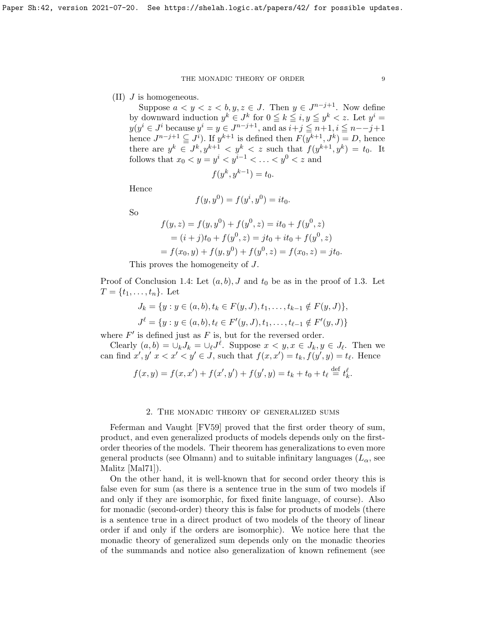$(II)$  J is homogeneous.

Suppose  $a < y < z < b, y, z \in J$ . Then  $y \in J^{n-j+1}$ . Now define by downward induction  $y^k \in J^k$  for  $0 \leq k \leq i, y \leq y^k < z$ . Let  $y^i =$  $y(y^i \in J^i)$  because  $y^i = y \in J^{n-j+1}$ , and as  $i+j \leq n+1, i \leq n-j+1$ hence  $J^{n-j+1} \subseteq J^i$ ). If  $y^{k+1}$  is defined then  $F(y^{k+1}, J^k) = D$ , hence there are  $y^k \in J^k$ ,  $y^{k+1} < y^k < z$  such that  $f(y^{k+1}, y^k) = t_0$ . It follows that  $x_0 < y = y^i < y^{i-1} < \ldots < y^0 < z$  and

$$
f(y^k, y^{k-1}) = t_0.
$$

Hence

$$
f(y, y^0) = f(y^i, y^0) = it_0.
$$

So

$$
f(y, z) = f(y, y0) + f(y0, z) = it0 + f(y0, z)
$$
  
=  $(i + j)t0 + f(y0, z) = jt0 + it0 + f(y0, z)$   
=  $f(x0, y) + f(y, y0) + f(y0, z) = f(x0, z) = jt0.$ 

This proves the homogeneity of J.

Proof of Conclusion [1.4:](#page-5-3) Let  $(a, b)$ , J and  $t_0$  be as in the proof of [1.3.](#page-5-1) Let  $T = \{t_1, \ldots, t_n\}$ . Let

$$
J_k = \{y : y \in (a, b), t_k \in F(y, J), t_1, \dots, t_{k-1} \notin F(y, J)\},
$$
  

$$
J^{\ell} = \{y : y \in (a, b), t_{\ell} \in F'(y, J), t_1, \dots, t_{\ell-1} \notin F'(y, J)\}
$$

where  $F'$  is defined just as  $F$  is, but for the reversed order.

Clearly  $(a, b) = \bigcup_k J_k = \bigcup_{\ell} J^{\ell}$ . Suppose  $x < y, x \in J_k, y \in J_{\ell}$ . Then we can find  $x', y' \, x < x' < y' \in J$ , such that  $f(x, x') = t_k$ ,  $f(y', y) = t_\ell$ . Hence

$$
f(x,y) = f(x,x') + f(x',y') + f(y',y) = t_k + t_0 + t_\ell \stackrel{\text{def}}{=} t_k^\ell.
$$

### 2. The monadic theory of generalized sums

Feferman and Vaught [\[FV59\]](#page-38-17) proved that the first order theory of sum, product, and even generalized products of models depends only on the firstorder theories of the models. Their theorem has generalizations to even more general products (see Olmann) and to suitable infinitary languages  $(L_{\alpha}, \text{see})$ Malitz [\[Mal71\]](#page-38-18)).

On the other hand, it is well-known that for second order theory this is false even for sum (as there is a sentence true in the sum of two models if and only if they are isomorphic, for fixed finite language, of course). Also for monadic (second-order) theory this is false for products of models (there is a sentence true in a direct product of two models of the theory of linear order if and only if the orders are isomorphic). We notice here that the monadic theory of generalized sum depends only on the monadic theories of the summands and notice also generalization of known refinement (see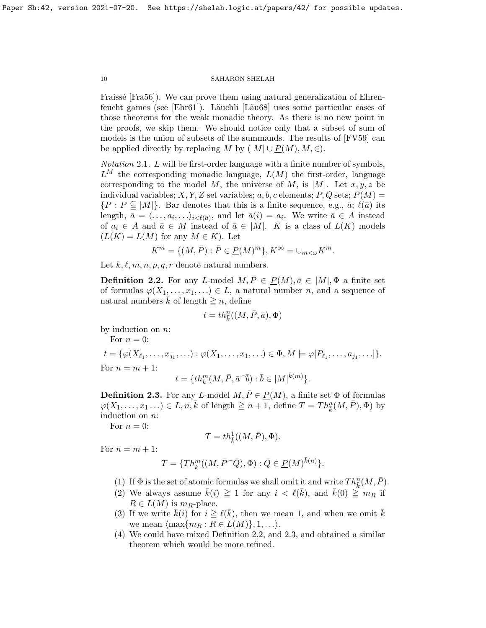Fraissé [\[Fra56\]](#page-38-5)). We can prove them using natural generalization of Ehren-feucht games (see [\[Ehr61\]](#page-38-0)). Läuchli [Läu68] uses some particular cases of those theorems for the weak monadic theory. As there is no new point in the proofs, we skip them. We should notice only that a subset of sum of models is the union of subsets of the summands. The results of [\[FV59\]](#page-38-17) can be applied directly by replacing M by  $(|M| \cup P(M), M, \in)$ .

Notation 2.1. L will be first-order language with a finite number of symbols,  $L^M$  the corresponding monadic language,  $L(M)$  the first-order, language corresponding to the model M, the universe of M, is  $|M|$ . Let  $x, y, z$  be individual variables; X, Y, Z set variables; a, b, c elements; P, Q sets;  $P(M)$  =  $\{P : P \subseteq |M|\}.$  Bar denotes that this is a finite sequence, e.g.,  $\bar{a}$ ;  $\ell(\bar{a})$  its length,  $\bar{a} = \langle \ldots, a_i, \ldots \rangle_{i \leq \ell(\bar{a})}$ , and let  $\bar{a}(i) = a_i$ . We write  $\bar{a} \in A$  instead of  $a_i \in A$  and  $\bar{a} \in M$  instead of  $\bar{a} \in |M|$ . K is a class of  $L(K)$  models  $(L(K) = L(M)$  for any  $M \in K$ ). Let

$$
K^m = \{ (M, \bar{P}) : \bar{P} \in \underline{P}(M)^m \}, K^{\infty} = \cup_{m < \omega} K^m.
$$

Let  $k, \ell, m, n, p, q, r$  denote natural numbers.

<span id="page-9-0"></span>**Definition 2.2.** For any L-model  $M, \overline{P} \in P(M), \overline{a} \in |M|, \Phi$  a finite set of formulas  $\varphi(X_1,\ldots,x_1,\ldots)\in L$ , a natural number n, and a sequence of natural numbers k of length  $\geq n$ , define

$$
t = th^n_{\bar{k}}((M,\bar{P},\bar{a}),\Phi)
$$

by induction on  $n$ :

For  $n = 0$ :

 $t = \{ \varphi(X_{\ell_1}, \ldots, x_{j_1}, \ldots) : \varphi(X_1, \ldots, x_1, \ldots) \in \Phi, M \models \varphi[P_{\ell_1}, \ldots, a_{j_1}, \ldots] \}.$ For  $n = m + 1$ :  $t = \{th_k^m(M, \bar{P}, {\bar{a}}^\frown \bar{b}) : \bar{b} \in |M|^{\bar{k}(m)}\}.$ 

<span id="page-9-1"></span>**Definition 2.3.** For any L-model  $M, \overline{P} \in \underline{P}(M)$ , a finite set  $\Phi$  of formulas  $\varphi(X_1,\ldots,x_1\ldots) \in L, n, \overline{k}$  of length  $\geqq n+1$ , define  $T = Th_{\overline{k}}^n(M, \overline{P}), \Phi)$  by induction on n:

For  $n = 0$ :

$$
T = th^1_{\bar k}((M,\bar P),\Phi).
$$

For  $n = m + 1$ :

$$
T = \{Th_k^m((M, \bar{P} \cap \bar{Q}), \Phi) : \bar{Q} \in \underline{P}(M)^{\bar{k}(n)}\}.
$$

- (1) If  $\Phi$  is the set of atomic formulas we shall omit it and write  $Th_{\bar{k}}^n(M, \bar{P})$ .
- (2) We always assume  $\bar{k}(i) \geq 1$  for any  $i < \ell(\bar{k})$ , and  $\bar{k}(0) \geq m_R$  if  $R \in L(M)$  is  $m_R$ -place.
- (3) If we write  $\bar{k}(i)$  for  $i \geq \ell(\bar{k})$ , then we mean 1, and when we omit  $\bar{k}$ we mean  $\{\max\{m_R : R \in L(M)\}, 1, \ldots\}.$
- (4) We could have mixed Definition [2.2,](#page-9-0) and [2.3,](#page-9-1) and obtained a similar theorem which would be more refined.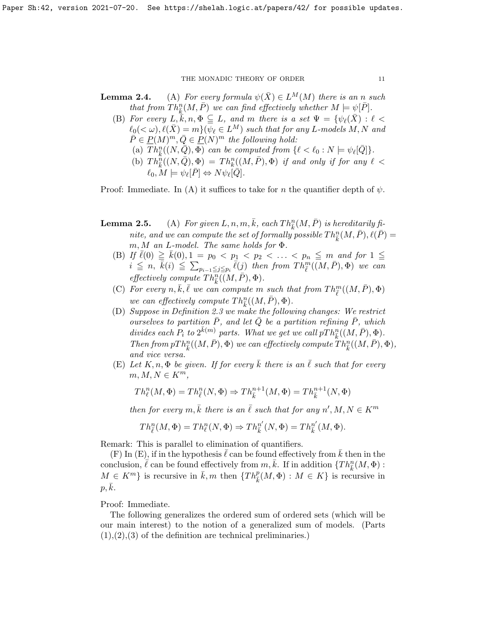- **Lemma 2.4.** (A) For every formula  $\psi(\bar{X}) \in L^M(M)$  there is an n such that from  $Th_{\bar{k}}^n(M, \bar{P})$  we can find effectively whether  $M \models \psi[\bar{P}].$ 
	- (B) For every  $L, \overline{k}, n, \Phi \subseteqq L$ , and m there is a set  $\Psi = {\psi_{\ell}(\overline{X}) : \ell <$  $\ell_0(\langle \omega), \ell(\bar{X}) = m\}(\overline{\psi}_\ell \in L^M)$  such that for any L-models M, N and  $\overline{P} \in \underline{P}(M)^m, \overline{Q} \in \underline{P}(N)^m$  the following hold:
		- (a)  $\overline{Th}_{\overline{k}}^n((N, \overline{Q}), \overline{\Phi})$  can be computed from  $\{\ell < \ell_0 : N \models \psi_\ell[\overline{Q}]\}.$
		- (b)  $Th_{\overline{k}}^{\widetilde{n}}((N,\overline{Q}),\Phi) = Th_{k}^{n}((M,\overline{P}),\Phi)$  if and only if for any  $\ell$  <  $\ell_0, M \models \psi_\ell[\bar{P}] \Leftrightarrow N\psi_\ell[\bar{Q}].$

Proof: Immediate. In (A) it suffices to take for n the quantifier depth of  $\psi$ .

- **Lemma 2.5.** (A) For given  $L, n, m, \overline{k}$ , each  $Th_{\overline{k}}^n(M, \overline{P})$  is hereditarily finite, and we can compute the set of formally possible  $Th_{\bar{k}}^n(M, \bar{P}), \ell(\bar{P}) =$  $m, M$  an L-model. The same holds for  $\Phi$ .
	- (B) If  $\bar{\ell}(0) \geq \bar{k}(0), 1 = p_0 < p_1 < p_2 < \ldots < p_n \leq m$  and for  $1 \leq$  $i \leq n, \bar{k}(i) \leq \sum_{p_{i-1} \leq j \leq p_i} \bar{\ell}(j)$  then from  $Th^m_{\bar{\ell}}(\bar{M}, \bar{P}), \Phi)$  we can effectively compute  $Th^{\widetilde{n}}_{\overline{k}}((M,\overline{P}),\Phi)$ .
	- (C) For every  $n, \overline{k}, \overline{\ell}$  we can compute m such that from  $Th^m_{\overline{\ell}}((M, \overline{P}), \Phi)$ we can effectively compute  $Th_{\bar{k}}^n((M,\bar{P}),\Phi)$ .
	- (D) Suppose in Definition [2.3](#page-9-1) we make the following changes: We restrict ourselves to partition  $P$ , and let  $Q$  be a partition refining  $P$ , which divides each  $P_i$  to  $2^{\bar{k}(m)}$  parts. What we get we call  $pTh_{\bar{k}}^n((M,\bar{P}),\Phi)$ . Then from  $pTh_{\bar{k}}^n((M, \bar{P}), \Phi)$  we can effectively compute  $Th_{\bar{k}}^n((M, \bar{P}), \Phi)$ , and vice versa.
	- (E) Let  $K, n, \Phi$  be given. If for every k there is an  $\ell$  such that for every  $m, M, N \in K^m$ ,

$$
Th^n_\ell(M, \Phi) = Th^n_{\overline{\ell}}(N, \Phi) \Rightarrow Th^{n+1}_{\overline{k}}(M, \Phi) = Th^{n+1}_{\overline{k}}(N, \Phi)
$$

then for every  $m, \overline{k}$  there is an  $\overline{\ell}$  such that for any  $n', M, N \in K^m$ 

$$
Th_{\overline{\ell}}^n(M,\Phi) = Th_{\ell}^n(N,\Phi) \Rightarrow Th_{\overline{k}}^{n'}(N,\Phi) = Th_{\overline{k}}^{n'}(M,\Phi).
$$

Remark: This is parallel to elimination of quantifiers.

(F) In (E), if in the hypothesis  $\ell$  can be found effectively from  $k$  then in the conclusion,  $\ell$  can be found effectively from  $m, \bar{k}$ . If in addition  ${Th_{\bar{k}}^n(M, \Phi)}$ :  $M \in K^m$  is recursive in  $\bar{k}, m$  then  $\{Th_{\bar{k}}^p(M, \Phi) : M \in K\}$  is recursive in  $p, k.$ 

Proof: Immediate.

The following generalizes the ordered sum of ordered sets (which will be our main interest) to the notion of a generalized sum of models. (Parts  $(1), (2), (3)$  of the definition are technical preliminaries.)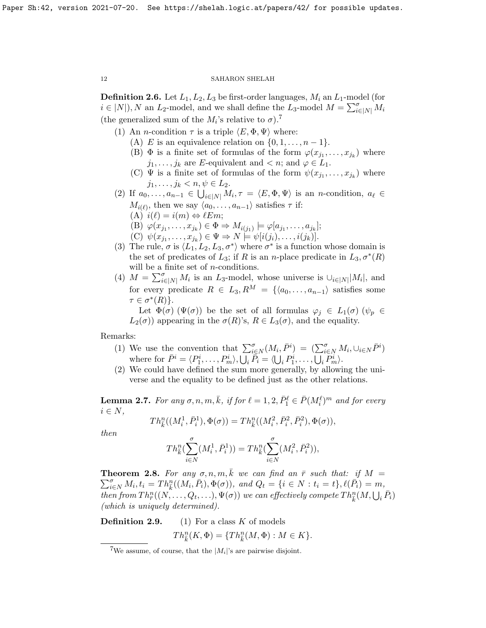**Definition 2.6.** Let  $L_1, L_2, L_3$  be first-order languages,  $M_i$  an  $L_1$ -model (for  $i \in [N]$ , N an  $L_2$ -model, and we shall define the  $L_3$ -model  $M = \sum_{i \in [N]}^{\sigma} M_i$ (the generalized sum of the  $M_i$ 's relative to  $\sigma$ ).<sup>[7](#page-11-0)</sup>

- (1) An *n*-condition  $\tau$  is a triple  $\langle E, \Phi, \Psi \rangle$  where:
	- (A) E is an equivalence relation on  $\{0, 1, \ldots, n-1\}$ .
	- (B)  $\Phi$  is a finite set of formulas of the form  $\varphi(x_{j_1},...,x_{j_k})$  where  $j_1, \ldots, j_k$  are E-equivalent and  $\lt n$ ; and  $\varphi \in L_1$ .
	- (C)  $\Psi$  is a finite set of formulas of the form  $\psi(x_{j_1},...,x_{j_k})$  where  $j_1, \ldots, j_k < n, \psi \in L_2.$
- (2) If  $a_0, \ldots, a_{n-1} \in \bigcup_{i \in [N]} M_i, \tau = \langle E, \Phi, \Psi \rangle$  is an n-condition,  $a_\ell \in$  $M_{i(\ell)}$ , then we say  $\langle a_0, \ldots, a_{n-1} \rangle$  satisfies  $\tau$  if:  $(A)$   $i(\ell) = i(m) \Leftrightarrow \ell Em;$ 
	- (B)  $\varphi(x_{j_1},\ldots,x_{j_k}) \in \Phi \Rightarrow M_{i(j_1)} \models \varphi[a_{j_1},\ldots,a_{j_k}];$
	- (C)  $\psi(x_{j_1},...,x_{j_k}) \in \Psi \Rightarrow N \models \psi[i(j_i),...,i(j_k)].$
- (3) The rule,  $\sigma$  is  $\langle L_1, L_2, L_3, \sigma^* \rangle$  where  $\sigma^*$  is a function whose domain is the set of predicates of  $L_3$ ; if R is an n-place predicate in  $L_3, \sigma^*(R)$ will be a finite set of *n*-conditions.
- (4)  $M = \sum_{i\in[N]}^{\sigma} M_i$  is an  $L_3$ -model, whose universe is  $\cup_{i\in[N]} |M_i|$ , and for every predicate  $R \in L_3, R^M = \{ \langle a_0, \ldots, a_{n-1} \rangle \}$  satisfies some  $\tau \in \sigma^*(R)$ .

Let  $\Phi(\sigma)$  ( $\Psi(\sigma)$ ) be the set of all formulas  $\varphi_i \in L_1(\sigma)$  ( $\psi_p \in L_2(\sigma)$ )  $L_2(\sigma)$  appearing in the  $\sigma(R)$ 's,  $R \in L_3(\sigma)$ , and the equality.

Remarks:

- (1) We use the convention that  $\sum_{i\in N}^{\sigma}(M_i,\bar{P}^i) = (\sum_{i\in N}^{\sigma}M_i,\cup_{i\in N}\bar{P}^i)$ where for  $\bar{P}^i = \langle P_1^i, \ldots, P_m^i \rangle$ ,  $\overline{\bigcup_i} \overline{\tilde{P}_i} = \langle \bigcup_i P_1^i, \ldots, \overline{\bigcup_i} \overline{P}_m^i \rangle$ .
- (2) We could have defined the sum more generally, by allowing the universe and the equality to be defined just as the other relations.

<span id="page-11-2"></span>**Lemma 2.7.** For any  $\sigma$ ,  $n$ ,  $m$ ,  $\bar{k}$ , if for  $\ell = 1, 2, \bar{P}_1^{\ell} \in \bar{P}(M_i^{\ell})^m$  and for every  $i \in N$ ,

$$
Th^n_{\bar{k}}((M^1_i, \bar{P}^1_i), \Phi(\sigma)) = Th^n_{\bar{k}}((M^2_i, \bar{P}^2_i, \bar{P}^2_i), \Phi(\sigma)),
$$

then

$$
Th_{\bar{k}}^{n}(\sum_{i\in N}^{\sigma}(M_{i}^{1}, \bar{P}_{i}^{1})) = Th_{\bar{k}}^{n}(\sum_{i\in N}^{\sigma}(M_{i}^{2}, \bar{P}_{i}^{2})),
$$

<span id="page-11-1"></span>**Theorem 2.8.** For any  $\sigma, n, m, \overline{k}$  we can find an  $\overline{r}$  such that: if  $M =$  $\sum_{i \in N}^{\sigma} M_i, t_i = Th_{\overline{k}}^n((M_i, \overline{P}_i), \Phi(\sigma)), \text{ and } Q_t = \{i \in N : t_i = t\}, \ell(\overline{P}_i) = m,$ then from  $Th^n_{\bar{r}}((N, \ldots, Q_t, \ldots), \Psi(\sigma))$  we can effectively compete  $Th^n_{\bar{k}}(M, \bigcup_i \bar{P}_i)$ (which is uniquely determined).

**Definition 2.9.** (1) For a class  $K$  of models  $Th_{\bar{k}}^{n}(K, \Phi) = \{Th_{\bar{k}}^{n}(M, \Phi) : M \in K\}.$ 

<span id="page-11-0"></span><sup>&</sup>lt;sup>7</sup>We assume, of course, that the  $|M_i|$ 's are pairwise disjoint.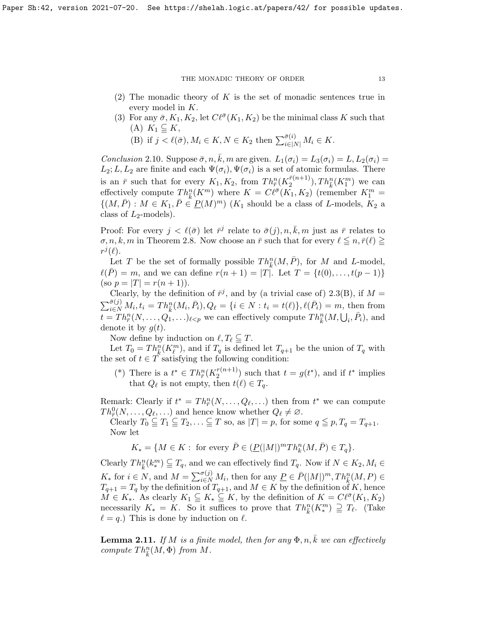- (2) The monadic theory of  $K$  is the set of monadic sentences true in every model in K.
- (3) For any  $\bar{\sigma}$ ,  $K_1, K_2$ , let  $C\ell^{\bar{\sigma}}(K_1, K_2)$  be the minimal class K such that (A)  $K_1 \subseteq K$ ,
	- (B) if  $j < \ell(\bar{\sigma}), M_i \in K, N \in K_2$  then  $\sum_{i \in |N|}^{\bar{\sigma}(i)} M_i \in K$ .

<span id="page-12-1"></span>Conclusion 2.10. Suppose  $\bar{\sigma}$ ,  $n, \bar{k}$ ,  $m$  are given.  $L_1(\sigma_i) = L_3(\sigma_i) = L$ ,  $L_2(\sigma_i) = L_3(\sigma_i)$  $L_2; L, L_2$  are finite and each  $\Psi(\sigma_i), \Psi(\sigma_i)$  is a set of atomic formulas. There is an  $\bar{r}$  such that for every  $K_1, K_2$ , from  $Th_{\bar{r}}^n(K_2^{\bar{r}(n+1)})$  $\binom{\bar{r}(n+1)}{2}$ ,  $Th_{\bar{k}}^n(K_1^m)$  we can effectively compute  $Th_k^n(K^m)$  where  $K = C\ell^{\bar{\sigma}}(K_1, K_2)$  (remember  $K_1^m =$  $\{(M, \overline{P}) : M \in K_1, \overline{P} \in {\mathcal{P}}(M)^m \mid (K_1 \text{ should be a class of } L\text{-models}, K_2 \text{ a})\}$ class of  $L_2$ -models).

Proof: For every  $j < \ell(\bar{\sigma})$  let  $\bar{r}^j$  relate to  $\bar{\sigma}(j), n, \bar{k}, m$  just as  $\bar{r}$  relates to  $\sigma, n, k, m$  in Theorem [2.8.](#page-11-1) Now choose an  $\bar{r}$  such that for every  $\ell \leq n, \bar{r}(\ell) \geq$  $r^j(\ell)$ .

Let T be the set of formally possible  $Th_{\bar{k}}^n(M, \bar{P})$ , for M and L-model,  $\ell(P) = m$ , and we can define  $r(n + 1) = |T|$ . Let  $T = \{t(0), \ldots, t(p-1)\}\$ (so  $p = |T| = r(n + 1)$ ).

Clearly, by the definition of  $\bar{r}^j$ , and by (a trivial case of) [2.3\(](#page-9-1)B), if  $M =$  $\sum_{i \in N}^{\bar{\sigma}(j)} M_i, t_i = Th_{\bar{k}}^n(M_i, \bar{P}_i), Q_\ell = \{i \in N : t_i = t(\ell)\}, \ell(\bar{P}_i) = m$ , then from  $t = Th_{\bar{r}}^n(N, \ldots, Q_1, \ldots)_{\ell < p}$  we can effectively compute  $Th_{\bar{k}}^n(M, \bigcup_i, \bar{P}_i)$ , and denote it by  $q(t)$ .

Now define by induction on  $\ell, T_{\ell} \subseteq T$ .

Let  $T_0 = Th_{\overline{k}}^n(K_{\ell}^m)$ , and if  $T_q$  is defined let  $T_{q+1}$  be the union of  $T_q$  with the set of  $t \in T$  satisfying the following condition:

(\*) There is a  $t^* \in Th^n_{\overline{r}}(K_2^{r(n+1)})$  $\binom{r(n+1)}{2}$  such that  $t = g(t^*)$ , and if  $t^*$  implies that  $Q_{\ell}$  is not empty, then  $t(\ell) \in T_q$ .

Remark: Clearly if  $t^* = Th^n_{\overline{r}}(N,\ldots,Q_\ell,\ldots)$  then from  $t^*$  we can compute  $Th_{\overline{r}}^0(N,\ldots,Q_\ell,\ldots)$  and hence know whether  $Q_\ell \neq \emptyset$ .

Clearly  $T_0 \subseteq T_1 \subseteq T_2, \ldots \subseteq T$  so, as  $|T| = p$ , for some  $q \leq p$ ,  $T_q = T_{q+1}$ . Now let

$$
K_* = \{ M \in K : \text{ for every } \overline{P} \in (\underline{P}(|M|)^m Th_k^n(M, \overline{P}) \in T_q \}.
$$

Clearly  $Th_{\bar{k}}^{n}(k_{*}^{m}) \subseteq T_{q}$ , and we can effectively find  $T_{q}$ . Now if  $N \in K_{2}, M_{i} \in$  $K_*$  for  $i \in N$ , and  $M = \sum_{i \in N}^{\sigma(j)} M_i$ , then for any  $\underline{P} \in \overline{P}(|M|)^m, Th_{\overline{k}}^n(M, P) \in$  $T_{q+1} = T_q$  by the definition of  $T_{q+1}$ , and  $M \in K$  by the definition of K, hence  $M \in K_*$ . As clearly  $K_1 \subseteq K_* \subseteq K$ , by the definition of  $K = C\ell^{\bar{\sigma}}(K_1, K_2)$ necessarily  $K_* = K$ . So it suffices to prove that  $Th_{\bar{k}}^n(K_*^m) \supseteq T_{\ell}$ . (Take  $\ell = q.$ ) This is done by induction on  $\ell$ .

<span id="page-12-0"></span>**Lemma 2.11.** If M is a finite model, then for any  $\Phi$ ,  $n$ ,  $\overline{k}$  we can effectively compute  $Th_{\bar{k}}^n(M, \Phi)$  from M.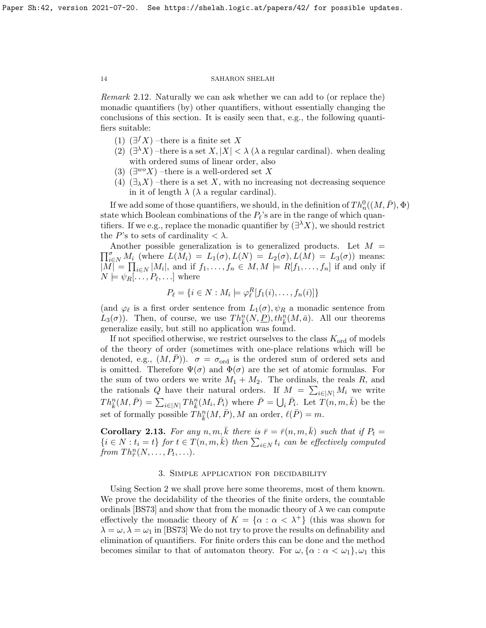Remark 2.12. Naturally we can ask whether we can add to (or replace the) monadic quantifiers (by) other quantifiers, without essentially changing the conclusions of this section. It is easily seen that, e.g., the following quantifiers suitable:

- (1)  $(\exists^{f} X)$  –there is a finite set X
- (2)  $(\exists^{\lambda} X)$  –there is a set  $X, |X| < \lambda$  ( $\lambda$  a regular cardinal). when dealing with ordered sums of linear order, also
- (3)  $(\exists^{wo} X)$  -there is a well-ordered set X
- (4)  $(\exists_{\lambda} X)$  –there is a set X, with no increasing not decreasing sequence in it of length  $\lambda$  ( $\lambda$  a regular cardinal).

If we add some of those quantifiers, we should, in the definition of  $Th_n^0((M, \bar{P}), \Phi)$ state which Boolean combinations of the  $P_{\ell}$ 's are in the range of which quantifiers. If we e.g., replace the monadic quantifier by  $(\exists^{\lambda} X)$ , we should restrict the P's to sets of cardinality  $\langle \lambda \rangle$ .

 $\prod_{i\in N}^{\sigma} M_i$  (where  $L(M_i) = L_1(\sigma), L(N) = L_2(\sigma), L(M) = L_3(\sigma)$ ) means: Another possible generalization is to generalized products. Let  $M =$  $|M| = \prod_{i \in N} |M_i|$ , and if  $f_1, \ldots, f_n \in M, M \models R[f_1, \ldots, f_n]$  if and only if  $N \models \psi_R[... , P_{\ell},...]$  where

$$
P_{\ell} = \{i \in N : M_i \models \varphi_{\ell}^R[f_1(i), \dots, f_n(i)]\}
$$

(and  $\varphi_{\ell}$  is a first order sentence from  $L_1(\sigma)$ ,  $\psi_R$  a monadic sentence from  $L_3(\sigma)$ ). Then, of course, we use  $Th_{\bar{k}}^n(N, \underline{P}), th_{\bar{k}}^n(M, \bar{a})$ . All our theorems generalize easily, but still no application was found.

If not specified otherwise, we restrict ourselves to the class  $K_{\text{ord}}$  of models of the theory of order (sometimes with one-place relations which will be denoted, e.g.,  $(M, P)$ ).  $\sigma = \sigma_{\text{ord}}$  is the ordered sum of ordered sets and is omitted. Therefore  $\Psi(\sigma)$  and  $\Phi(\sigma)$  are the set of atomic formulas. For the sum of two orders we write  $M_1 + M_2$ . The ordinals, the reals R, and the rationals Q have their natural orders. If  $M = \sum_{i \in [N]} M_i$  we write  $Th_{\bar{k}}^n(M,\bar{P}) = \sum_{i\in[N]} Th_{\bar{k}}^n(M_i,\bar{P}_i)$  where  $\bar{P} = \bigcup_i \bar{P}_i$ . Let  $T(n,m,\bar{k})$  be the set of formally possible  $Th_{\bar{k}}^n(M, \bar{P}), M$  an order,  $\ell(\bar{P}) = m$ .

<span id="page-13-0"></span>**Corollary 2.13.** For any  $n, m, \overline{k}$  there is  $\overline{r} = \overline{r}(n, m, \overline{k})$  such that if  $P_t =$  $\{i \in N : t_i = t\}$  for  $t \in T(n, m, \overline{k})$  then  $\sum_{i \in N} t_i$  can be effectively computed from  $Th^n_{\bar{r}}(N,\ldots,P_t,\ldots)$ .

# 3. Simple application for decidability

Using Section 2 we shall prove here some theorems, most of them known. We prove the decidability of the theories of the finite orders, the countable ordinals [\[BS73\]](#page-37-3) and show that from the monadic theory of  $\lambda$  we can compute effectively the monadic theory of  $K = {\alpha : \alpha < \lambda^+}$  (this was shown for  $\lambda = \omega, \lambda = \omega_1$  in [\[BS73\]](#page-37-3) We do not try to prove the results on definability and elimination of quantifiers. For finite orders this can be done and the method becomes similar to that of automaton theory. For  $\omega$ ,  $\{\alpha : \alpha < \omega_1\}$ ,  $\omega_1$  this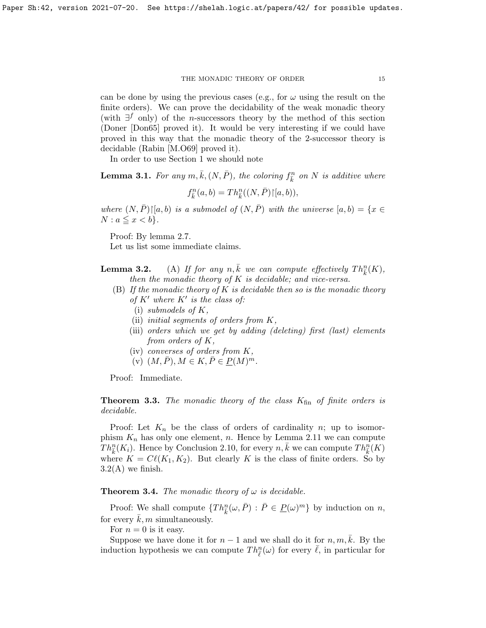can be done by using the previous cases (e.g., for  $\omega$  using the result on the finite orders). We can prove the decidability of the weak monadic theory (with  $\exists^{f}$  only) of the *n*-successors theory by the method of this section (Doner [\[Don65\]](#page-37-7) proved it). It would be very interesting if we could have proved in this way that the monadic theory of the 2-successor theory is decidable (Rabin [\[M.O69\]](#page-38-3) proved it).

In order to use Section 1 we should note

<span id="page-14-1"></span>**Lemma 3.1.** For any  $m, \bar{k}, (N, \bar{P})$ , the coloring  $f_{\bar{k}}^n$  on N is additive where

 $f_{\bar{k}}^{n}(a,b) = Th_{\bar{k}}^{n}((N,\bar{P})\rceil [a,b)),$ 

where  $(N, \overline{P})\vert [a, b]$  is a submodel of  $(N, \overline{P})$  with the universe  $[a, b) = \{x \in$  $N : a \leq x < b$ .

Proof: By lemma [2.7.](#page-11-2)

Let us list some immediate claims.

**Lemma 3.2.** (A) If for any  $n, \overline{k}$  we can compute effectively  $Th_{\overline{k}}^n(K)$ , then the monadic theory of  $K$  is decidable; and vice-versa.

- (B) If the monadic theory of  $K$  is decidable then so is the monadic theory of  $K'$  where  $K'$  is the class of:
	- (i) submodels of  $K$ ,
	- (ii) initial segments of orders from K,
	- (iii) orders which we get by adding (deleting) first (last) elements from orders of K,
	- (iv) converses of orders from K,
	- $(v)$   $(M, \overline{P}), M \in K, \overline{P} \in \underline{P}(M)^m$ .

Proof: Immediate.

<span id="page-14-0"></span>**Theorem 3.3.** The monadic theory of the class  $K_{fin}$  of finite orders is decidable.

Proof: Let  $K_n$  be the class of orders of cardinality n; up to isomorphism  $K_n$  has only one element, n. Hence by Lemma [2.11](#page-12-0) we can compute  $Th_{\bar{k}}^n(K_i)$ . Hence by Conclusion [2.10,](#page-12-1) for every  $n, \bar{k}$  we can compute  $Th_{\bar{k}}^n(K)$ where  $K = \mathcal{C}\ell(K_1, K_2)$ . But clearly K is the class of finite orders. So by  $3.2(A)$  $3.2(A)$  we finish.

<span id="page-14-2"></span>**Theorem 3.4.** The monadic theory of  $\omega$  is decidable.

Proof: We shall compute  $\{Th_{\bar{k}}^n(\omega,\bar{P}) : \bar{P} \in \underline{P}(\omega)^m\}$  by induction on *n*, for every  $k, m$  simultaneously.

For  $n = 0$  is it easy.

Suppose we have done it for  $n-1$  and we shall do it for  $n, m, k$ . By the induction hypothesis we can compute  $Th_{\bar{\ell}}^n(\omega)$  for every  $\bar{\ell}$ , in particular for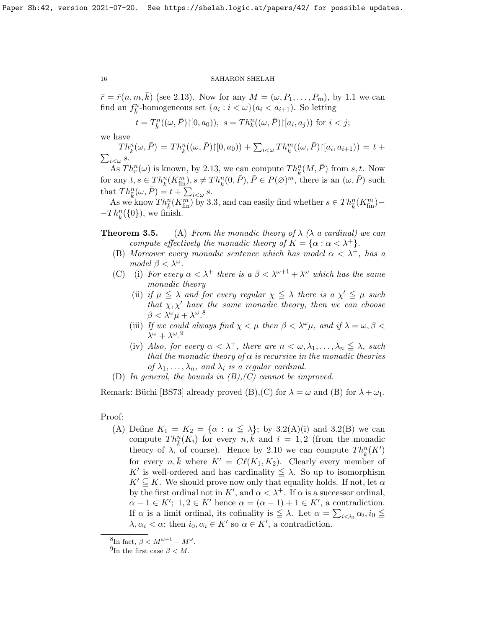$\bar{r} = \bar{r}(n, m, k)$  (see [2.13\)](#page-13-0). Now for any  $M = (\omega, P_1, \dots, P_m)$ , by [1.1](#page-5-0) we can find an  $f_{\bar{k}}^n$ -homogeneous set  $\{a_i : i < \omega\}(a_i < a_{i+1})$ . So letting

$$
t = T_k^n((\omega, \bar{P}) \mid [0, a_0)), s = Th_k^n((\omega, \bar{P}) \mid [a_i, a_j))
$$
 for  $i < j;$ 

we have

$$
Th_{\overline{k}}^n(\omega,\overline{P}) = Th_{\overline{k}}^n((\omega,\overline{P})\upharpoonright [0,a_0)) + \sum_{i<\omega} Th_{\overline{k}}^m((\omega,\overline{P})\upharpoonright [a_i,a_{i+1})) = t + \sum_{i<\omega} s.
$$

As  $Th_r^n(\omega)$  is known, by [2.13,](#page-13-0) we can compute  $Th_{\bar{k}}^n(M, \bar{P})$  from  $s, t$ . Now for any  $t, s \in Th_{\overline{k}}^n(K_{\text{fin}}^m), s \neq Th_{\overline{k}}^n(0, \overline{P}), \overline{P} \in \underline{P}(\varnothing)^m$ , there is an  $(\omega, \overline{P})$  such that  $Th_{\bar{k}}^n(\omega,\bar{P}) = t + \sum_{i < \omega} s$ .

As we know  $Th_k^n(K_{\text{fin}}^m)$  by [3.3,](#page-14-0) and can easily find whether  $s \in Th_k^n(K_{\text{fin}}^m)$  –  $-Th_{\bar{k}}^n({0}),$  we finish.

- **Theorem 3.5.** (A) From the monadic theory of  $\lambda$  ( $\lambda$  a cardinal) we can compute effectively the monadic theory of  $K = {\alpha : \alpha < \lambda^+}.$ 
	- (B) Moreover every monadic sentence which has model  $\alpha < \lambda^+$ , has a model  $\beta < \lambda^{\omega}$ .
	- (C) (i) For every  $\alpha < \lambda^+$  there is  $a \beta < \lambda^{\omega+1} + \lambda^{\omega}$  which has the same monadic theory
		- (ii) if  $\mu \leq \lambda$  and for every regular  $\chi \leq \lambda$  there is a  $\chi' \leq \mu$  such that  $\chi, \chi'$  have the same monadic theory, then we can choose  $\beta < \lambda^{\omega} \mu + \lambda^{\omega}$ .<sup>[8](#page-15-0)</sup>
		- (iii) If we could always find  $\chi < \mu$  then  $\beta < \lambda^{\omega} \mu$ , and if  $\lambda = \omega, \beta < \lambda$  $\lambda^{\omega} + \lambda^{\omega}$ .<sup>[9](#page-15-1)</sup>
		- (iv) Also, for every  $\alpha < \lambda^+$ , there are  $n < \omega, \lambda_1, \ldots, \lambda_n \leq \lambda$ , such that the monadic theory of  $\alpha$  is recursive in the monadic theories of  $\lambda_1, \ldots, \lambda_n$ , and  $\lambda_i$  is a regular cardinal.
	- (D) In general, the bounds in  $(B), (C)$  cannot be improved.

Remark: Büchi [\[BS73\]](#page-37-3) already proved (B), (C) for  $\lambda = \omega$  and (B) for  $\lambda + \omega_1$ .

# Proof:

(A) Define  $K_1 = K_2 = {\alpha : \alpha \leq \lambda}$ ; by [3.2\(](#page-0-0)A)(i) and 3.2(B) we can compute  $Th_{\overline{k}}^n(K_i)$  for every  $\overline{n}, \overline{k}$  and  $i = 1, 2$  (from the monadic theory of  $\lambda$ , of course). Hence by [2.10](#page-12-1) we can compute  $Th_{\bar{k}}^n(K')$ for every  $n, \bar{k}$  where  $K' = C\ell(K_1, K_2)$ . Clearly every member of K' is well-ordered and has cardinality  $\leq \lambda$ . So up to isomorphism  $K' \subseteq K$ . We should prove now only that equality holds. If not, let  $\alpha$ by the first ordinal not in  $K'$ , and  $\alpha < \lambda^+$ . If  $\alpha$  is a successor ordinal,  $\alpha - 1 \in K'$ ;  $1, 2 \in K'$  hence  $\alpha = (\alpha - 1) + 1 \in K'$ , a contradiction. If  $\alpha$  is a limit ordinal, its cofinality is  $\leq \lambda$ . Let  $\alpha = \sum_{i \leq i_0} \alpha_i, i_0 \leq$  $\lambda, \alpha_i < \alpha$ ; then  $i_0, \alpha_i \in K'$  so  $\alpha \in K'$ , a contradiction.

<span id="page-15-0"></span><sup>&</sup>lt;sup>8</sup>In fact,  $\beta < M^{\omega+1} + M^{\omega}$ .

<span id="page-15-1"></span><sup>&</sup>lt;sup>9</sup>In the first case  $\beta < M$ .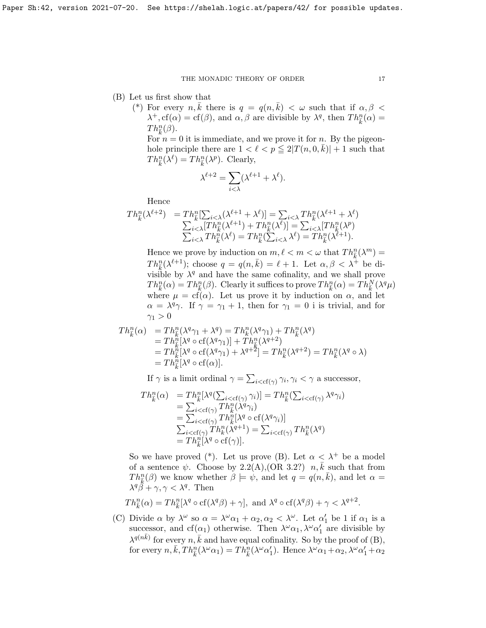- (B) Let us first show that
	- (\*) For every  $n, \bar{k}$  there is  $q = q(n, \bar{k}) < \omega$  such that if  $\alpha, \beta <$  $\lambda^+, \text{cf}(\alpha) = \text{cf}(\beta)$ , and  $\alpha, \beta$  are divisible by  $\lambda^q$ , then  $Th_k^n(\alpha) =$  $Th_{\bar{k}}^n(\beta)$ .

For  $n = 0$  it is immediate, and we prove it for n. By the pigeonhole principle there are  $1 < \ell < p \leq 2|T(n, 0, \bar{k})| + 1$  such that  $Th_{\bar{k}}^n(\lambda^{\ell}) = Th_{\bar{k}}^n(\lambda^p)$ . Clearly,

$$
\lambda^{\ell+2} = \sum_{i < \lambda} (\lambda^{\ell+1} + \lambda^{\ell}).
$$

Hence

$$
Th_{\tilde{k}}^n(\lambda^{\ell+2}) = Th_{\tilde{k}}^n[\sum_{i<\lambda}(\lambda^{\ell+1} + \lambda^{\ell})] = \sum_{i<\lambda} Th_{\tilde{k}}^n(\lambda^{\ell+1} + \lambda^{\ell})
$$
  

$$
\sum_{i<\lambda} [Th_{\tilde{k}}^n(\lambda^{\ell+1}) + Th_{\tilde{k}}^n(\lambda^{\ell})] = \sum_{i<\lambda} [Th_{\tilde{k}}^n(\lambda^p)
$$
  

$$
\sum_{i<\lambda} Th_{\tilde{k}}^n(\lambda^{\ell}) = Th_{\tilde{k}}^n(\sum_{i<\lambda} \lambda^{\ell}) = Th_{\tilde{k}}^n(\lambda^{\ell+1}).
$$

Hence we prove by induction on  $m, \ell < m < \omega$  that  $Th_{\overline{k}}^n(\lambda^m) =$  $Th_{\bar{k}}^n(\lambda^{\ell+1})$ ; choose  $q = q(n,\bar{k}) = \ell + 1$ . Let  $\alpha, \beta < \lambda^+$  be divisible by  $\lambda^q$  and have the same cofinality, and we shall prove  $Th_{\bar{k}}^n(\alpha) = Th_{\bar{k}}^n(\beta)$ . Clearly it suffices to prove  $Th_{\bar{k}}^n(\alpha) = Th_{\bar{k}}^N(\lambda^q\mu)$ where  $\mu = cf(\alpha)$ . Let us prove it by induction on  $\alpha$ , and let  $\alpha = \lambda^q \gamma$ . If  $\gamma = \gamma_1 + 1$ , then for  $\gamma_1 = 0$  i is trivial, and for  $\gamma_1 > 0$ 

$$
Th_{\overline{k}}^n(\alpha) = Th_{\overline{k}}^n(\lambda^q \gamma_1 + \lambda^q) = Th_{\overline{k}}^n(\lambda^q \gamma_1) + Th_{\overline{k}}^n(\lambda^q)
$$
  
\n
$$
= Th_{\overline{k}}^n[\lambda^q \circ cf(\lambda^q \gamma_1)] + Th_{\overline{k}}^n(\lambda^{q+2})
$$
  
\n
$$
= Th_{\overline{k}}^n[\lambda^q \circ cf(\lambda^q \gamma_1) + \lambda^{q+\overline{2}}] = Th_{\overline{k}}^n(\lambda^{q+2}) = Th_{\overline{k}}^n(\lambda^q \circ \lambda)
$$
  
\n
$$
= Th_{\overline{k}}^n[\lambda^q \circ cf(\alpha)].
$$

If  $\gamma$  is a limit ordinal  $\gamma = \sum_{i < cf(\gamma)} \gamma_i, \gamma_i < \gamma$  a successor,

$$
Th_{\overline{k}}^n(\alpha) = Th_{\overline{k}}^n[\lambda^q(\sum_{i < cf(\gamma)} \gamma_i)] = Th_{\overline{k}}^n(\sum_{i < cf(\gamma)} \lambda^q \gamma_i)
$$
\n
$$
= \sum_{i < cf(\gamma)} Th_{\overline{k}}^n(\lambda^q \gamma_i)
$$
\n
$$
= \sum_{i < cf(\gamma)} Th_{\overline{k}}^n[\lambda^q \circ cf(\lambda^q \gamma_i)]
$$
\n
$$
\sum_{i < cf(\gamma)} Th_{\overline{k}}^n(\lambda^{q+1}) = \sum_{i < cf(\gamma)} Th_{\overline{k}}^n(\lambda^q)
$$
\n
$$
= Th_{\overline{k}}^n[\lambda^q \circ cf(\gamma)].
$$

So we have proved (\*). Let us prove (B). Let  $\alpha < \lambda^+$  be a model of a sentence  $\psi$ . Choose by [2.2\(](#page-9-0)A), (OR 3.2?)  $n, \overline{k}$  such that from  $Th_{\overline{k}}^n(\beta)$  we know whether  $\beta \models \psi$ , and let  $q = q(n, \overline{k})$ , and let  $\alpha =$  $\lambda^q \ddot{\beta} + \gamma, \gamma < \lambda^q$ . Then

$$
Th_{\bar{k}}^n(\alpha) = Th_{\bar{k}}^n[\lambda^q \circ cf(\lambda^q \beta) + \gamma], \text{ and } \lambda^q \circ cf(\lambda^q \beta) + \gamma < \lambda^{q+2}.
$$

(C) Divide  $\alpha$  by  $\lambda^{\omega}$  so  $\alpha = \lambda^{\omega} \alpha_1 + \alpha_2, \alpha_2 < \lambda^{\omega}$ . Let  $\alpha'_1$  be 1 if  $\alpha_1$  is a successor, and cf( $\alpha_1$ ) otherwise. Then  $\lambda^{\omega}\alpha_1, \lambda^{\omega}\alpha_1'$  are divisible by  $\lambda^{q(n\bar{k})}$  for every  $n, \bar{k}$  and have equal cofinality. So by the proof of (B), for every  $n, \bar{k}, Th_{\bar{k}}^n(\lambda^{\omega}\alpha_1) = Th_{\bar{k}}^n(\lambda^{\omega}\alpha'_1)$ . Hence  $\lambda^{\omega}\alpha_1 + \alpha_2, \lambda^{\omega}\alpha'_1 + \alpha_2$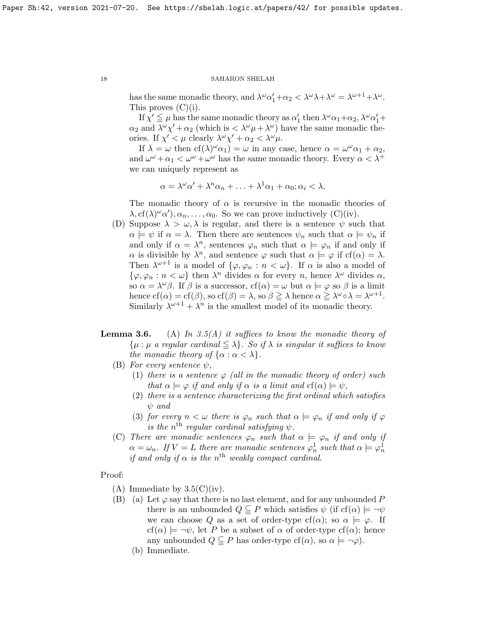has the same monadic theory, and  $\lambda^{\omega} \alpha'_1 + \alpha_2 < \lambda^{\omega} \lambda + \lambda^{\omega} = \lambda^{\omega+1} + \lambda^{\omega}$ . This proves  $(C)(i)$ .

If  $\chi' \leq \mu$  has the same monadic theory as  $\alpha'_1$  then  $\lambda^\omega \alpha_1 + \alpha_2$ ,  $\lambda^\omega \alpha'_1 +$  $\alpha_2$  and  $\lambda^{\omega}\chi' + \alpha_2$  (which is  $\langle \lambda^{\omega}\mu + \lambda^{\omega} \rangle$ ) have the same monadic theories. If  $\chi' < \mu$  clearly  $\lambda^{\omega}\chi' + \alpha_2 < \lambda^{\omega}\mu$ .

If  $\lambda = \omega$  then  $cf(\lambda)^{\omega} \alpha_1$  =  $\omega$  in any case, hence  $\alpha = \omega^{\omega} \alpha_1 + \alpha_2$ , and  $\omega^{\omega} + \alpha_1 < \omega^{\omega} + \omega^{\omega}$  has the same monadic theory. Every  $\alpha < \lambda^+$ we can uniquely represent as

$$
\alpha = \lambda^{\omega} \alpha' + \lambda^{n} \alpha_{n} + \ldots + \lambda^{1} \alpha_{1} + \alpha_{0}; \alpha_{i} < \lambda.
$$

The monadic theory of  $\alpha$  is recursive in the monadic theories of  $\lambda, \text{cf}(\lambda)^\omega \alpha', \alpha_n, \ldots, \alpha_0$ . So we can prove inductively (C)(iv).

- (D) Suppose  $\lambda > \omega, \lambda$  is regular, and there is a sentence  $\psi$  such that  $\alpha \models \psi$  if  $\alpha = \lambda$ . Then there are sentences  $\psi_n$  such that  $\alpha \models \psi_n$  if and only if  $\alpha = \lambda^n$ , sentences  $\varphi_n$  such that  $\alpha \models \varphi_n$  if and only if  $\alpha$  is divisible by  $\lambda^n$ , and sentence  $\varphi$  such that  $\alpha \models \varphi$  if  $cf(\alpha) = \lambda$ . Then  $\lambda^{\omega+1}$  is a model of  $\{\varphi, \varphi_n : n < \omega\}$ . If  $\alpha$  is also a model of  $\{\varphi, \varphi_n : n < \omega\}$  then  $\lambda^n$  divides  $\alpha$  for every n, hence  $\lambda^\omega$  divides  $\alpha$ , so  $\alpha = \lambda^{\omega}\beta$ . If  $\beta$  is a successor,  $cf(\alpha) = \omega$  but  $\alpha \models \varphi$  so  $\beta$  is a limit hence  $cf(\alpha) = cf(\beta)$ , so  $cf(\beta) = \lambda$ , so  $\beta \ge \lambda$  hence  $\alpha \ge \lambda^{\omega} \circ \lambda = \lambda^{\omega+1}$ . Similarly  $\lambda^{\omega+1} + \lambda^n$  is the smallest model of its monadic theory.
- **Lemma 3.6.** (A) In [3.5\(](#page-0-0)A) it suffices to know the monadic theory of  $\{\mu : \mu \text{ a regular cardinal } \leq \lambda\}.$  So if  $\lambda$  is singular it suffices to know the monadic theory of  $\{\alpha : \alpha < \lambda\}.$ 
	- (B) For every sentence  $\psi$ ,
		- (1) there is a sentence  $\varphi$  (all in the monadic theory of order) such that  $\alpha \models \varphi$  if and only if  $\alpha$  is a limit and  $cf(\alpha) \models \psi$ ,
		- (2) there is a sentence characterizing the first ordinal which satisfies ψ and
		- (3) for every  $n < \omega$  there is  $\varphi_n$  such that  $\alpha \models \varphi_n$  if and only if  $\varphi$ is the n<sup>th</sup> regular cardinal satisfying  $\psi$ .
	- (C) There are monadic sentences  $\varphi_n$  such that  $\alpha \models \varphi_n$  if and only if  $\alpha = \omega_n$ . If  $V = L$  there are monadic sentences  $\varphi_n^1$  such that  $\alpha \models \varphi_n^1$ if and only if  $\alpha$  is the n<sup>th</sup> weakly compact cardinal.

Proof:

- $(A)$  Immediate by  $3.5(C)(iv)$ .
- (B) (a) Let  $\varphi$  say that there is no last element, and for any unbounded P there is an unbounded  $Q \subseteq P$  which satisfies  $\psi$  (if cf( $\alpha$ )  $\models \neg \psi$ we can choose Q as a set of order-type cf( $\alpha$ ); so  $\alpha \models \varphi$ . If  $cf(\alpha) \models \neg \psi$ , let P be a subset of  $\alpha$  of order-type  $cf(\alpha)$ ; hence any unbounded  $Q \subseteq P$  has order-type cf( $\alpha$ ), so  $\alpha \models \neg \varphi$ ).
	- (b) Immediate.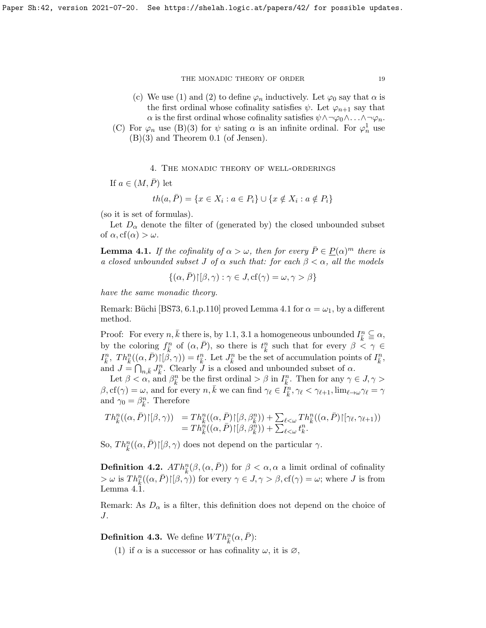- (c) We use (1) and (2) to define  $\varphi_n$  inductively. Let  $\varphi_0$  say that  $\alpha$  is the first ordinal whose cofinality satisfies  $\psi$ . Let  $\varphi_{n+1}$  say that  $\alpha$  is the first ordinal whose cofinality satisfies  $\psi \wedge \neg \varphi_0 \wedge \ldots \wedge \neg \varphi_n$ .
- (C) For  $\varphi_n$  use (B)(3) for  $\psi$  sating  $\alpha$  is an infinite ordinal. For  $\varphi_n^1$  use (B)(3) and Theorem [0.1](#page-2-0) (of Jensen).

# 4. The monadic theory of well-orderings

If  $a \in (M, \bar{P})$  let

$$
th(a, \overline{P}) = \{x \in X_i : a \in P_i\} \cup \{x \notin X_i : a \notin P_i\}
$$

(so it is set of formulas).

Let  $D_{\alpha}$  denote the filter of (generated by) the closed unbounded subset of  $\alpha$ , cf( $\alpha$ ) >  $\omega$ .

<span id="page-18-0"></span>**Lemma 4.1.** If the cofinality of  $\alpha > \omega$ , then for every  $\bar{P} \in \underline{P}(\alpha)^m$  there is a closed unbounded subset J of  $\alpha$  such that: for each  $\beta < \alpha$ , all the models

$$
\{(\alpha,\bar{P})\}\ [\beta,\gamma) : \gamma \in J, \text{cf}(\gamma) = \omega, \gamma > \beta\}
$$

have the same monadic theory.

Remark: Büchi [\[BS73,](#page-37-3) 6.1, p.110] proved Lemma [4.1](#page-18-0) for  $\alpha = \omega_1$ , by a different method.

Proof: For every  $n, \bar{k}$  there is, by [1.1,](#page-5-0) [3.1](#page-14-1) a homogeneous unbounded  $I_{\bar{k}}^n \subseteq \alpha$ , by the coloring  $f_{\bar{k}}^n$  of  $(\alpha, \bar{P})$ , so there is  $t_{\bar{k}}^n$  such that for every  $\beta \stackrel{\kappa}{\leq} \gamma \in$  $I_{\bar{k}}^n$ ,  $Th_{\bar{k}}^n((\alpha,\bar{P})\upharpoonright[\beta,\gamma))=t_{\bar{k}}^n$ . Let  $J_{\bar{k}}^n$  be the set of accumulation points of  $I_{\bar{k}}^n$ , and  $J = \bigcap_{n,\bar{k}} J_{\bar{k}}^n$ . Clearly  $J$  is a closed and unbounded subset of  $\alpha$ .

Let  $\beta < \alpha$ , and  $\beta_k^n$  be the first ordinal  $> \beta$  in  $I_k^n$ . Then for any  $\gamma \in J$ ,  $\gamma >$  $\beta, \text{cf}(\gamma) = \omega$ , and for every  $n, \bar{k}$  we can find  $\gamma_{\ell} \in I_{\bar{k}}^n, \gamma_{\ell} < \gamma_{\ell+1}, \lim_{\ell \to \omega} \gamma_{\ell} = \gamma$ and  $\gamma_0 = \beta_{\overline{k}}^n$ . Therefore

$$
Th_k^n((\alpha, \bar{P}) \upharpoonright [\beta, \gamma)) = Th_k^n((\alpha, \bar{P}) \upharpoonright [\beta, \beta_k^n)) + \sum_{\ell < \omega} Th_k^n((\alpha, \bar{P}) \upharpoonright [\gamma_{\ell}, \gamma_{\ell+1}))
$$
  
= 
$$
Th_k^n((\alpha, \bar{P}) \upharpoonright [\beta, \beta_k^n)) + \sum_{\ell < \omega} t_k^n.
$$

So,  $Th_{\bar{k}}^n((\alpha,\bar{P}){\upharpoonright}[\beta,\gamma)$  does not depend on the particular  $\gamma$ .

**Definition 4.2.**  $ATh_{\bar{k}}^n(\beta, (\alpha, \bar{P}))$  for  $\beta < \alpha, \alpha$  a limit ordinal of cofinality  $\Rightarrow \omega$  is  $Th_{\bar{k}}^n((\alpha,\bar{P})\upharpoonright [\beta,\gamma))$  for every  $\gamma \in J, \gamma > \beta$ ,  $cf(\gamma) = \omega$ ; where J is from Lemma [4.1.](#page-18-0)

Remark: As  $D_{\alpha}$  is a filter, this definition does not depend on the choice of J.

<span id="page-18-1"></span>**Definition 4.3.** We define  $WTh_{\bar{k}}^n(\alpha, \bar{P})$ :

(1) if  $\alpha$  is a successor or has cofinality  $\omega$ , it is  $\varnothing$ ,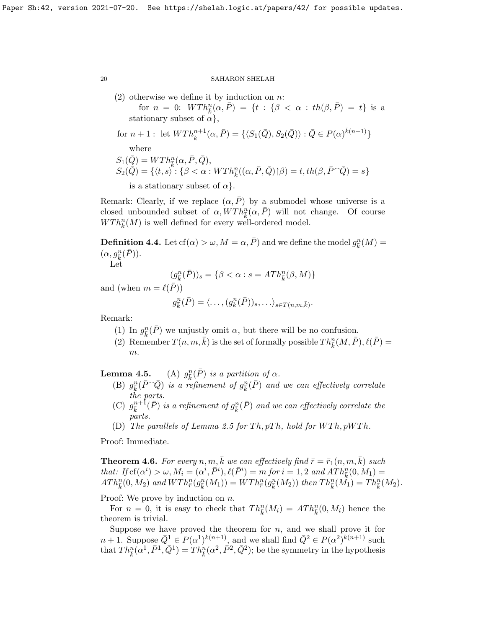$(2)$  otherwise we define it by induction on n:

for  $n = 0$ :  $WTh_{\overline{k}}^n(\alpha, \overline{P}) = \{t : \{\beta < \alpha : th(\beta, \overline{P}) = t\}$  is a stationary subset of  $\alpha$ ,

for 
$$
n + 1
$$
: let  $WTh_{\bar{k}}^{n+1}(\alpha, \bar{P}) = \{ \langle S_1(\bar{Q}), S_2(\bar{Q}) \rangle : \bar{Q} \in \underline{P}(\alpha)^{\bar{k}(n+1)} \}$   
where

 $S_1(\bar{Q}) = WTh_{\bar{k}}^n(\alpha, \bar{P}, \bar{Q}),$ 

$$
S_2(\overline{Q}) = \{ \langle t, s \rangle \colon \{ \beta < \alpha : WTh^n_{\overline{k}}((\alpha, \overline{P}, \overline{Q}) \cap \beta) = t, th(\beta, \overline{P} \cap \overline{Q}) = s \}
$$

is a stationary subset of  $\alpha$ .

Remark: Clearly, if we replace  $(\alpha, \overline{P})$  by a submodel whose universe is a closed unbounded subset of  $\alpha$ ,  $\widehat{W}Th_{\overline{k}}^n(\alpha,\overline{P})$  will not change. Of course  $WTh_k^n(M)$  is well defined for every well-ordered model.

<span id="page-19-0"></span>**Definition 4.4.** Let  $cf(\alpha) > \omega, M = \alpha, \overline{P}$  and we define the model  $g_{\overline{k}}^n(M) =$  $(\alpha, g^n_{\bar{k}}(\bar{P})).$ 

Let

$$
(g_{\bar k}^n(\bar P))_s=\{\beta<\alpha: s=ATh^n_{\bar k}(\beta,M)\}
$$

and (when  $m = \ell(\bar{P})$ )

$$
g_{\bar{k}}^n(\bar{P}) = \langle \dots, (g_k^n(\bar{P}))_s, \dots \rangle_{s \in T(n,m,\bar{k})}.
$$

Remark:

- (1) In  $g_{\overline{k}}^n(\overline{P})$  we unjustly omit  $\alpha$ , but there will be no confusion.
- (2) Remember  $T(n, m, \bar{k})$  is the set of formally possible  $Th_{\bar{k}}^n(M, \bar{P}), \ell(\bar{P}) =$ m.

Lemma  $4.5.$  $\frac{n}{\bar{k}}(\bar{P})$  is a partition of  $\alpha$ .

- (B)  $g_{\bar{k}}^n(\bar{P} \cap \bar{Q})$  is a refinement of  $g_{\bar{k}}^n(\bar{P})$  and we can effectively correlate the parts.
- (C)  $g_{\bar{k}}^{n+\bar{1}}(\bar{P})$  is a refinement of  $g_{\bar{k}}^{n}(\bar{P})$  and we can effectively correlate the parts.
- (D) The parallels of Lemma [2.5](#page-0-0) for  $Th, pTh, hold for WTh, pWTh$ .

Proof: Immediate.

**Theorem 4.6.** For every n, m, k we can effectively find  $\bar{r} = \bar{r}_1(n, m, k)$  such that: If  $cf(\alpha^i) > \omega, M_i = (\alpha^i, \overline{P}^i), \ell(\overline{P}^i) = m$  for  $i = 1, 2$  and  $ATh_k^n(0, M_1) =$  $ATh_{\bar{k}}^{n}(0, M_{2})$  and  $WTh_{\bar{r}}^{n}(g_{\bar{k}}^{n}(M_{1})) = WTh_{\bar{r}}^{n}(g_{\bar{k}}^{n}(M_{2}))$  then  $Th_{\bar{k}}^{n}(\tilde{M_{1}}) = Th_{\bar{k}}^{n}(M_{2})$ .

Proof: We prove by induction on n.

For  $n = 0$ , it is easy to check that  $Th_{\bar{k}}^n(M_i) = ATh_{\bar{k}}^n(0, M_i)$  hence the theorem is trivial.

Suppose we have proved the theorem for  $n$ , and we shall prove it for  $n+1$ . Suppose  $\overline{Q}^1 \in \underline{P}(\alpha^1)^{\overline{k}(n+1)}$ , and we shall find  $\overline{Q}^2 \in \underline{P}(\alpha^2)^{\overline{k}(n+1)}$  such that  $Th_{\bar{k}}^{n}(\alpha^{1}, \bar{P}^{1}, \bar{Q}^{1}) = Th_{\bar{k}}^{n}(\alpha^{2}, \bar{P}^{2}, \bar{Q}^{2})$ ; be the symmetry in the hypothesis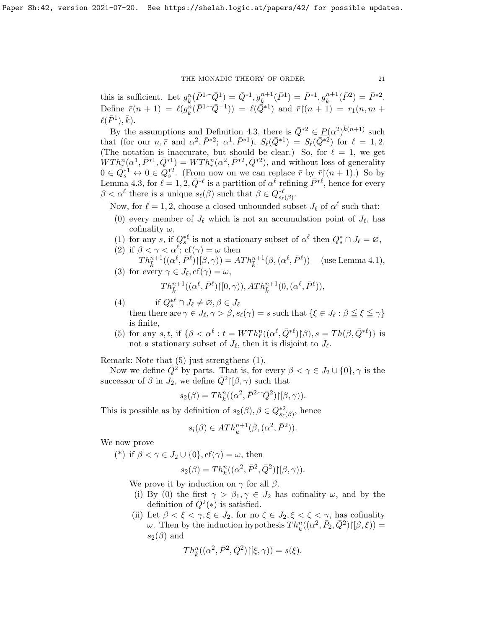this is sufficient. Let  $g_{\bar{k}}^n(\bar{P}^1 \cap \bar{Q}^1) = \bar{Q}^{*1}, g_{\bar{k}}^{n+1}(\bar{P}^1) = \bar{P}^{*1}, g_{\bar{k}}^{n+1}(\bar{P}^2) = \bar{P}^{*2}.$ Define  $\bar{r}(n+1) = \ell(g_{\bar{k}}^n(\bar{P}^1 \cap \bar{Q}^{-1})) = \ell(\bar{Q}^{*1})$  and  $\bar{r}(n+1) = r_1(n, m + 1)$  $\ell(\bar{P}^1), \bar{k}).$ 

By the assumptions and Definition [4.3,](#page-18-1) there is  $\overline{Q}^{*2} \in \underline{P}(\alpha^2)^{\overline{k}(n+1)}$  such that (for our  $n, \bar{r}$  and  $\alpha^2, \bar{P}^{*2}$ ;  $\alpha^1, \bar{P}^{*1}$ ),  $S_{\ell}(\bar{Q}^{*1}) = S_{\ell}(\bar{Q}^{*2})$  for  $\ell = 1, 2$ . (The notation is inaccurate, but should be clear.) So, for  $\ell = 1$ , we get  $WTh^n_{\bar{r}}(\alpha^1,\bar{P}^{*1},\bar{Q}^{*1}) = WTh^n_{\bar{r}}(\alpha^2,\bar{P}^{*2},\bar{Q}^{*2}),$  and without loss of generality  $0 \in Q_s^{*1} \leftrightarrow 0 \in Q_s^{*2}$ . (From now on we can replace  $\bar{r}$  by  $\bar{r}$ ) $(n+1)$ .) So by Lemma [4.3,](#page-18-1) for  $\ell = 1, 2, \bar{Q}^{*\ell}$  is a partition of  $\alpha^{\ell}$  refining  $\bar{P}^{*\ell}$ , hence for every  $\beta < \alpha^{\ell}$  there is a unique  $s_{\ell}(\beta)$  such that  $\beta \in Q_{s_{\ell}(\beta)}^{*\ell}$ .

Now, for  $\ell = 1, 2$ , choose a closed unbounded subset  $J_{\ell}$  of  $\alpha^{\ell}$  such that:

- (0) every member of  $J_{\ell}$  which is not an accumulation point of  $J_{\ell}$ , has cofinality  $\omega$ ,
- (1) for any s, if  $Q_s^{*\ell}$  is not a stationary subset of  $\alpha^{\ell}$  then  $Q_s^* \cap J_{\ell} = \emptyset$ , (2) if  $\beta < \gamma < \alpha^{\ell}$ ; cf( $\gamma$ ) =  $\omega$  then
- $Th_{\bar{k}}^{n+1}((\alpha^{\ell}, \bar{P}^{\ell})\upharpoonright [\beta, \gamma)) = ATh_{\bar{k}}^{n+1}(\beta, (\alpha^{\ell}, \bar{P}^{\ell})) \quad (\text{use Lemma 4.1}),$ (3) for every  $\gamma \in J_{\ell}$ ,  $cf(\gamma) = \omega$ ,

$$
Th^{n+1}_{\bar{k}}((\alpha^\ell,\bar{P}^\ell){\upharpoonright}[0,\gamma)), ATh^{n+1}_{\bar{k}}(0,(\alpha^\ell,\bar{P}^\ell)),
$$

- (4) if  $Q_s^{*\ell} \cap J_{\ell} \neq \emptyset, \beta \in J_{\ell}$ then there are  $\gamma \in J_{\ell}, \gamma > \beta, s_{\ell}(\gamma) = s$  such that  $\{\xi \in J_{\ell} : \beta \leq \xi \leq \gamma\}$ is finite,
- (5) for any  $s, t$ , if  $\{\beta < \alpha^{\ell} : t = WTh^n_{\overline{r}}((\alpha^{\ell}, \overline{Q}^{*\ell})\upharpoonright \beta), s = Th(\beta, \overline{Q}^{*\ell})\}$  is not a stationary subset of  $J_{\ell}$ , then it is disjoint to  $J_{\ell}$ .

Remark: Note that (5) just strengthens (1).

Now we define  $\overline{Q}^2$  by parts. That is, for every  $\beta < \gamma \in J_2 \cup \{0\}, \gamma$  is the successor of  $\beta$  in  $J_2$ , we define  $\overline{Q}^2$  [ $\beta, \gamma$ ) such that

$$
s_2(\beta) = Th_{\bar{k}}^n((\alpha^2, \bar{P}^2 \cap \bar{Q}^2) \upharpoonright [\beta, \gamma)).
$$

This is possible as by definition of  $s_2(\beta)$ ,  $\beta \in Q_{s_{\ell}(\beta)}^{*2}$ , hence

$$
s_i(\beta) \in ATh_{\bar{k}}^{n+1}(\beta, (\alpha^2, \bar{P}^2)).
$$

We now prove

(\*) if  $\beta < \gamma \in J_2 \cup \{0\}$ , cf( $\gamma$ ) =  $\omega$ , then

$$
s_2(\beta) = Th^n_{\bar{k}}((\alpha^2, \bar{P}^2, \bar{Q}^2) \upharpoonright [\beta, \gamma)).
$$

We prove it by induction on  $\gamma$  for all  $\beta$ .

- (i) By (0) the first  $\gamma > \beta_1, \gamma \in J_2$  has cofinality  $\omega$ , and by the definition of  $\overline{Q}^2(*)$  is satisfied.
- (ii) Let  $\beta < \xi < \gamma, \xi \in J_2$ , for no  $\zeta \in J_2, \xi < \zeta < \gamma$ , has cofinality ω. Then by the induction hypothesis  $Th_{\overline{k}}^n((\alpha^2, \overline{P}_2, \overline{Q}^2)|[\beta, \xi)) =$  $s_2(\beta)$  and

$$
Th^n_{\bar{k}}((\alpha^2,\bar{P}^2,\bar{Q}^2)\!\upharpoonright\!\! [\xi,\gamma))=s(\xi).
$$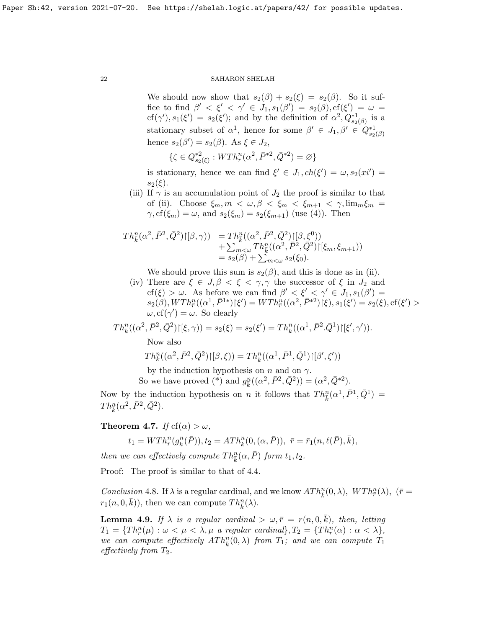We should now show that  $s_2(\beta) + s_2(\xi) = s_2(\beta)$ . So it suffice to find  $\beta' < \xi' < \gamma' \in J_1, s_1(\beta') = s_2(\beta), \text{cf}(\xi') = \omega =$ cf( $\gamma'$ ),  $s_1(\xi') = s_2(\xi')$ ; and by the definition of  $\alpha^2$ ,  $Q_{s_2(\beta)}^{*1}$  is a stationary subset of  $\alpha^1$ , hence for some  $\beta' \in J_1, \beta' \in Q_{s_2(\beta)}^{*1}$ hence  $s_2(\beta') = s_2(\beta)$ . As  $\xi \in J_2$ ,

$$
\{\zeta \in Q^{*2}_{s_2(\xi)} : WTh^n_{\bar{r}}(\alpha^2, \bar{P}^{*2}, \bar{Q}^{*2}) = \varnothing\}
$$

is stationary, hence we can find  $\xi' \in J_1, ch(\xi') = \omega, s_2(xi') =$  $s_2(\xi)$ .

(iii) If  $\gamma$  is an accumulation point of  $J_2$  the proof is similar to that of (ii). Choose  $\xi_m, m < \omega, \beta < \xi_m < \xi_{m+1} < \gamma$ ,  $\lim_{m \xi_m} \xi_m =$  $\gamma$ , cf( $\xi_m$ ) =  $\omega$ , and  $s_2(\xi_m) = s_2(\xi_{m+1})$  (use (4)). Then

$$
Th_{\bar{k}}^{n}(\alpha^{2}, \bar{P}^{2}, \bar{Q}^{2})\upharpoonright [\beta, \gamma)) = Th_{\bar{k}}^{n}((\alpha^{2}, \bar{P}^{2}, \bar{Q}^{2})\upharpoonright [\beta, \xi^{0}))
$$
  
+ 
$$
\sum_{m < \omega} Th_{\bar{k}}^{n}((\alpha^{2}, \bar{P}^{2}, \bar{Q}^{2})\upharpoonright [\xi_{m}, \xi_{m+1}))
$$
  
= 
$$
s_{2}(\beta) + \sum_{m < \omega} s_{2}(\xi_{0}).
$$

We should prove this sum is  $s_2(\beta)$ , and this is done as in (ii).

(iv) There are  $\xi \in J, \beta \leq \xi \leq \gamma, \gamma$  the successor of  $\xi$  in  $J_2$  and cf( $\xi$ ) > ω. As before we can find  $\beta' < \xi' < \gamma' \in J_1, s_1(\beta') =$  $s_{2}(\beta), WTh^{n}_{\bar{r}}((\alpha^{1}, \bar{P}^{1*})\mathcal{k}')=WTh^{n}_{\bar{r}}((\alpha^{2}, \bar{P}^{*2})\mathcal{k}), s_{1}(\xi')=s_{2}(\xi), \mathrm{cf}(\xi')>$  $\omega$ , cf( $\gamma'$ ) =  $\omega$ . So clearly

$$
Th_{\bar{k}}^n((\alpha^2, \bar{P}^2, \bar{Q}^2)\upharpoonright [\xi, \gamma)) = s_2(\xi) = s_2(\xi') = Th_{\bar{k}}^n((\alpha^1, \bar{P}^2 \cdot \bar{Q}^1)\upharpoonright [\xi', \gamma')).
$$

Now also

$$
Th^n_k((\alpha^2,\bar{P}^2,\bar{Q}^2)\!\!\restriction\! [\beta,\xi))=Th^n_{\bar{k}}((\alpha^1,\bar{P}^1,\bar{Q}^1)\!\!\restriction\! [\beta',\xi'))
$$

by the induction hypothesis on n and on  $\gamma$ .

So we have proved (\*) and  $g_{\bar{k}}^n((\alpha^2, \bar{P}^2, \bar{Q}^2)) = (\alpha^2, \bar{Q}^{*2}).$ 

Now by the induction hypothesis on n it follows that  $Th_{\bar{k}}^n(\alpha^1, \bar{P}^1, \bar{Q}^1) =$  $Th_{\bar{k}}^n(\alpha^2, \bar{P}^2, \bar{Q}^2).$ 

**Theorem 4.7.** If  $cf(\alpha) > \omega$ ,

$$
t_1 = WTh_r^n(g_{\bar{k}}^n(\bar{P})), t_2 = ATh_{\bar{k}}^n(0, (\alpha, \bar{P})), \ \ \bar{r} = \bar{r}_1(n, \ell(\bar{P}), \bar{k}),
$$

then we can effectively compute  $Th_{\bar{k}}^n(\alpha, \bar{P})$  form  $t_1, t_2$ .

Proof: The proof is similar to that of [4.4.](#page-19-0)

Conclusion 4.8. If  $\lambda$  is a regular cardinal, and we know  $ATh_{\bar{k}}^n(0,\lambda)$ ,  $WTh_{\bar{r}}^n(\lambda)$ ,  $(\bar{r} =$  $r_1(n, 0, \bar{k})$ , then we can compute  $Th_{\bar{k}}^n(\lambda)$ .

**Lemma 4.9.** If  $\lambda$  is a regular cardinal  $>\omega, \bar{r} = r(n, 0, \bar{k})$ , then, letting  $T_1 = \{Th^n_{\overline{r}}(\mu) : \omega < \mu < \lambda, \mu \text{ a regular cardinal} \}, T_2 = \{Th^n_{\overline{r}}(\alpha) : \alpha < \lambda \},$ we can compute effectively  $ATh_{\overline{k}}^n(0,\lambda)$  from  $T_1$ ; and we can compute  $T_1$ effectively from  $T_2$ .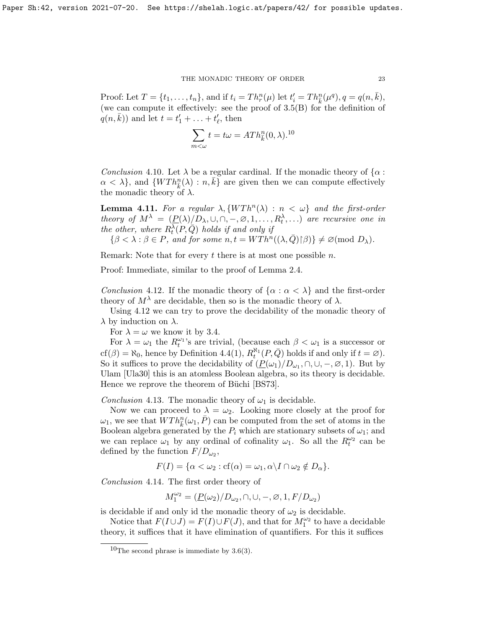Proof: Let  $T = \{t_1, ..., t_n\}$ , and if  $t_i = Th_r^n(\mu)$  let  $t'_i = Th_{\overline{k}}^n(\mu^q), q = q(n, \overline{k}),$ (we can compute it effectively: see the proof of [3.5\(](#page-0-0)B) for the definition of  $q(n,\bar{k})$  and let  $t = t'_1 + \ldots + t'_\ell$ , then

$$
\sum_{m<\omega} t = t\omega = ATh_{\bar{k}}^n(0,\lambda).^{10}
$$

Conclusion 4.10. Let  $\lambda$  be a regular cardinal. If the monadic theory of  $\{\alpha :$  $\alpha < \lambda$ , and  $\{WTh_{\overline{k}}^n(\lambda) : n, \overline{k}\}$  are given then we can compute effectively the monadic theory of  $\lambda$ .

**Lemma 4.11.** For a regular  $\lambda$ ,  $\{WTh^n(\lambda) : n < \omega\}$  and the first-order theory of  $M^{\lambda} = (\underline{P}(\lambda)/D_{\lambda}, \cup, \cap, -, \emptyset, 1, \ldots, R_t^{\lambda}, \ldots)$  are recursive one in the other, where  $R_t^{\lambda}(P,\overline{Q})$  holds if and only if  $\{\beta < \lambda : \beta \in P$ , and for some  $n, t = WTh^n((\lambda, \bar{Q}) \upharpoonright \beta)\} \neq \varnothing \text{(mod } D_\lambda).$ 

Remark: Note that for every  $t$  there is at most one possible  $n$ .

Proof: Immediate, similar to the proof of Lemma [2.4.](#page-0-0)

<span id="page-22-1"></span>Conclusion 4.12. If the monadic theory of  $\{\alpha : \alpha < \lambda\}$  and the first-order theory of  $M^{\lambda}$  are decidable, then so is the monadic theory of  $\lambda$ .

Using [4.12](#page-22-1) we can try to prove the decidability of the monadic theory of  $\lambda$  by induction on  $\lambda$ .

For  $\lambda = \omega$  we know it by [3.4.](#page-14-2)

For  $\lambda = \omega_1$  the  $R_t^{\omega_1}$ 's are trivial, (because each  $\beta < \omega_1$  is a successor or cf( $\beta$ ) =  $\aleph_0$ , hence by Definition [4.4\(](#page-19-0)1),  $R_t^{\aleph_1}(P,\overline{Q})$  holds if and only if  $t = \emptyset$ ). So it suffices to prove the decidability of  $(\underline{P}(\omega_1)/D_{\omega_1}, \cap, \cup, -, \emptyset, 1)$ . But by Ulam [\[Ula30\]](#page-39-3) this is an atomless Boolean algebra, so its theory is decidable. Hence we reprove the theorem of Büchi [\[BS73\]](#page-37-3).

Conclusion 4.13. The monadic theory of  $\omega_1$  is decidable.

Now we can proceed to  $\lambda = \omega_2$ . Looking more closely at the proof for  $\omega_1$ , we see that  $WTh_k^n(\omega_1, \bar{P})$  can be computed from the set of atoms in the Boolean algebra generated by the  $P_i$  which are stationary subsets of  $\omega_1$ ; and we can replace  $\omega_1$  by any ordinal of cofinality  $\omega_1$ . So all the  $R_t^{\omega_2}$  can be defined by the function  $F/D_{\omega_2}$ ,

$$
F(I) = \{ \alpha < \omega_2 : cf(\alpha) = \omega_1, \alpha \setminus I \cap \omega_2 \notin D_\alpha \}.
$$

Conclusion 4.14. The first order theory of

$$
M_1^{\omega_2} = (\underline{P}(\omega_2)/D_{\omega_2}, \cap, \cup, -, \varnothing, 1, F/D_{\omega_2})
$$

is decidable if and only id the monadic theory of  $\omega_2$  is decidable.

Notice that  $F(I \cup J) = F(I) \cup F(J)$ , and that for  $M_1^{\omega_2}$  to have a decidable theory, it suffices that it have elimination of quantifiers. For this it suffices

<span id="page-22-0"></span> $10$ The second phrase is immediate by [3.6\(](#page-0-0)3).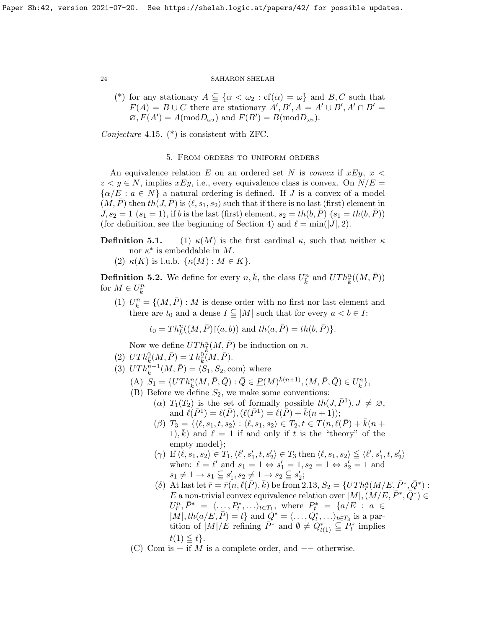(\*) for any stationary  $A \subseteq \{\alpha < \omega_2 : cf(\alpha) = \omega\}$  and B, C such that  $F(A) = B \cup C$  there are stationary  $A', B', A = A' \cup B', A' \cap B' =$  $\varnothing$ ,  $F(A') = A(\text{mod}D_{\omega_2})$  and  $F(B') = B(\text{mod}D_{\omega_2})$ .

Conjecture 4.15. (\*) is consistent with ZFC.

5. From orders to uniform orders

An equivalence relation E on an ordered set N is *convex* if  $xEy, x <$  $z \leq y \in N$ , implies  $xEy$ , i.e., every equivalence class is convex. On  $N/E =$  $\{\alpha/E : a \in N\}$  a natural ordering is defined. If J is a convex of a model  $(M, P)$  then  $th(J, P)$  is  $\langle \ell, s_1, s_2 \rangle$  such that if there is no last (first) element in  $J, s_2 = 1$   $(s_1 = 1)$ , if b is the last (first) element,  $s_2 = th(b, \bar{P})$   $(s_1 = th(b, \bar{P}))$ (for definition, see the beginning of Section 4) and  $\ell = \min(|J|, 2)$ .

**Definition 5.1.** (1)  $\kappa(M)$  is the first cardinal  $\kappa$ , such that neither  $\kappa$ nor  $\kappa^*$  is embeddable in M.

(2)  $\kappa(K)$  is l.u.b.  $\{\kappa(M): M \in K\}.$ 

<span id="page-23-0"></span>**Definition 5.2.** We define for every  $n, \bar{k}$ , the class  $U_{\bar{k}}^n$  and  $UTh_{\bar{k}}^n((M, \bar{P}))$ for  $M \in U_{\bar{k}}^n$ 

(1)  $U_{\bar{k}}^n = \{(M, \bar{P}) : M \text{ is dense order with no first nor last element and}$ there are  $t_0$  and a dense  $I \subseteq |M|$  such that for every  $a < b \in I$ :

 $t_0 = Th_{\bar{k}}^n((M, \bar{P}) \restriction (a, b))$  and  $th(a, \bar{P}) = th(b, \bar{P})\}.$ 

Now we define  $UTh_{\bar{k}}^n(M, \bar{P})$  be induction on n.

- (2)  $UTh_{\bar{k}}^{0}(M,\bar{P}) = Th_{\bar{k}}^{0}(M,\bar{P}).$
- (3)  $UTh_{\overline{k}}^{\overline{n}+1}(M,\overline{P}) = \langle S_1, S_2, \text{com} \rangle$  where
	- $(A) \ S_1 = \{ UTh_k^n(M, \bar{P}, \bar{Q}) : \bar{Q} \in \underline{P}(M)^{\bar{k}(n+1)}, (M, \bar{P}, \bar{Q}) \in U_{\bar{k}}^n \},$
	- (B) Before we define  $S_2$ , we make some conventions:
		- (a)  $T_1(T_2)$  is the set of formally possible  $th(J, \bar{P}^1), J \neq \emptyset$ , and  $\ell(\bar{P}^1) = \ell(\bar{P}), (\ell(\bar{P}^1) = \ell(\bar{P}) + \bar{k}(n+1));$ 
			- $(\beta)$   $T_3 = \{ \langle \ell, s_1, t, s_2 \rangle : \langle \ell, s_1, s_2 \rangle \in T_2, t \in T(n, \ell(P) + k(n + 1)) \}$ 1),  $\bar{k}$ ) and  $\ell = 1$  if and only if t is the "theory" of the empty model};
			- $(\gamma)$  If  $\langle \ell, s_1, s_2 \rangle \in T_1, \langle \ell', s_1', t, s_2' \rangle \in T_3$  then  $\langle \ell, s_1, s_2 \rangle \leq \langle \ell', s_1', t, s_2' \rangle$ when:  $\ell = \ell'$  and  $s_1 = 1 \Leftrightarrow s'_1 = 1, s_2 = 1 \Leftrightarrow s'_2 = 1$  and  $s_1 \neq 1 \rightarrow s_1 \subseteq s_1', s_2 \neq 1 \rightarrow s_2 \subseteq s_2';$
			- (δ) At last let  $\bar{r} = \bar{r}(n, \ell(\bar{P}), \bar{k})$  be from [2.13,](#page-13-0)  $S_2 = \{UTh_{\bar{r}}^n(M/E, \bar{P}^*, \bar{Q}^*)$ : E a non-trivial convex equivalence relation over  $|M|, (M/E, \bar{P}^*, \bar{Q}^*) \in$  $U^n_{\bar{r}}, \bar{P}^* = \langle \dots, P_t^*, \dots \rangle_{t \in T_1}, \text{ where } P_t^* = \{a/E \mid a \in$  $|M|, th(a/E, \bar{P}) = t\}$  and  $Q^* = \langle \dots, Q_t^*, \dots \rangle_{t \in T_3}$  is a partition of  $|M|/E$  refining  $\bar{P}^*$  and  $\emptyset \neq Q^*_{t(1)} \subseteq P_t^*$  implies  $t(1) \leq t$ .
	- (C) Com is + if M is a complete order, and  $-$  otherwise.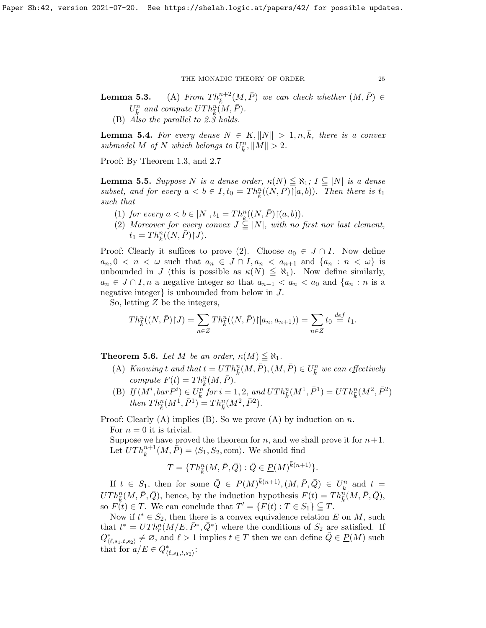**Lemma 5.3.** (A) From  $Th_{\bar{k}}^{n+2}(M, \bar{P})$  we can check whether  $(M, \bar{P}) \in$  $U_{\bar k}^n$  and compute  $UTh^n_{\bar k}(\ M,\bar P).$ 

(B) Also the parallel to [2.3](#page-9-1) holds.

<span id="page-24-1"></span>**Lemma 5.4.** For every dense  $N \in K, ||N|| > 1, n, k$ , there is a convex submodel M of N which belongs to  $U_{\bar{k}}^n, \|M\| > 2$ .

Proof: By Theorem [1.3,](#page-5-1) and [2.7](#page-11-2)

<span id="page-24-0"></span>**Lemma 5.5.** Suppose N is a dense order,  $\kappa(N) \leq \aleph_1$ ;  $I \subseteq |N|$  is a dense subset, and for every  $a < b \in I$ ,  $t_0 = Th_k^n((N, P)[[a, b])$ . Then there is  $t_1$ such that

- (1) for every  $a < b \in |N|, t_1 = Th_{\bar{k}}^n((N, \bar{P}) \restriction (a, b)).$
- (2) Moreover for every convex  $J \subseteq |N|$ , with no first nor last element,  $t_1 = Th_{\overline{k}}^n((N,\overline{P})\restriction \overline{J}).$

Proof: Clearly it suffices to prove (2). Choose  $a_0 \in J \cap I$ . Now define  $a_n, 0 < n < \omega$  such that  $a_n \in J \cap I, a_n < a_{n+1}$  and  $\{a_n : n < \omega\}$  is unbounded in J (this is possible as  $\kappa(N) \leq \aleph_1$ ). Now define similarly,  $a_n \in J \cap I$ , n a negative integer so that  $a_{n-1} < a_n < a_0$  and  $\{a_n : n \text{ is a } \}$ negative integer} is unbounded from below in J.

So, letting Z be the integers,

$$
Th_{\overline{k}}^n((N,\overline{P})\upharpoonright J) = \sum_{n\in Z} Th_{\overline{k}}^n((N,\overline{P})\upharpoonright [a_n,a_{n+1})) = \sum_{n\in Z} t_0 \stackrel{def}{=} t_1.
$$

**Theorem 5.6.** Let M be an order,  $\kappa(M) \leq \aleph_1$ .

- (A) Knowing t and that  $t = UTh_{\overline{k}}^n(M, \overline{P}), (M, \overline{P}) \in U_{\overline{k}}^n$  we can effectively compute  $F(t) = Th_{\bar{k}}^n(M, \bar{P}).$
- (B) If  $(M^i, barP^i) \in U_k^{\hat{n}}$  for  $i = 1, 2, and UTh_k^n(M^1, \bar{P}^1) = UTh_k^n(M^2, \bar{P}^2)$ then  $Th_{\bar{k}}^n(M^1, \bar{P}^1) = Th_{\bar{k}}^n(M^2, \bar{P}^2)$ .

Proof: Clearly  $(A)$  implies  $(B)$ . So we prove  $(A)$  by induction on n.

For  $n = 0$  it is trivial.

Suppose we have proved the theorem for n, and we shall prove it for  $n+1$ . Let  $UTh_{\bar{k}}^{n+1}(M, \bar{P}) = \langle S_1, S_2, \text{com} \rangle$ . We should find

$$
T=\{Th_{\bar{k}}^n(M,\bar{P},\bar{Q}): \bar{Q}\in \underline{P}(M)^{\bar{k}(n+1)}\}.
$$

If  $t \in S_1$ , then for some  $\bar{Q} \in \underline{P}(M)^{\bar{k}(n+1)}, (M, \bar{P}, \bar{Q}) \in U_{\bar{k}}^n$  and  $t =$  $UTh_{\bar{k}}^n(M, \bar{P}, \bar{Q})$ , hence, by the induction hypothesis  $F(t) = Th_{\bar{k}}^n(M, \bar{P}, \bar{Q})$ , so  $F(t) \in T$ . We can conclude that  $T' = \{F(t) : T \in S_1\} \subseteq T$ .

Now if  $t^* \in S_2$ , then there is a convex equivalence relation E on M, such that  $t^* = UTh^n_{\bar{r}}(M/E, \bar{P}^*, \bar{Q}^*)$  where the conditions of  $S_2$  are satisfied. If  $Q^*_{\langle \ell, s_1, t, s_2 \rangle} \neq \emptyset$ , and  $\ell > 1$  implies  $t \in T$  then we can define  $\overline{Q} \in \underline{P}(M)$  such that for  $a/E \in Q^*_{\langle \ell, s_1,t,s_2 \rangle}$ :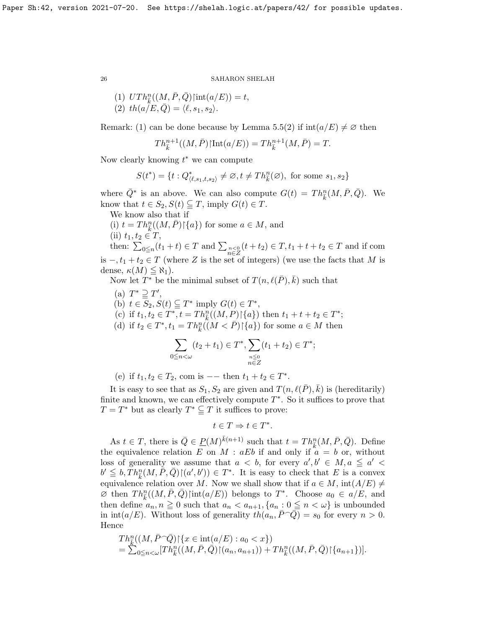(1) 
$$
UTh_{\bar{k}}^n((M, \bar{P}, \bar{Q})\text{int}(a/E)) = t
$$
,  
(2)  $th(a/E, \bar{Q}) = \langle \ell, s_1, s_2 \rangle$ .

Remark: (1) can be done because by Lemma [5.5\(](#page-24-0)2) if  $\text{int}(a/E) \neq \emptyset$  then

$$
Th_{\bar{k}}^{n+1}((M,\bar{P})\upharpoonright Int(a/E)) = Th_{\bar{k}}^{n+1}(M,\bar{P}) = T.
$$

Now clearly knowing  $t^*$  we can compute

$$
S(t^*)=\{t:Q^*_{\langle \ell,s_1,t,s_2\rangle}\neq\varnothing, t\neq Th^n_{\bar{k}}(\varnothing),\text{ for some }s_1,s_2\}
$$

where  $\overline{Q}^*$  is an above. We can also compute  $G(t) = Th_{\overline{k}}^n(M, \overline{P}, \overline{Q})$ . We know that  $t \in S_2$ ,  $S(t) \subseteq T$ , imply  $G(t) \in T$ .

We know also that if

(i)  $t = Th_k^n((M, \bar{P}) \setminus \{a\})$  for some  $a \in M$ , and

(ii)  $t_1, t_2 \in T$ ,

then:  $\sum_{0 \leq n} (t_1 + t) \in T$  and  $\sum_{\substack{n \leq 0 \\ n \in Z}} (t + t_2) \in T$ ,  $t_1 + t + t_2 \in T$  and if com is  $-, t_1 + t_2 \in T$  (where Z is the set of integers) (we use the facts that M is dense,  $\kappa(M) \leq \aleph_1$ ).

Now let  $T^*$  be the minimal subset of  $T(n, \ell(\bar{P}), \bar{k})$  such that

(a)  $T^* \supseteq T'$ , (b)  $t \in \overline{S_2}$ ,  $S(t) \subseteq T^*$  imply  $G(t) \in T^*$ , (c) if  $t_1, t_2 \in T^*, t = Th_k^{\overline{n}}((M, P) | \{a\})$  then  $t_1 + t + t_2 \in T^*;$ (d) if  $t_2 \in T^*, t_1 = Th_k^n((M \lt \bar{P}){\upharpoonright} \{a\})$  for some  $a \in M$  then

$$
\sum_{0 \le n < \omega} (t_2 + t_1) \in T^*, \sum_{\substack{n \le 0 \\ n \in Z}} (t_1 + t_2) \in T^*;
$$

(e) if  $t_1, t_2 \in T_2$ , com is -- then  $t_1 + t_2 \in T^*$ .

It is easy to see that as  $S_1, S_2$  are given and  $T(n, \ell(\bar{P}), \bar{k})$  is (hereditarily) finite and known, we can effectively compute  $T^*$ . So it suffices to prove that  $T = T^*$  but as clearly  $T^* \subseteq T$  it suffices to prove:

$$
t\in T\Rightarrow t\in T^*.
$$

As  $t \in T$ , there is  $\overline{Q} \in \underline{P}(M)^{\overline{k}(n+1)}$  such that  $t = Th_{\overline{k}}^n(M, \overline{P}, \overline{Q})$ . Define the equivalence relation E on M : aEb if and only if  $a = b$  or, without loss of generality we assume that  $a < b$ , for every  $a', b' \in M, a \le a' <$  $b' \leq b, Th_{\overline{k}}^n(M, \overline{P}, \overline{Q}) \mathcal{F}(\overline{a'}, b')) \in T^*$ . It is easy to check that E is a convex equivalence relation over M. Now we shall show that if  $a \in M$ ,  $\text{int}(A/E) \neq$  $\overline{\mathscr{A}}$  then  $Th_{\overline{k}}^n((M, \overline{P}, \overline{Q}) | \text{int}(a/E))$  belongs to  $T^*$ . Choose  $a_0 \in a/E$ , and then define  $a_n, n \ge 0$  such that  $a_n < a_{n+1}, \{a_n : 0 \le n < \omega\}$  is unbounded in  $\text{int}(a/E)$ . Without loss of generality  $th(a_n, P^Q) = s_0$  for every  $n > 0$ . Hence

$$
Th_k^n((M, \bar{P} \cap \bar{Q}) \restriction \{x \in \text{int}(a/E) : a_0 < x\})
$$
\n
$$
= \sum_{0 \le n < \omega} [Th_k^n((M, \bar{P}, \bar{Q}) \restriction (a_n, a_{n+1})) + Th_k^n((M, \bar{P}, \bar{Q}) \restriction \{a_{n+1}\})].
$$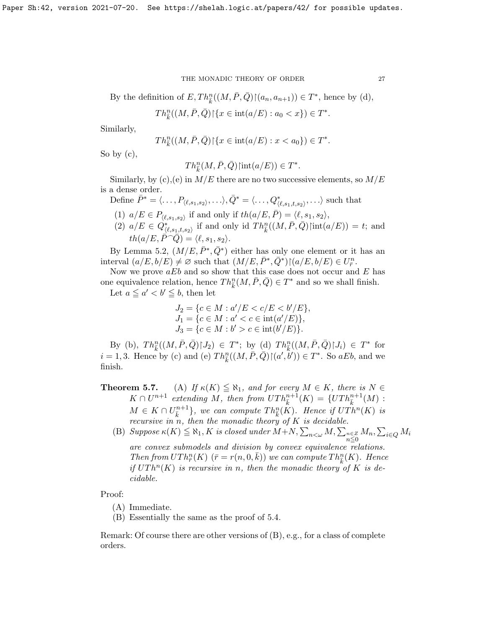By the definition of  $E, Th_{\overline{k}}^n((M, \overline{P}, \overline{Q}) \mid (a_n, a_{n+1})) \in T^*$ , hence by (d),

$$
Th_{\bar{k}}^n((M,\bar{P},\bar{Q}){\restriction}\{x\in{\rm int}(a/E):a_0
$$

Similarly,

$$
Th_{\bar{k}}^n((M,\bar{P},\bar{Q}){\restriction}\{x\in{\rm int}(a/E):x
$$

So by  $(c)$ ,

 $Th_{\bar{k}}^n(M, \bar{P}, \bar{Q})$ |int $(a/E)) \in T^*$ .

Similarly, by (c), (e) in  $M/E$  there are no two successive elements, so  $M/E$ is a dense order.

Define  $\bar{P}^* = \langle \ldots, P_{\langle \ell, s_1, s_2 \rangle}, \ldots \rangle, \bar{Q}^* = \langle \ldots, Q^*_{\langle \ell, s_1, t, s_2 \rangle}, \ldots \rangle$  such that

(1)  $a/E \in P_{\langle \ell, s_1, s_2 \rangle}$  if and only if  $th(a/E, \overline{P}) = \langle \ell, s_1, s_2 \rangle$ ,

(2)  $a/E \in Q^*_{\langle \ell, s_1,t,s_2 \rangle}$  if and only id  $Th_{\bar{k}}^n((M,\bar{P},\bar{Q})\text{int}(a/E)) = t$ ; and  $th(a/E, \bar{P} \widehat{\phantom{a}} \widehat{Q}) = \langle \ell, s_1, s_2 \rangle.$ 

By Lemma [5.2,](#page-23-0)  $(M/E, \bar{P}^*, \bar{Q}^*)$  either has only one element or it has an interval  $(a/E, b/E) \neq \emptyset$  such that  $(M/E, \overline{P}^*, \overline{Q}^*) \cap (a/E, b/E) \in U_{\overline{r}}^n$ .

Now we prove  $aEb$  and so show that this case does not occur and E has one equivalence relation, hence  $Th_{\overline{k}}^n(M, \overline{P}, \overline{Q}) \in T^*$  and so we shall finish.

Let  $a \leq a' < b' \leq b$ , then let

$$
J_2 = \{c \in M : a'/E < c/E < b'/E\},
$$
\n
$$
J_1 = \{c \in M : a' < c \in \text{int}(a'/E)\},
$$
\n
$$
J_3 = \{c \in M : b' > c \in \text{int}(b'/E)\}.
$$

By (b),  $Th_{\bar{k}}^n((M, \bar{P}, \bar{Q}){\restriction}J_2) \in T^*$ ; by (d)  $Th_{\bar{k}}^n((M, \bar{P}, \bar{Q}){\restriction}J_i) \in T^*$  for  $i = 1, 3$ . Hence by (c) and (e)  $Th_{\bar{k}}^n((M, \bar{P}, \bar{Q}) \mid (a', b')) \in T^*$ . So aEb, and we finish.

**Theorem 5.7.** (A) If  $\kappa(K) \leq \aleph_1$ , and for every  $M \in K$ , there is  $N \in$  $K \cap U^{n+1}$  extending M, then from  $UTh_{\overline{k}}^{n+1}(K) = \{UTh_{\overline{k}}^{n+1}(M)$ :  $M \in K \cap U_{\overline{k}}^{n+1}$ , we can compute  $Th_{\overline{k}}^n(K)$ . Hence if  $UTh^n(K)$  is recursive in n, then the monadic theory of  $K$  is decidable.

(B)  $Suppose \kappa(K) \leq \aleph_1, K is closed under M+N, \sum_{n \leq \omega} M, \sum_{n \leq Z} M_n, \sum_{i \in Q} M_i$ are convex submodels and division by convex equivalence relations. Then from  $UTh^n_{\overline{r}}(K)$   $(\overline{r} = r(n,0,\overline{k}))$  we can compute  $Th^n_{\overline{k}}(K)$ . Hence if  $UTh<sup>n</sup>(K)$  is recursive in n, then the monadic theory of K is de-

Proof:

(A) Immediate.

cidable.

(B) Essentially the same as the proof of 5.4.

Remark: Of course there are other versions of (B), e.g., for a class of complete orders.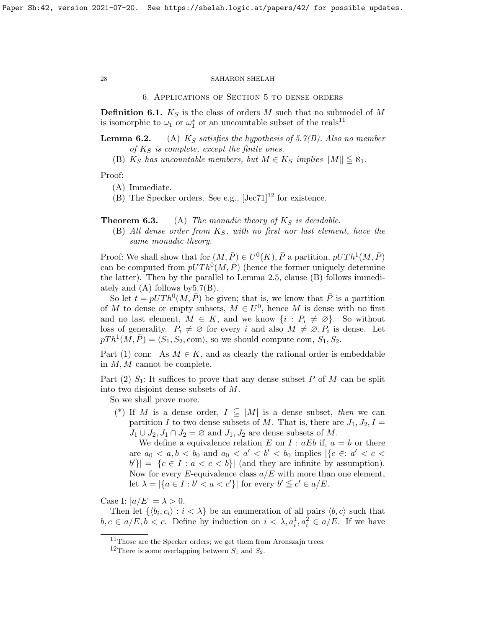6. Applications of Section 5 to dense orders

**Definition 6.1.**  $K_S$  is the class of orders M such that no submodel of M is isomorphic to  $\omega_1$  or  $\omega_1^*$  or an uncountable subset of the reals<sup>[11](#page-27-0)</sup>

**Lemma 6.2.** (A)  $K_S$  satisfies the hypothesis of [5.7\(](#page-0-0)B). Also no member of  $K<sub>S</sub>$  is complete, except the finite ones.

(B)  $K_S$  has uncountable members, but  $M \in K_S$  implies  $||M|| \leq \aleph_1$ .

Proof:

(A) Immediate.

(B) The Specker orders. See e.g.,  $[{\rm Jac}71]^{12}$  $[{\rm Jac}71]^{12}$  $[{\rm Jac}71]^{12}$  for existence.

**Theorem 6.3.** (A) The monadic theory of  $K<sub>S</sub>$  is decidable.

(B) All dense order from  $K_S$ , with no first nor last element, have the same monadic theory.

Proof: We shall show that for  $(M, \bar{P}) \in U^0(K)$ ,  $\bar{P}$  a partition,  $pUTh^1(M, \bar{P})$ can be computed from  $pUTh^0(M, \overline{P})$  (hence the former uniquely determine the latter). Then by the parallel to Lemma [2.5,](#page-0-0) clause (B) follows immediately and  $(A)$  follows by  $5.7(B)$ .

So let  $t = pUTh^0(M, \overline{P})$  be given; that is, we know that  $\overline{P}$  is a partition of M to dense or empty subsets,  $M \in U^0$ , hence M is dense with no first and no last element,  $M \in K$ , and we know  $\{i : P_i \neq \emptyset\}$ . So without loss of generality.  $P_i \neq \emptyset$  for every i and also  $M \neq \emptyset, P_i$  is dense. Let  $pTh<sup>1</sup>(M, \overline{P}) = \langle S_1, S_2, \text{com} \rangle$ , so we should compute com,  $S_1, S_2$ .

Part (1) com: As  $M \in K$ , and as clearly the rational order is embeddable in M, M cannot be complete.

Part (2)  $S_1$ : It suffices to prove that any dense subset P of M can be split into two disjoint dense subsets of M.

So we shall prove more.

(\*) If M is a dense order,  $I \subseteq |M|$  is a dense subset, then we can partition I to two dense subsets of M. That is, there are  $J_1, J_2, I =$  $J_1 \cup J_2, J_1 \cap J_2 = \emptyset$  and  $J_1, J_2$  are dense subsets of M.

We define a equivalence relation E on I :  $aEb$  if,  $a = b$  or there are  $a_0 < a, b < b_0$  and  $a_0 < a' < b' < b_0$  implies  $\vert \{c \in a' < c < b_0\}$  $|b'\rangle = |\{c \in I : a < c < b\}|$  (and they are infinite by assumption). Now for every E-equivalence class  $a/E$  with more than one element, let  $\lambda = |\{a \in I : b' < a < c'\}|$  for every  $b' \leq c' \in a/E$ .

Case I:  $|a/E| = \lambda > 0$ .

Then let  $\{\langle b_i, c_i \rangle : i < \lambda\}$  be an enumeration of all pairs  $\langle b, c \rangle$  such that  $b, c \in a/E, b < c$ . Define by induction on  $i < \lambda, a_i^1, a_i^2 \in a/E$ . If we have

<span id="page-27-0"></span> $^{11}\mathrm{Those}$  are the Specker orders; we get them from Aronszajn trees.

<span id="page-27-1"></span><sup>&</sup>lt;sup>12</sup>There is some overlapping between  $S_1$  and  $S_2$ .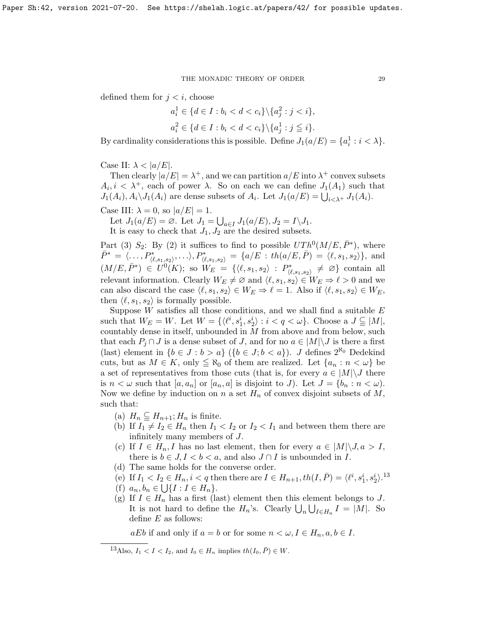defined them for  $j < i$ , choose

$$
a_i^1 \in \{d \in I : b_i < d < c_i\} \setminus \{a_j^2 : j < i\},
$$
\n
$$
a_i^2 \in \{d \in I : b_i < d < c_i\} \setminus \{a_j^1 : j \leq i\}.
$$

By cardinality considerations this is possible. Define  $J_1(a/E) = \{a_i^1 : i < \lambda\}.$ 

Case II:  $\lambda < |a/E|$ .

Then clearly  $|a/E| = \lambda^+$ , and we can partition  $a/E$  into  $\lambda^+$  convex subsets  $A_i, i < \lambda^+$ , each of power  $\lambda$ . So on each we can define  $J_1(A_1)$  such that  $J_1(A_i)$ ,  $A_i \setminus J_1(A_i)$  are dense subsets of  $A_i$ . Let  $J_1(a/E) = \bigcup_{i \leq \lambda^+} J_1(A_i)$ .

Case III:  $\lambda = 0$ , so  $|a/E| = 1$ .

Let  $J_1(a/E) = \emptyset$ . Let  $J_1 = \bigcup_{a \in I} J_1(a/E), J_2 = I \setminus J_1$ . It is easy to check that  $J_1, J_2$  are the desired subsets.

Part (3)  $S_2$ : By (2) it suffices to find to possible  $UTh^0(M/E, \bar{P}^*)$ , where  $\bar{P}^* = \langle \dots, P^*_{(\ell, s_1, s_2)}, \dots \rangle, P^*_{(\ell, s_1, s_2)} = \{a/E : th(a/E, \bar{P}) = \langle \ell, s_1, s_2 \rangle\},\$ and  $(M/E, \bar{P}^*) \in U^0(K);$  so  $W_E = \{ \langle \ell, s_1, s_2 \rangle : P^*_{\langle \ell, s_1, s_2 \rangle} \neq \emptyset \}$  contain all relevant information. Clearly  $W_E \neq \emptyset$  and  $\langle \ell, s_1, s_2 \rangle \in W_E \Rightarrow \ell > 0$  and we can also discard the case  $\langle \ell, s_1, s_2 \rangle \in W_E \Rightarrow \ell = 1$ . Also if  $\langle \ell, s_1, s_2 \rangle \in W_E$ , then  $\langle \ell, s_1, s_2 \rangle$  is formally possible.

Suppose  $W$  satisfies all those conditions, and we shall find a suitable  $E$ such that  $W_E = W$ . Let  $W = \{ \langle \ell^i, s_1^i, s_2^i \rangle : i < q < \omega \}$ . Choose a  $J \subseteq M$ , countably dense in itself, unbounded in M from above and from below, such that each  $P_j \cap J$  is a dense subset of J, and for no  $a \in |M| \backslash J$  is there a first (last) element in  $\{b \in J : b > a\}$  ( $\{b \in J : b < a\}$ ). J defines  $2^{\aleph_0}$  Dedekind cuts, but as  $M \in K$ , only  $\leq \aleph_0$  of them are realized. Let  $\{a_n : n < \omega\}$  be a set of representatives from those cuts (that is, for every  $a \in |M| \backslash J$  there is  $n < \omega$  such that  $[a, a_n]$  or  $[a_n, a]$  is disjoint to J). Let  $J = \{b_n : n < \omega\}$ . Now we define by induction on n a set  $H_n$  of convex disjoint subsets of  $M$ , such that:

- (a)  $H_n \subseteq H_{n+1}$ ;  $H_n$  is finite.
- (b) If  $I_1 \neq I_2 \in H_n$  then  $I_1 < I_2$  or  $I_2 < I_1$  and between them there are infinitely many members of J.
- (c) If  $I \in H_n$ , I has no last element, then for every  $a \in |M| \backslash J, a > I$ , there is  $b \in J, I < b < a$ , and also  $J \cap I$  is unbounded in I.
- (d) The same holds for the converse order.
- (e) If  $I_1 < I_2 \in H_n$ ,  $i < q$  then there are  $I \in H_{n+1}$ ,  $th(I, \bar{P}) = \langle \ell^i, s_1^i, s_2^i \rangle$ .<sup>[13](#page-28-0)</sup>
- (f)  $a_n, b_n \in \bigcup \{I : I \in H_n\}.$
- (g) If  $I \in H_n$  has a first (last) element then this element belongs to J. It is not hard to define the  $H_n$ 's. Clearly  $\bigcup_n \bigcup_{I \in H_n} I = |M|$ . So define  $E$  as follows:

aEb if and only if  $a = b$  or for some  $n < \omega, I \in H_n, a, b \in I$ .

<span id="page-28-0"></span><sup>&</sup>lt;sup>13</sup>Also,  $I_1 < I < I_2$ , and  $I_0 \in H_n$  implies  $th(I_0, \overline{P}) \in W$ .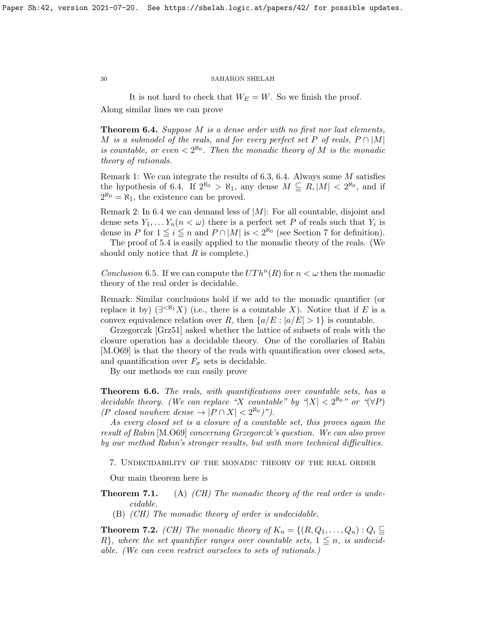It is not hard to check that  $W_E = W$ . So we finish the proof. Along similar lines we can prove

<span id="page-29-0"></span>Theorem 6.4. Suppose M is a dense order with no first nor last elements, M is a submodel of the reals, and for every perfect set P of reals,  $P \cap |M|$ is countable, or even  $\langle 2^{\aleph_0} \rangle$ . Then the monadic theory of M is the monadic theory of rationals.

Remark 1: We can integrate the results of [6.3,](#page-0-0) [6.4.](#page-29-0) Always some M satisfies the hypothesis of [6.4.](#page-29-0) If  $2^{\aleph_0} > \aleph_1$ , any dense  $M \subseteq R$ ,  $|M| < 2^{\aleph_0}$ , and if  $2^{\aleph_0} = \aleph_1$ , the existence can be proved.

Remark 2: In [6.4](#page-29-0) we can demand less of  $|M|$ : For all countable, disjoint and dense sets  $Y_1, \ldots Y_n (n < \omega)$  there is a perfect set P of reals such that  $Y_i$  is dense in P for  $1 \leq i \leq n$  and  $P \cap |M|$  is  $\lt 2^{\aleph_0}$  (see Section 7 for definition).

The proof of [5.4](#page-24-1) is easily applied to the monadic theory of the reals. (We should only notice that  $R$  is complete.)

Conclusion 6.5. If we can compute the  $UTh^{n}(R)$  for  $n < \omega$  then the monadic theory of the real order is decidable.

Remark: Similar conclusions hold if we add to the monadic quantifier (or replace it by)  $(\exists^{\leq \aleph_1} X)$  (i.e., there is a countable X). Notice that if E is a convex equivalence relation over R, then  $\{a/E : |a/E| > 1\}$  is countable.

Grzegorczk [\[Grz51\]](#page-38-9) asked whether the lattice of subsets of reals with the closure operation has a decidable theory. One of the corollaries of Rabin [\[M.O69\]](#page-38-3) is that the theory of the reals with quantification over closed sets, and quantification over  $F_{\sigma}$  sets is decidable.

By our methods we can easily prove

Theorem 6.6. The reals, with quantifications over countable sets, has a decidable theory. (We can replace "X countable" by " $|X| < 2^{\aleph_0}$ " or " $(\forall P)$ (P closed nowhere dense  $\rightarrow$   $|P \cap X|$  <  $2^{\aleph_0})$ ").

As every closed set is a closure of a countable set, this proves again the result of Rabin [\[M.O69\]](#page-38-3) concerning Grzegorczk's question. We can also prove by our method Rabin's stronger results, but with more technical difficulties.

7. Undecidability of the monadic theory of the real order

Our main theorem here is

**Theorem 7.1.** (A) (CH) The monadic theory of the real order is undecidable.

(B) (CH) The monadic theory of order is undecidable.

<span id="page-29-1"></span>**Theorem 7.2.** (CH) The monadic theory of  $K_n = \{(R, Q_1, \ldots, Q_n) : Q_i \subseteq$  $R$ , where the set quantifier ranges over countable sets,  $1 \leq n$ , is undecidable. (We can even restrict ourselves to sets of rationals.)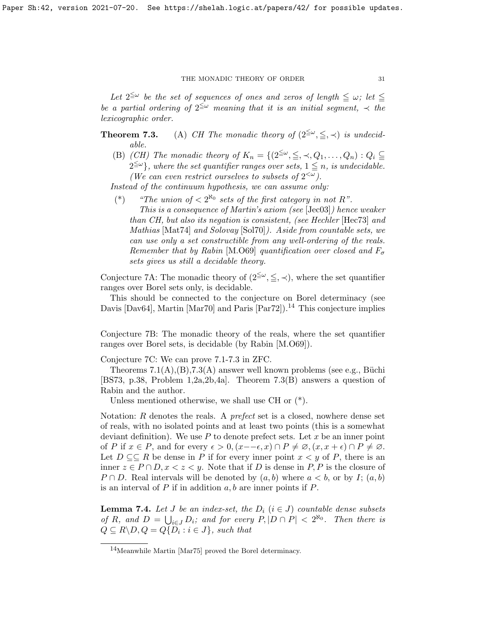Let  $2^{\leq \omega}$  be the set of sequences of ones and zeros of length  $\leq \omega$ ; let  $\leq$ be a partial ordering of  $2^{\leq \omega}$  meaning that it is an initial segment,  $\prec$  the lexicographic order.

- **Theorem 7.3.** (A) CH The monadic theory of  $(2^{\leq \omega}, \leq, \prec)$  is undecidable.
	- (B) (CH) The monadic theory of  $K_n = \{(2^{\leq \omega}, \leq, \prec, Q_1, \ldots, Q_n) : Q_i \subseteq$  $\widetilde{2^{\leq \omega}}$ , where the set quantifier ranges over sets,  $1 \leq n$ , is undecidable. (We can even restrict ourselves to subsets of  $2^{&\omega}$ ).

Instead of the continuum hypothesis, we can assume only:

- (\*) "The union of  $\langle 2^{\aleph_0} \rangle$  sets of the first category in not R".
	- This is a consequence of Martin's axiom (see [\[Jec03\]](#page-38-10)) hence weaker than CH, but also its negation is consistent, (see Hechler [\[Hec73\]](#page-38-20) and Mathias [\[Mat74\]](#page-38-21) and Solovay [\[Sol70\]](#page-39-4)). Aside from countable sets, we can use only a set constructible from any well-ordering of the reals. Remember that by Rabin [\[M.O69\]](#page-38-3) quantification over closed and  $F_{\sigma}$ sets gives us still a decidable theory.

Conjecture 7A: The monadic theory of  $(2^{\leq \omega}, \leq, \prec)$ , where the set quantifier ranges over Borel sets only, is decidable.

This should be connected to the conjecture on Borel determinacy (see Davis [\[Dav64\]](#page-37-8), Martin [\[Mar70\]](#page-38-22) and Paris [\[Par72\]](#page-38-23)).<sup>[14](#page-30-0)</sup> This conjecture implies

Conjecture 7B: The monadic theory of the reals, where the set quantifier ranges over Borel sets, is decidable (by Rabin [\[M.O69\]](#page-38-3)).

Conjecture 7C: We can prove [7.1-7.3](#page-0-0) in ZFC.

Theorems  $7.1(A),(B),7.3(A)$  $7.1(A),(B),7.3(A)$  $7.1(A),(B),7.3(A)$  answer well known problems (see e.g., Büchi [\[BS73,](#page-37-3) p.38, Problem 1,2a,2b,4a]. Theorem [7.3\(](#page-0-0)B) answers a question of Rabin and the author.

Unless mentioned otherwise, we shall use CH or (\*).

Notation: R denotes the reals. A prefect set is a closed, nowhere dense set of reals, with no isolated points and at least two points (this is a somewhat deviant definition). We use  $P$  to denote prefect sets. Let  $x$  be an inner point of P if  $x \in P$ , and for every  $\epsilon > 0$ ,  $(x - \epsilon, x) \cap P \neq \emptyset$ ,  $(x, x + \epsilon) \cap P \neq \emptyset$ . Let  $D \subseteq \subseteq R$  be dense in P if for every inner point  $x \leq y$  of P, there is an inner  $z \in P \cap D$ ,  $x < z < y$ . Note that if D is dense in P, P is the closure of  $P \cap D$ . Real intervals will be denoted by  $(a, b)$  where  $a < b$ , or by I;  $(a, b)$ is an interval of  $P$  if in addition  $a, b$  are inner points if  $P$ .

<span id="page-30-1"></span>**Lemma 7.4.** Let J be an index-set, the  $D_i$  ( $i \in J$ ) countable dense subsets of R, and  $D = \bigcup_{i \in J} D_i$ ; and for every  $P, |D \cap P| < 2^{\aleph_0}$ . Then there is  $Q \subseteq R \backslash D, Q = Q \{D_i : i \in J\}$ , such that

<span id="page-30-0"></span><sup>14</sup>Meanwhile Martin [\[Mar75\]](#page-38-24) proved the Borel determinacy.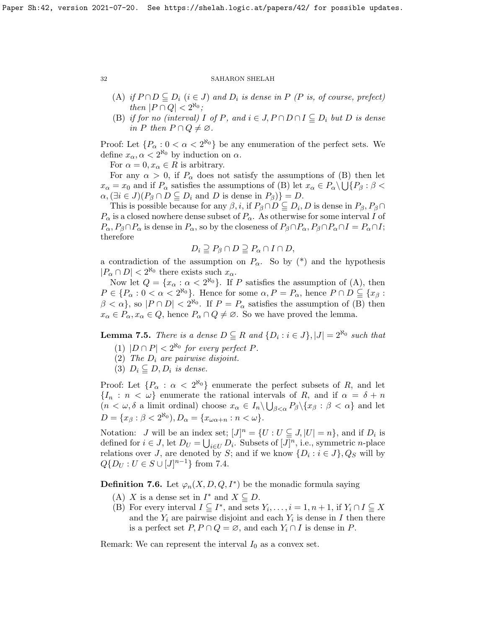- (A) if  $P \cap D \subseteq D_i$   $(i \in J)$  and  $D_i$  is dense in P (P is, of course, prefect) then  $|P \cap Q| < 2^{\aleph_0}$ ;
- (B) if for no (interval) I of P, and  $i \in J$ ,  $P \cap D \cap I \subseteq D_i$  but D is dense in P then  $P \cap Q \neq \emptyset$ .

Proof: Let  $\{P_{\alpha}: 0 < \alpha < 2^{\aleph_0}\}\$ be any enumeration of the perfect sets. We define  $x_{\alpha}, \alpha < 2^{\aleph_0}$  by induction on  $\alpha$ .

For  $\alpha = 0, x_{\alpha} \in R$  is arbitrary.

For any  $\alpha > 0$ , if  $P_\alpha$  does not satisfy the assumptions of (B) then let  $x_{\alpha} = x_0$  and if  $P_{\alpha}$  satisfies the assumptions of (B) let  $x_{\alpha} \in P_{\alpha} \setminus \bigcup \{P_{\beta} : \beta \leq \beta\}$  $\alpha$ ,  $(\exists i \in J)(P_{\beta} \cap D \subseteq D_i \text{ and } D \text{ is dense in } P_{\beta})$  = D.

This is possible because for any  $\beta$ , i, if  $P_{\beta} \cap D \subseteq D_i$ , D is dense in  $P_{\beta}$ ,  $P_{\beta} \cap D$  $P_{\alpha}$  is a closed nowhere dense subset of  $P_{\alpha}$ . As otherwise for some interval I of  $P_{\alpha}$ ,  $P_{\beta} \cap P_{\alpha}$  is dense in  $P_{\alpha}$ , so by the closeness of  $P_{\beta} \cap P_{\alpha}$ ,  $P_{\beta} \cap P_{\alpha} \cap I = P_{\alpha} \cap I$ ; therefore

$$
D_i \supseteq P_\beta \cap D \supseteqeq P_\alpha \cap I \cap D,
$$

a contradiction of the assumption on  $P_{\alpha}$ . So by (\*) and the hypothesis  $|P_\alpha \cap D| < 2^{\aleph_0}$  there exists such  $x_\alpha$ .

Now let  $Q = \{x_\alpha : \alpha < 2^{\aleph_0}\}\$ . If P satisfies the assumption of (A), then  $P \in \{P_\alpha : 0 < \alpha < 2^{\aleph_0}\}\.$  Hence for some  $\alpha, P = P_\alpha$ , hence  $P \cap D \subseteq \{x_\beta : \alpha\}$  $\beta < \alpha$ , so  $|P \cap D| < 2^{\aleph_0}$ . If  $P = P_\alpha$  satisfies the assumption of (B) then  $x_{\alpha} \in P_{\alpha}, x_{\alpha} \in Q$ , hence  $P_{\alpha} \cap Q \neq \emptyset$ . So we have proved the lemma.

<span id="page-31-0"></span>**Lemma 7.5.** There is a dense  $D \subseteq R$  and  $\{D_i : i \in J\}$ ,  $|J| = 2^{\aleph_0}$  such that

- (1)  $|D \cap P| < 2^{\aleph_0}$  for every perfect P.
- (2) The  $D_i$  are pairwise disjoint.
- (3)  $D_i \subseteq D, D_i$  is dense.

Proof: Let  $\{P_{\alpha} : \alpha < 2^{\aleph_0}\}\$ enumerate the perfect subsets of R, and let  ${I_n : n < \omega}$  enumerate the rational intervals of R, and if  $\alpha = \delta + n$  $(n < \omega, \delta \text{ a limit ordinal})$  choose  $x_{\alpha} \in I_n \setminus \bigcup_{\beta < \alpha} P_{\beta} \setminus \{x_{\beta} : \beta < \alpha\}$  and let  $D = \{x_{\beta} : \beta < 2^{\aleph_0}\}, D_{\alpha} = \{x_{\omega \alpha + n} : n < \omega\}.$ 

Notation: *J* will be an index set;  $[J]^n = \{U : U \subseteq J, |U| = n\}$ , and if  $D_i$  is defined for  $i \in J$ , let  $D_U = \bigcup_{i \in U} D_i$ . Subsets of  $[J]^n$ , i.e., symmetric *n*-place relations over J, are denoted by S; and if we know  $\{D_i : i \in J\}$ ,  $Q_S$  will by  $Q\{D_U : U \in S \cup [J]^{n-1}\}\$ from [7.4.](#page-30-1)

<span id="page-31-1"></span>**Definition 7.6.** Let  $\varphi_n(X, D, Q, I^*)$  be the monadic formula saying

- (A) X is a dense set in  $I^*$  and  $X \subseteq D$ .
- (B) For every interval  $I \subseteq I^*$ , and sets  $Y_i, \ldots, i = 1, n + 1$ , if  $Y_i \cap I \subseteq X$ and the  $Y_i$  are pairwise disjoint and each  $Y_i$  is dense in I then there is a perfect set  $P, P \cap Q = \emptyset$ , and each  $Y_i \cap I$  is dense in P.

Remark: We can represent the interval  $I_0$  as a convex set.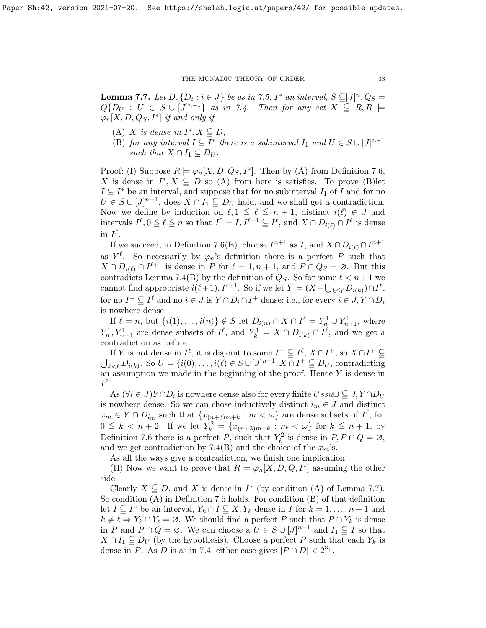<span id="page-32-0"></span>**Lemma 7.7.** Let  $D, \{D_i : i \in J\}$  be as in [7.5,](#page-31-0)  $I^*$  an interval,  $S \subseteq J]^n$ ,  $Q_S =$  $Q\{D_U: U \in S \cup [J]^{n-1}\}\$ as in [7.4.](#page-30-1) Then for any set  $X \subseteq R, R \models$  $\varphi_n[X,D,Q_S,I^*]$  if and only if

- (A) X is dense in  $I^*, X \subseteq D$ ,
- (B) for any interval  $I \subseteq \overline{I^*}$  there is a subinterval  $I_1$  and  $U \in S \cup [J]^{n-1}$ such that  $X \cap I_1 \subseteq D_U$ .

Proof: (I) Suppose  $R \models \varphi_n[X, D, Q_S, I^*]$ . Then by (A) from Definition [7.6,](#page-31-1) X is dense in  $I^*, X \subseteq D$  so (A) from here is satisfies. To prove (B) let  $I \subseteq I^*$  be an interval, and suppose that for no subinterval  $I_1$  of  $\overline{I}$  and for no  $\overline{U} \in S \cup [J]^{n-1}$ , does  $X \cap I_1 \subseteqq D_U$  hold, and we shall get a contradiction. Now we define by induction on  $\ell, 1 \leq \ell \leq n + 1$ , distinct  $i(\ell) \in J$  and intervals  $I^{\ell}, 0 \leq \ell \leq n$  so that  $I^0 = I, I^{\ell+1} \subseteq I^{\ell}$ , and  $X \cap D_{i(\ell)} \cap I^{\ell}$  is dense in  $I^{\ell}$ .

If we succeed, in Definition [7.6\(](#page-31-1)B), choose  $I^{n+1}$  as I, and  $X \cap D_{i(\ell)} \cap I^{n+1}$ as  $Y^{\ell}$ . So necessarily by  $\varphi_n$ 's definition there is a perfect P such that  $X \cap D_{i(\ell)} \cap I^{\ell+1}$  is dense in P for  $\ell = 1, n + 1$ , and  $P \cap Q_S = \emptyset$ . But this contradicts Lemma [7.4\(](#page-30-1)B) by the definition of  $Q_S$ . So for some  $\ell < n+1$  we cannot find appropriate  $i(\ell + 1), I^{\ell+1}$ . So if we let  $Y = (X - \bigcup_{k \leq \ell} D_{i(k)}) \cap I^{\ell}$ , for no  $I^+ \subseteq I^{\ell}$  and no  $i \in J$  is  $Y \cap D_i \cap I^+$  dense; i.e., for every  $i \in J, Y \cap D_i$ is nowhere dense.

If  $\ell = n$ , but  $\{i(1), \ldots, i(n)\} \notin S$  let  $D_{i(n)} \cap X \cap I^{\ell} = Y_n^1 \cup Y_{n+1}^1$ , where  $Y_n^1, Y_{n+1}^1$  are dense subsets of  $I^{\ell}$ , and  $Y_k^1 = X \cap D_{i(k)} \cap I^{\ell}$ , and we get a contradiction as before.

If Y is not dense in  $I^{\ell}$ , it is disjoint to some  $I^+\subseteq I^{\ell}$ ,  $X\cap I^+$ , so  $X\cap I^+\subseteq$  $\bigcup_{k\leq \ell} D_{i(k)}$ . So  $U = \{i(0), \ldots, i(\ell) \in S \cup [J]^{n-1}, X \cap I^+\subseteqq D_U$ , contradicting an assumption we made in the beginning of the proof. Hence  $Y$  is dense in  $I^{\ell}.$ 

As  $(\forall i \in J) Y \cap D_i$  is nowhere dense also for every finite  $Ussu \cup \subseteq J, Y \cap D_U$ is nowhere dense. So we can chose inductively distinct  $i_m \in J$  and distinct  $x_m \in Y \cap D_{i_m}$  such that  $\{x_{(n+3)m+k} : m < \omega\}$  are dense subsets of  $I^{\ell}$ , for  $0 \leq k < n+2$ . If we let  $Y_k^2 = \{x_{(n+3)m+k} : m < \omega\}$  for  $k \leq n+1$ , by Definition [7.6](#page-31-1) there is a perfect P, such that  $Y_k^2$  is dense in  $P, P \cap Q = \emptyset$ , and we get contradiction by [7.4\(](#page-30-1)B) and the choice of the  $x_m$ 's.

As all the ways give a contradiction, we finish one implication.

(II) Now we want to prove that  $R \models \varphi_n[X, D, Q, I^*]$  assuming the other side.

Clearly  $X \subseteq D$ , and X is dense in  $I^*$  (by condition (A) of Lemma [7.7\)](#page-32-0). So condition (A) in Definition [7.6](#page-31-1) holds. For condition (B) of that definition let  $I \subseteq I^*$  be an interval,  $Y_k \cap I \subseteq X, Y_k$  dense in I for  $k = 1, \ldots, n + 1$  and  $k \neq \ell \Rightarrow Y_k \cap Y_\ell = \emptyset$ . We should find a perfect P such that  $P \cap Y_k$  is dense in P and  $P \cap Q = \emptyset$ . We can choose a  $U \in S \cup [J]^{n-1}$  and  $I_1 \subseteqq I$  so that  $X \cap I_1 \subseteq D_U$  (by the hypothesis). Choose a perfect P such that each  $Y_k$  is dense in P. As D is as in [7.4,](#page-30-1) either case gives  $|P \cap D| < 2^{\aleph_0}$ .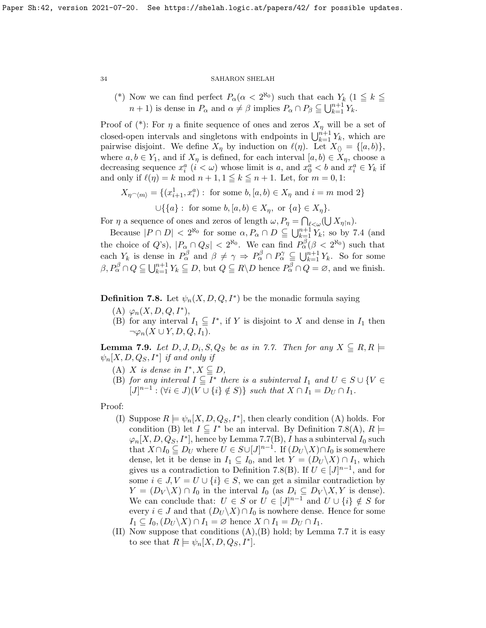(\*) Now we can find perfect  $P_\alpha(\alpha < 2^{\aleph_0})$  such that each  $Y_k$  (1  $\leq k \leq$  $n+1$ ) is dense in  $P_{\alpha}$  and  $\alpha \neq \beta$  implies  $P_{\alpha} \cap P_{\beta} \subseteq \bigcup_{k=1}^{n+1} Y_k$ .

Proof of  $(*)$ : For  $\eta$  a finite sequence of ones and zeros  $X_{\eta}$  will be a set of closed-open intervals and singletons with endpoints in  $\bigcup_{k=1}^{n+1} Y_k$ , which are pairwise disjoint. We define  $X_{\eta}$  by induction on  $\ell(\eta)$ . Let  $X_{\langle\rangle} = \{[a, b)\},\$ where  $a, b \in Y_1$ , and if  $X_\eta$  is defined, for each interval  $[a, b) \in X_\eta$ , choose a decreasing sequence  $x_i^a$   $(i < \omega)$  whose limit is a, and  $x_0^a < b$  and  $x_i^a \in Y_k$  if and only if  $\ell(\eta) = k \mod n + 1, 1 \leq k \leq n + 1$ . Let, for  $m = 0, 1$ :

$$
X_{\eta \cap \langle m \rangle} = \{ (x_{i+1}^1, x_i^a) : \text{ for some } b, [a, b) \in X_\eta \text{ and } i = m \text{ mod } 2 \}
$$
  

$$
\cup \{ \{a\} : \text{ for some } b, [a, b) \in X_\eta, \text{ or } \{a\} \in X_\eta \}.
$$

For  $\eta$  a sequence of ones and zeros of length  $\omega$ ,  $P_{\eta} = \bigcap_{\ell < \omega} (\bigcup X_{\eta \restriction n})$ .

Because  $|P \cap D| < 2^{\aleph_0}$  for some  $\alpha, P_\alpha \cap D \subseteq \bigcup_{k=1}^{n+1} Y_k$ ; so by [7.4](#page-30-1) (and the choice of  $Q$ 's),  $|P_\alpha \cap Q_S| < 2^{\aleph_0}$ . We can find  $P_\alpha^{\beta}(\beta < 2^{\aleph_0})$  such that each  $Y_k$  is dense in  $P_\alpha^\beta$  and  $\beta \neq \gamma \Rightarrow P_\alpha^\beta \cap P_\alpha^\gamma \subseteq \bigcup_{k=1}^{n+1} Y_k$ . So for some  $\beta, P_{\alpha}^{\beta} \cap Q \subseteq \bigcup_{k=1}^{n+1} Y_k \subseteq D$ , but  $Q \subseteq R \backslash D$  hence  $P_{\alpha}^{\beta} \cap Q = \emptyset$ , and we finish.

<span id="page-33-0"></span>**Definition 7.8.** Let  $\psi_n(X, D, Q, I^*)$  be the monadic formula saying

- (A)  $\varphi_n(X, D, Q, I^*),$
- (B) for any interval  $I_1 \subseteqq I^*$ , if Y is disjoint to X and dense in  $I_1$  then  $\neg \varphi_n(X \cup Y, D, Q, I_1).$

<span id="page-33-1"></span>**Lemma 7.9.** Let  $D, J, D_i, S, Q_S$  be as in [7.7.](#page-32-0) Then for any  $X \subseteq R, R \models$  $\psi_n[X, D, Q_S, I^*]$  if and only if

- (A) X is dense in  $I^*, X \subseteq D$ ,
- (B) for any interval  $I \subseteq \overline{I^*}$  there is a subinterval  $I_1$  and  $U \in S \cup \{V \in I\}$  $[J]^{n-1} : (\forall i \in J)(V \cup \{i\} \notin S) \}$  such that  $X \cap I_1 = D_U \cap I_1$ .

Proof:

- (I) Suppose  $R \models \psi_n[X, D, Q_S, I^*]$ , then clearly condition (A) holds. For condition (B) let  $I \subseteq I^*$  be an interval. By Definition [7.8\(](#page-33-0)A),  $R \models$  $\varphi_n[X, D, Q_S, I^*],$  hence by Lemma [7.7\(](#page-32-0)B), I has a subinterval  $I_0$  such that  $X \cap I_0 \subseteq D_U$  where  $U \in S \cup [J]^{n-1}$ . If  $(D_U \backslash X) \cap I_0$  is somewhere dense, let it be dense in  $I_1 \subseteq I_0$ , and let  $Y = (D_U \backslash X) \cap I_1$ , which gives us a contradiction to Definition [7.8\(](#page-33-0)B). If  $U \in [J]^{n-1}$ , and for some  $i \in J, V = U \cup \{i\} \in S$ , we can get a similar contradiction by  $Y = (D_V \backslash X) \cap I_0$  in the interval  $I_0$  (as  $D_i \subseteq D_V \backslash X, Y$  is dense). We can conclude that:  $U \in S$  or  $U \in [J]^{n-1}$  and  $U \cup \{i\} \notin S$  for every  $i \in J$  and that  $(D_U \backslash X) \cap I_0$  is nowhere dense. Hence for some  $I_1 \subseteq I_0$ ,  $(D_U \backslash X) \cap I_1 = \emptyset$  hence  $X \cap I_1 = D_U \cap I_1$ .
- (II) Now suppose that conditions  $(A), (B)$  hold; by Lemma [7.7](#page-32-0) it is easy to see that  $R \models \psi_n[X, D, Q_S, I^*].$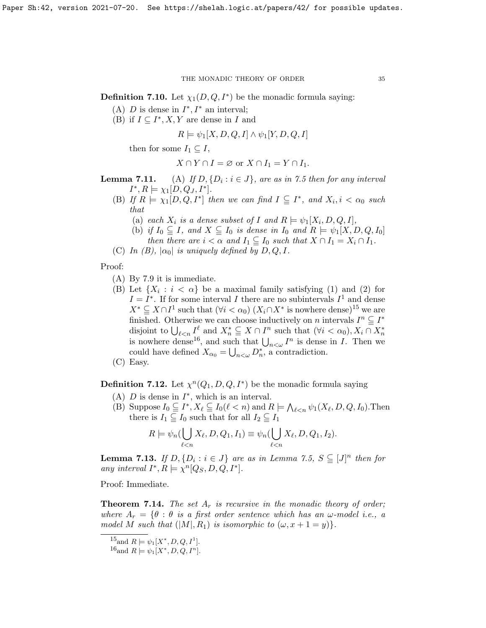**Definition 7.10.** Let  $\chi_1(D, Q, I^*)$  be the monadic formula saying:

- (A) D is dense in  $I^*, I^*$  an interval;
- (B) if  $I \subseteq I^*, X, Y$  are dense in I and

 $R \models \psi_1[X, D, Q, I] \wedge \psi_1[Y, D, Q, I]$ 

then for some  $I_1 \subseteq I$ ,

$$
X \cap Y \cap I = \varnothing
$$
 or 
$$
X \cap I_1 = Y \cap I_1.
$$

- Lemma  $7.11.$ (A) If  $D, \{D_i : i \in J\}$ , are as in [7.5](#page-31-0) then for any interval  $I^*, R \models \chi_1[D, Q_J, I^*].$ 
	- (B) If  $R \models \chi_1[D, Q, I^*]$  then we can find  $I \subseteq I^*$ , and  $X_i, i < \alpha_0$  such that
		- (a) each  $X_i$  is a dense subset of I and  $R \models \psi_1[X_i, D, Q, I],$
		- (b) if  $I_0 \subseteq I$ , and  $X \subseteq I_0$  is dense in  $I_0$  and  $R \models \psi_1[X, D, Q, I_0]$ then there are  $i < \alpha$  and  $I_1 \subseteq I_0$  such that  $X \cap I_1 = X_i \cap I_1$ .
	- (C) In (B),  $|\alpha_0|$  is uniquely defined by D, Q, I.

Proof:

- (A) By [7.9](#page-33-1) it is immediate.
- (B) Let  $\{X_i : i < \alpha\}$  be a maximal family satisfying (1) and (2) for  $I = I^*$ . If for some interval I there are no subintervals  $I^1$  and dense  $X^* \subseteq X \cap I^1$  such that  $(\forall i < \alpha_0)$   $(X_i \cap X^*$  is nowhere dense)<sup>[15](#page-34-0)</sup> we are finished. Otherwise we can choose inductively on n intervals  $I^n \subseteq I^*$ disjoint to  $\bigcup_{\ell \leq n} I_{\ell}^{\ell}$  and  $X_n^* \subseteq X \cap I^n$  such that  $(\forall i < \alpha_0), X_i \cap X_n^*$ is nowhere dense<sup>[16](#page-34-1)</sup>, and such that  $\bigcup_{n<\omega} I^n$  is dense in *I*. Then we could have defined  $X_{\alpha_0} = \bigcup_{n<\omega} D_n^*$ , a contradiction.
- (C) Easy.

**Definition 7.12.** Let  $\chi^n(Q_1, D, Q, I^*)$  be the monadic formula saying

- (A)  $D$  is dense in  $I^*$ , which is an interval.
- (B) Suppose  $I_0 \subseteq I^*, X_\ell \subseteq I_0(\ell < n)$  and  $R \models \bigwedge_{\ell < n} \psi_1(X_\ell, D, Q, I_0)$ . Then there is  $I_1 \subseteq I_0$  such that for all  $I_2 \subseteq I_1$

$$
R \models \psi_n(\bigcup_{\ell < n} X_\ell, D, Q_1, I_1) \equiv \psi_n(\bigcup_{\ell < n} X_\ell, D, Q_1, I_2).
$$

**Lemma 7.13.** If  $D, \{D_i : i \in J\}$  are as in Lemma [7.5,](#page-31-0)  $S \subseteq [J]^n$  then for any interval  $I^*, R \models \chi^n[Q_S, D, Q, I^*].$ 

Proof: Immediate.

<span id="page-34-2"></span>**Theorem 7.14.** The set  $A_r$  is recursive in the monadic theory of order; where  $A_r = \{ \theta : \theta$  is a first order sentence which has an  $\omega$ -model i.e., a model M such that  $(|M|, R_1)$  is isomorphic to  $(\omega, x + 1 = y)$ .

<span id="page-34-0"></span><sup>&</sup>lt;sup>15</sup> and  $R \models \psi_1[X^*, D, Q, I^1]$ .

<span id="page-34-1"></span><sup>&</sup>lt;sup>16</sup> and  $R \models \psi_1[X^*, D, Q, I^n]$ .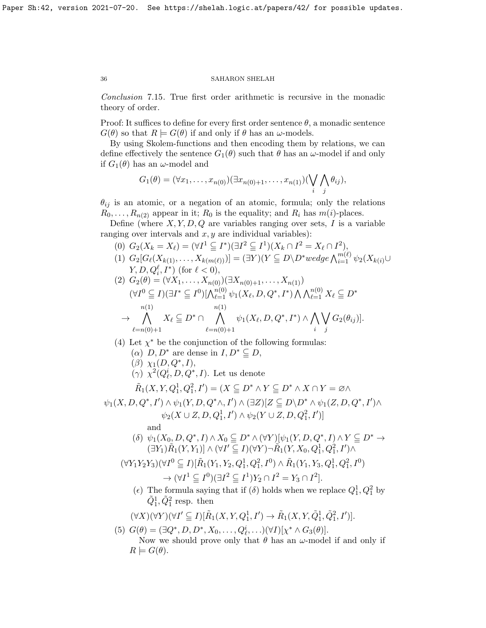<span id="page-35-0"></span>Conclusion 7.15. True first order arithmetic is recursive in the monadic theory of order.

Proof: It suffices to define for every first order sentence  $\theta$ , a monadic sentence  $G(\theta)$  so that  $R \models G(\theta)$  if and only if  $\theta$  has an  $\omega$ -models.

By using Skolem-functions and then encoding them by relations, we can define effectively the sentence  $G_1(\theta)$  such that  $\theta$  has an  $\omega$ -model if and only if  $G_1(\theta)$  has an  $\omega$ -model and

$$
G_1(\theta)=(\forall x_1,\ldots,x_{n(0)})(\exists x_{n(0)+1},\ldots,x_{n(1)})(\bigvee_i\bigwedge_j\theta_{ij}),
$$

 $\theta_{ij}$  is an atomic, or a negation of an atomic, formula; only the relations  $R_0, \ldots, R_{n(2)}$  appear in it;  $R_0$  is the equality; and  $R_i$  has  $m(i)$ -places.

Define (where  $X, Y, D, Q$  are variables ranging over sets, I is a variable ranging over intervals and  $x, y$  are individual variables):

- (0)  $G_2(X_k = X_\ell) = (\forall I^1 \subseteq I^*)(\exists I^2 \subseteq I^1)(X_k \cap I^2 = X_\ell \cap I^2),$
- (1)  $G_2[G_{\ell}(X_{k(1)},...,X_{k(m(\ell))})]=(\exists Y)(Y\subseteq D\setminus D^*wedge \bigwedge_{i=1}^{m(\ell)} \psi_2(X_{k(i)}\cup$  $Y, D, Q_i^{\ell}, I^*$  (for  $\ell < 0$ ),

$$
(2) \ G_{2}(\theta) = (\forall X_{1}, \ldots, X_{n(0)}) (\exists X_{n(0)+1}, \ldots, X_{n(1)})
$$
  
\n
$$
(\forall I^{0} \subseteq I)(\exists I^{*} \subseteq I^{0}) [\bigwedge_{\ell=1}^{n(0)} \psi_{1}(X_{\ell}, D, Q^{*}, I^{*}) \bigwedge \bigwedge_{\ell=1}^{n(0)} X_{\ell} \subseteq D^{*}
$$
  
\n
$$
\rightarrow \bigwedge_{\ell=n(0)+1}^{n(1)} X_{\ell} \subseteq D^{*} \cap \bigwedge_{\ell=n(0)+1}^{n(1)} \psi_{1}(X_{\ell}, D, Q^{*}, I^{*}) \wedge \bigwedge_{i} \bigvee_{j} G_{2}(\theta_{ij})].
$$

(4) Let  $\chi^*$  be the conjunction of the following formulas:

- ( $\alpha$ )  $D, D^*$  are dense in  $I, D^* \subseteq D$ ,
- $(\beta)$   $\chi_1(D, Q^*, I),$
- ( $\gamma$ )  $\chi^2(Q_{\ell}^i, D, Q^*, I)$ . Let us denote

$$
\tilde{R}_1(X, Y, Q_1^1, Q_1^2, I') = (X \subseteq D^* \wedge Y \subseteq D^* \wedge X \cap Y = \varnothing \wedge
$$

$$
\psi_1(X, D, Q^*, I') \wedge \psi_1(Y, D, Q^*\wedge, I') \wedge (\exists Z)[Z \subseteq D \backslash D^* \wedge \psi_1(Z, D, Q^*, I') \wedge \psi_2(X \cup Z, D, Q_1^1, I') \wedge \psi_2(Y \cup Z, D, Q_1^2, I')]
$$

and

(δ)  $\psi_1(X_0, D, Q^*, I) \wedge X_0 \subseteq D^* \wedge (\forall Y)[\psi_1(Y, D, Q^*, I) \wedge Y \subseteq D^* \rightarrow$  $(\exists Y_1)\tilde{R}_1(Y,Y_1)] \wedge (\forall I' \subseteq I)(\forall Y)\neg \tilde{R}_1(Y, X_0, Q_1^1, Q_1^2, I') \wedge$ 

$$
(\forall Y_1 Y_2 Y_3)(\forall I^0 \subseteq I)[\tilde{R}_1(Y_1, Y_2, Q_1^1, Q_1^2, I^0) \land \tilde{R}_1(Y_1, Y_3, Q_1^1, Q_1^2, I^0) \n\to (\forall I^1 \subseteq I^0)(\exists I^2 \subseteq I^1)Y_2 \cap I^2 = Y_3 \cap I^2].
$$

(*c*) The formula saying that if  $(\delta)$  holds when we replace  $Q_1^1, Q_1^2$  by  $\tilde{Q}_1^1, \tilde{Q}_1^2$  resp. then

$$
(\forall X)(\forall Y)(\forall I' \subseteq I)[\tilde{R}_1(X, Y, Q_1^1, I') \to \tilde{R}_1(X, Y, \tilde{Q}_1^1, \tilde{Q}_1^2, I')].
$$

(5)  $G(\theta) = (\exists Q^*, D, D^*, X_0, \dots, Q_{\ell}^i, \dots)(\forall I)[\chi^* \wedge G_3(\theta)].$ 

Now we should prove only that  $\theta$  has an  $\omega$ -model if and only if  $R \models G(\theta).$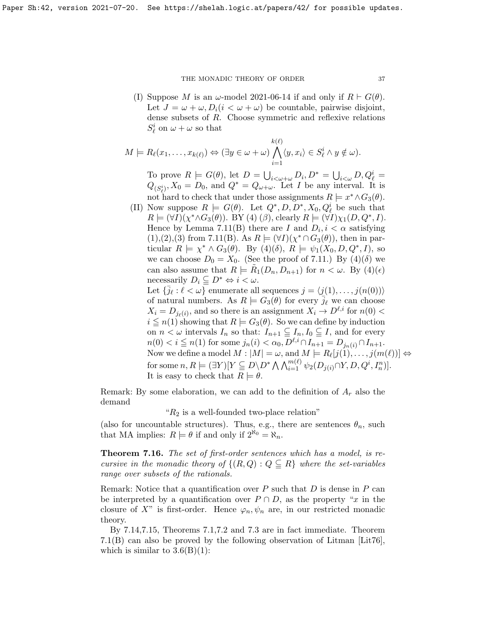(I) Suppose M is an  $\omega$ -model 2021-06-14 if and only if  $R \vdash G(\theta)$ . Let  $J = \omega + \omega$ ,  $D_i(i < \omega + \omega)$  be countable, pairwise disjoint, dense subsets of R. Choose symmetric and reflexive relations  $S^i_\ell$  on  $\omega + \omega$  so that

$$
M \models R_{\ell}(x_1,\ldots,x_{k(\ell)}) \Leftrightarrow (\exists y \in \omega + \omega) \bigwedge_{i=1}^{k(\ell)} \langle y, x_i \rangle \in S_{\ell}^i \land y \notin \omega).
$$

To prove  $R \models G(\theta)$ , let  $D = \bigcup_{i < \omega + \omega} D_i, D^* = \bigcup_{i < \omega} D, Q_\ell^i =$  $Q_{(S_{\ell}^{i})}, X_0 = D_0$ , and  $Q^* = Q_{\omega+\omega}$ . Let I be any interval. It is not hard to check that under those assignments  $R \models x^* \wedge G_3(\theta)$ .

(II) Now suppose  $R \models G(\theta)$ . Let  $Q^*, D, D^*, X_0, Q_\ell^i$  be such that  $R \models (\forall I)(\chi^* \land G_3(\theta)). \text{ BY (4) } (\beta), \text{ clearly } R \models (\forall I)\chi_1(D, Q^*, I).$ Hence by Lemma [7.11\(](#page-0-0)B) there are I and  $D_i, i < \alpha$  satisfying  $(1), (2), (3)$  from [7.11\(](#page-0-0)B). As  $R \models (\forall I)(\chi^* \cap G_3(\theta))$ , then in particular  $R \models \chi^* \wedge G_3(\theta)$ . By  $(4)(\delta)$ ,  $R \models \psi_1(X_0, D, Q^*, I)$ , so we can choose  $D_0 = X_0$ . (See the proof of [7.11.](#page-0-0)) By (4)( $\delta$ ) we can also assume that  $R \models \tilde{R}_1(D_n, D_{n+1})$  for  $n < \omega$ . By  $(4)(\epsilon)$ necessarily  $D_i \subseteq D^* \Leftrightarrow i < \omega$ . Let  $\{\bar{j}_\ell : \ell < \omega\}$  enumerate all sequences  $j = \langle j(1), \ldots, j(n(0)) \rangle$ 

of natural numbers. As  $R \models G_3(\theta)$  for every  $\bar{j}_\ell$  we can choose  $X_i = D_{j_\ell(i)}$ , and so there is an assignment  $X_i \to D^{\ell,i}$  for  $n(0)$  <  $i \leq n(1)$  showing that  $R \models G_3(\theta)$ . So we can define by induction on  $n < \omega$  intervals  $I_n$  so that:  $I_{n+1} \subseteq I_n$ ,  $I_0 \subseteq I$ , and for every  $n(0) < i \leq n(1)$  for some  $j_n(i) < \alpha_0, \overline{D}^{\ell,i} \cap I_{n+1} = D_{j_n(i)} \cap I_{n+1}.$ Now we define a model  $M: |M| = \omega$ , and  $M \models R_{\ell}[j(1), \ldots, j(m(\ell))] \Leftrightarrow$ for some  $n, R \models (\exists Y)[Y \subseteq D \setminus D^* \bigwedge \bigwedge_{i=1}^{m(\ell)} \psi_2(D_{j(i)} \cap Y, D, Q^i, I_n^n)].$ It is easy to check that  $R \models \theta$ .

Remark: By some elaboration, we can add to the definition of  $A_r$  also the demand

" $R_2$  is a well-founded two-place relation"

(also for uncountable structures). Thus, e.g., there are sentences  $\theta_n$ , such that MA implies:  $R \models \theta$  if and only if  $2^{\aleph_0} = \aleph_n$ .

Theorem 7.16. The set of first-order sentences which has a model, is recursive in the monadic theory of  $\{(R,Q): Q \subseteq R\}$  where the set-variables range over subsets of the rationals.

Remark: Notice that a quantification over  $P$  such that  $D$  is dense in  $P$  can be interpreted by a quantification over  $P \cap D$ , as the property "x in the closure of X" is first-order. Hence  $\varphi_n, \psi_n$  are, in our restricted monadic theory.

By [7.14,](#page-34-2)[7.15,](#page-35-0) Theorems [7.1,](#page-0-0)[7.2](#page-29-1) and [7.3](#page-0-0) are in fact immediate. Theorem [7.1\(](#page-0-0)B) can also be proved by the following observation of Litman [\[Lit76\]](#page-38-8), which is similar to  $3.6(B)(1)$ :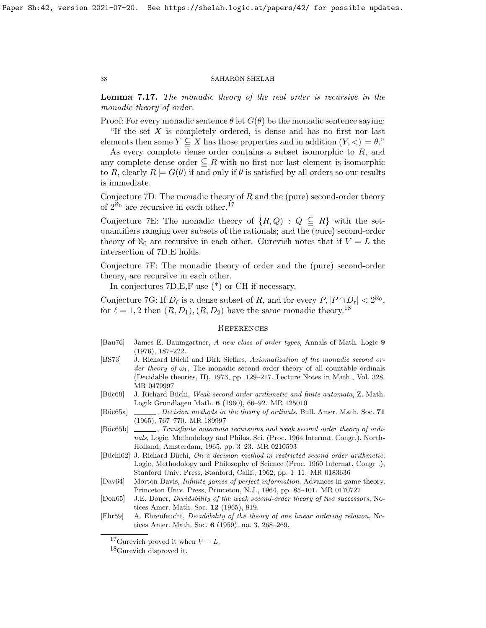**Lemma 7.17.** The monadic theory of the real order is recursive in the monadic theory of order.

Proof: For every monadic sentence  $\theta$  let  $G(\theta)$  be the monadic sentence saying:

"If the set  $X$  is completely ordered, is dense and has no first nor last elements then some  $Y \subseteq X$  has those properties and in addition  $(Y, \leq) \models \theta$ ."

As every complete dense order contains a subset isomorphic to  $R$ , and any complete dense order  $\subseteq R$  with no first nor last element is isomorphic to R, clearly  $R \models G(\theta)$  if and only if  $\theta$  is satisfied by all orders so our results is immediate.

Conjecture 7D: The monadic theory of  $R$  and the (pure) second-order theory of  $2^{\aleph_0}$  are recursive in each other.<sup>[17](#page-37-9)</sup>

Conjecture 7E: The monadic theory of  $\{R, Q\}$ :  $Q \subseteq R\}$  with the setquantifiers ranging over subsets of the rationals; and the (pure) second-order theory of  $\aleph_0$  are recursive in each other. Gurevich notes that if  $V = L$  the intersection of 7D,E holds.

Conjecture 7F: The monadic theory of order and the (pure) second-order theory, are recursive in each other.

In conjectures 7D,E,F use (\*) or CH if necessary.

Conjecture 7G: If  $D_{\ell}$  is a dense subset of R, and for every  $P, |P \cap D_{\ell}| < 2^{\aleph_0}$ , for  $\ell = 1, 2$  then  $(R, D_1), (R, D_2)$  have the same monadic theory.<sup>[18](#page-37-10)</sup>

#### **REFERENCES**

- <span id="page-37-5"></span>[Bau76] James E. Baumgartner, A new class of order types, Annals of Math. Logic 9 (1976), 187–222.
- <span id="page-37-3"></span>[BS73] J. Richard Büchi and Dirk Siefkes, Axiomatization of the monadic second order theory of  $\omega_1$ . The monadic second order theory of all countable ordinals (Decidable theories, II), 1973, pp. 129–217. Lecture Notes in Math., Vol. 328. MR 0479997
- <span id="page-37-0"></span>[Büc60] J. Richard Büchi, Weak second-order arithmetic and finite automata, Z. Math. Logik Grundlagen Math. 6 (1960), 66–92. MR 125010
- <span id="page-37-6"></span>[Büc65a] \_\_\_\_, *Decision methods in the theory of ordinals*, Bull. Amer. Math. Soc. 71 (1965), 767–770. MR 189997
- <span id="page-37-2"></span>[Büc65b]  $\Box$ , Transfinite automata recursions and weak second order theory of ordinals, Logic, Methodology and Philos. Sci. (Proc. 1964 Internat. Congr.), North-Holland, Amsterdam, 1965, pp. 3–23. MR 0210593
- <span id="page-37-1"></span>[Büchi62] J. Richard Büchi, On a decision method in restricted second order arithmetic, Logic, Methodology and Philosophy of Science (Proc. 1960 Internat. Congr .), Stanford Univ. Press, Stanford, Calif., 1962, pp. 1–11. MR 0183636
- <span id="page-37-8"></span>[Dav64] Morton Davis, Infinite games of perfect information, Advances in game theory, Princeton Univ. Press, Princeton, N.J., 1964, pp. 85–101. MR 0170727
- <span id="page-37-7"></span>[Don65] J.E. Doner, Decidability of the weak second-order theory of two successors, Notices Amer. Math. Soc. 12 (1965), 819.
- <span id="page-37-4"></span>[Ehr59] A. Ehrenfeucht, Decidability of the theory of one linear ordering relation, Notices Amer. Math. Soc. 6 (1959), no. 3, 268–269.

<span id="page-37-9"></span><sup>&</sup>lt;sup>17</sup>Gurevich proved it when  $V - L$ .

<span id="page-37-10"></span> $^{18}$ Gurevich disproved it.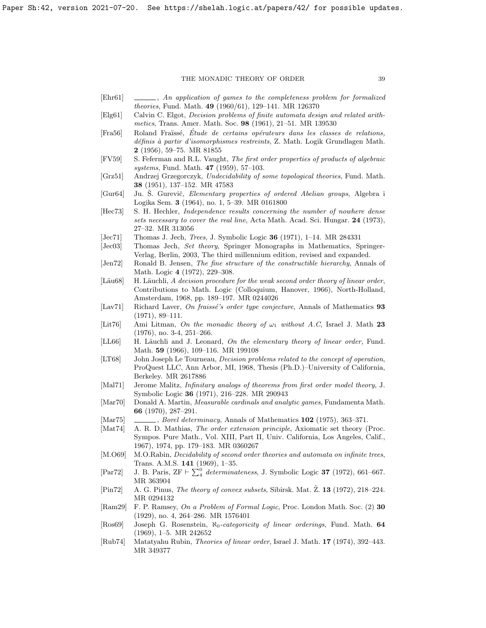- <span id="page-38-0"></span>[Ehr61] , An application of games to the completeness problem for formalized theories, Fund. Math. 49 (1960/61), 129–141. MR 126370
- <span id="page-38-2"></span>[Elg61] Calvin C. Elgot, Decision problems of finite automata design and related arithmetics, Trans. Amer. Math. Soc. 98 (1961), 21–51. MR 139530
- <span id="page-38-5"></span>[Fra56] Roland Fraïssé, Étude de certains opérateurs dans les classes de relations,  $d\acute{e}f\hat{n}$ is à partir d'isomorphismes restreints, Z. Math. Logik Grundlagen Math. 2 (1956), 59–75. MR 81855
- <span id="page-38-17"></span>[FV59] S. Feferman and R.L. Vaught, The first order properties of products of algebraic systems, Fund. Math. **47** (1959), 57-103.
- <span id="page-38-9"></span>[Grz51] Andrzej Grzegorczyk, Undecidability of some topological theories, Fund. Math. 38 (1951), 137–152. MR 47583
- <span id="page-38-1"></span>[Gur64] Ju. S. Gurevič, *Elementary properties of ordered Abelian groups*, Algebra i Logika Sem. 3 (1964), no. 1, 5–39. MR 0161800
- <span id="page-38-20"></span>[Hec73] S. H. Hechler, Independence results concerning the number of nowhere dense sets necessary to cover the real line, Acta Math. Acad. Sci. Hungar. 24 (1973), 27–32. MR 313056
- <span id="page-38-19"></span>[Jec71] Thomas J. Jech, *Trees*, J. Symbolic Logic **36** (1971), 1–14. MR 284331
- <span id="page-38-10"></span>[Jec03] Thomas Jech, Set theory, Springer Monographs in Mathematics, Springer-Verlag, Berlin, 2003, The third millennium edition, revised and expanded.
- <span id="page-38-11"></span>[Jen72] Ronald B. Jensen, The fine structure of the constructible hierarchy, Annals of Math. Logic 4 (1972), 229–308.
- <span id="page-38-4"></span> $[L\ddot{a}u68]$  H. Läuchli, A decision procedure for the weak second order theory of linear order, Contributions to Math. Logic (Colloquium, Hanover, 1966), North-Holland, Amsterdam, 1968, pp. 189–197. MR 0244026
- <span id="page-38-14"></span>[Lav71] Richard Laver, On fraissé's order type conjecture, Annals of Mathematics 93 (1971), 89–111.
- <span id="page-38-8"></span>[Lit76] Ami Litman, On the monadic theory of  $\omega_1$  without A.C, Israel J. Math 23 (1976), no. 3-4, 251–266.
- <span id="page-38-6"></span>[LL66] H. Läuchli and J. Leonard, On the elementary theory of linear order, Fund. Math. 59 (1966), 109–116. MR 199108
- <span id="page-38-15"></span>[LT68] John Joseph Le Tourneau, Decision problems related to the concept of operation, ProQuest LLC, Ann Arbor, MI, 1968, Thesis (Ph.D.)–University of California, Berkeley. MR 2617886
- <span id="page-38-18"></span>[Mal71] Jerome Malitz, Infinitary analogs of theorems from first order model theory, J. Symbolic Logic 36 (1971), 216–228. MR 290943
- <span id="page-38-22"></span>[Mar70] Donald A. Martin, Measurable cardinals and analytic games, Fundamenta Math. 66 (1970), 287–291.
- <span id="page-38-24"></span> $[Mar75]$  , Borel determinacy, Annals of Mathematics 102 (1975), 363-371.
- <span id="page-38-21"></span>[Mat74] A. R. D. Mathias, The order extension principle, Axiomatic set theory (Proc. Sympos. Pure Math., Vol. XIII, Part II, Univ. California, Los Angeles, Calif., 1967), 1974, pp. 179–183. MR 0360267
- <span id="page-38-3"></span>[M.O69] M.O.Rabin, Decidability of second order theories and automata on infinite trees, Trans. A.M.S. 141 (1969), 1–35.
- <span id="page-38-23"></span>[Par72] J. B. Paris,  $ZF \vdash \sum_{4}^{0} determinateness$ , J. Symbolic Logic **37** (1972), 661–667. MR 363904
- <span id="page-38-7"></span>[Pin72] A. G. Pinus, The theory of convex subsets, Sibirsk. Mat.  $\check{Z}$ . **13** (1972), 218–224. MR 0294132
- <span id="page-38-16"></span>[Ram29] F. P. Ramsey, On a Problem of Formal Logic, Proc. London Math. Soc. (2) 30 (1929), no. 4, 264–286. MR 1576401
- <span id="page-38-12"></span>[Ros69] Joseph G. Rosenstein,  $\aleph_0$ -categoricity of linear orderings, Fund. Math. 64 (1969), 1–5. MR 242652
- <span id="page-38-13"></span>[Rub74] Matatyahu Rubin, Theories of linear order, Israel J. Math. 17 (1974), 392–443. MR 349377